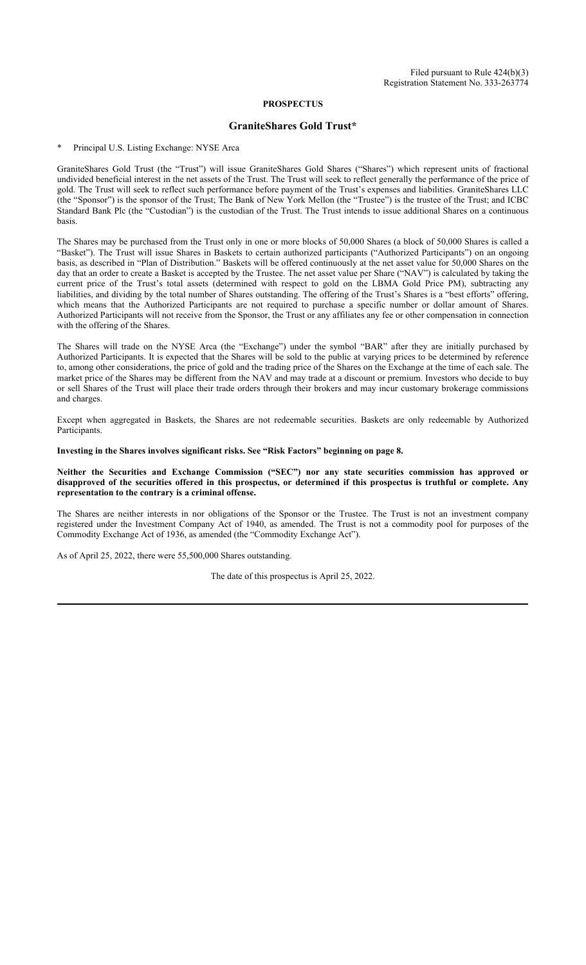### **PROSPECTUS**

## **GraniteShares Gold Trust\***

Principal U.S. Listing Exchange: NYSE Arca

GraniteShares Gold Trust (the "Trust") will issue GraniteShares Gold Shares ("Shares") which represent units of fractional undivided beneficial interest in the net assets of the Trust. The Trust will seek to reflect generally the performance of the price of gold. The Trust will seek to reflect such performance before payment of the Trust's expenses and liabilities. GraniteShares LLC (the "Sponsor") is the sponsor of the Trust; The Bank of New York Mellon (the "Trustee") is the trustee of the Trust; and ICBC Standard Bank Plc (the "Custodian") is the custodian of the Trust. The Trust intends to issue additional Shares on a continuous basis.

The Shares may be purchased from the Trust only in one or more blocks of 50,000 Shares (a block of 50,000 Shares is called a "Basket"). The Trust will issue Shares in Baskets to certain authorized participants ("Authorized Participants") on an ongoing basis, as described in "Plan of Distribution." Baskets will be offered continuously at the net asset value for 50,000 Shares on the day that an order to create a Basket is accepted by the Trustee. The net asset value per Share ("NAV") is calculated by taking the current price of the Trust's total assets (determined with respect to gold on the LBMA Gold Price PM), subtracting any liabilities, and dividing by the total number of Shares outstanding. The offering of the Trust's Shares is a "best efforts" offering, which means that the Authorized Participants are not required to purchase a specific number or dollar amount of Shares. Authorized Participants will not receive from the Sponsor, the Trust or any affiliates any fee or other compensation in connection with the offering of the Shares.

The Shares will trade on the NYSE Arca (the "Exchange") under the symbol "BAR" after they are initially purchased by Authorized Participants. It is expected that the Shares will be sold to the public at varying prices to be determined by reference to, among other considerations, the price of gold and the trading price of the Shares on the Exchange at the time of each sale. The market price of the Shares may be different from the NAV and may trade at a discount or premium. Investors who decide to buy or sell Shares of the Trust will place their trade orders through their brokers and may incur customary brokerage commissions and charges.

Except when aggregated in Baskets, the Shares are not redeemable securities. Baskets are only redeemable by Authorized Participants.

### **Investing in the Shares involves significant risks. See "Risk Factors" beginning on page 8.**

### **Neither the Securities and Exchange Commission ("SEC") nor any state securities commission has approved or disapproved of the securities offered in this prospectus, or determined if this prospectus is truthful or complete. Any representation to the contrary is a criminal offense.**

The Shares are neither interests in nor obligations of the Sponsor or the Trustee. The Trust is not an investment company registered under the Investment Company Act of 1940, as amended. The Trust is not a commodity pool for purposes of the Commodity Exchange Act of 1936, as amended (the "Commodity Exchange Act").

As of April 25, 2022, there were 55,500,000 Shares outstanding.

The date of this prospectus is April 25, 2022.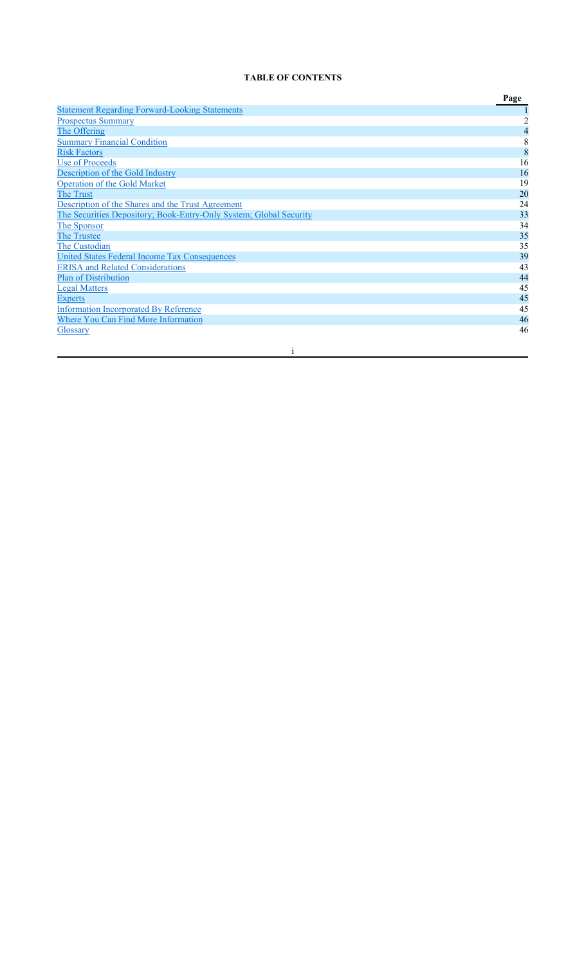# **TABLE OF CONTENTS**

|                                                                    | Page           |
|--------------------------------------------------------------------|----------------|
| <b>Statement Regarding Forward-Looking Statements</b>              |                |
| <b>Prospectus Summary</b>                                          | $\overline{c}$ |
| The Offering                                                       | 4              |
| <b>Summary Financial Condition</b>                                 | 8              |
| <b>Risk Factors</b>                                                | 8              |
| Use of Proceeds                                                    | 16             |
| Description of the Gold Industry                                   | 16             |
| <b>Operation of the Gold Market</b>                                | 19             |
| <b>The Trust</b>                                                   | 20             |
| Description of the Shares and the Trust Agreement                  | 24             |
| The Securities Depository; Book-Entry-Only System; Global Security | 33             |
| The Sponsor                                                        | 34             |
| The Trustee                                                        | 35             |
| The Custodian                                                      | 35             |
| <b>United States Federal Income Tax Consequences</b>               | 39             |
| <b>ERISA</b> and Related Considerations                            | 43             |
| <b>Plan of Distribution</b>                                        | 44             |
| <b>Legal Matters</b>                                               | 45             |
| <b>Experts</b>                                                     | 45             |
| <b>Information Incorporated By Reference</b>                       | 45             |
| Where You Can Find More Information                                | 46             |
| Glossary                                                           | 46             |
|                                                                    |                |
|                                                                    |                |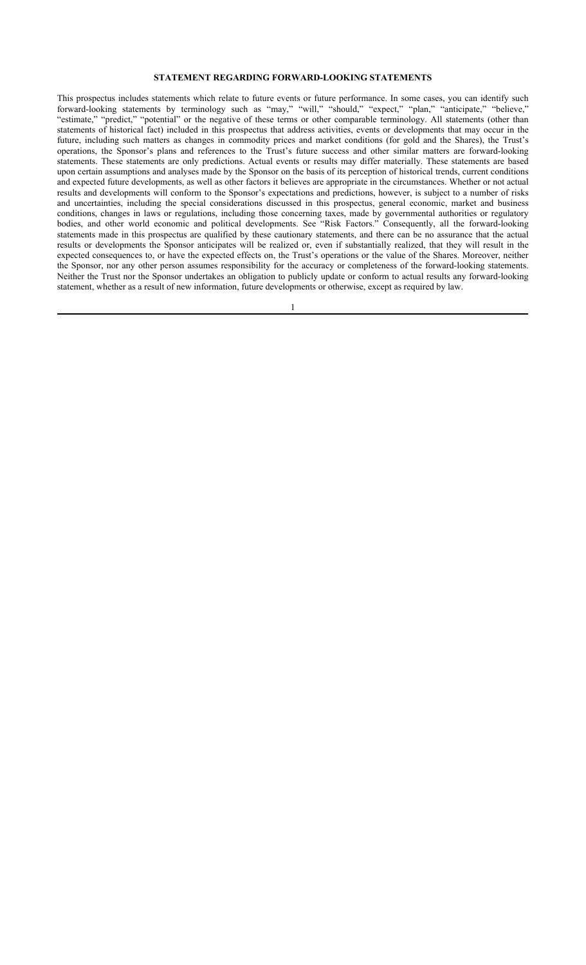## **STATEMENT REGARDING FORWARD-LOOKING STATEMENTS**

This prospectus includes statements which relate to future events or future performance. In some cases, you can identify such forward-looking statements by terminology such as "may," "will," "should," "expect," "plan," "anticipate," "believe," "estimate," "predict," "potential" or the negative of these terms or other comparable terminology. All statements (other than statements of historical fact) included in this prospectus that address activities, events or developments that may occur in the future, including such matters as changes in commodity prices and market conditions (for gold and the Shares), the Trust's operations, the Sponsor's plans and references to the Trust's future success and other similar matters are forward-looking statements. These statements are only predictions. Actual events or results may differ materially. These statements are based upon certain assumptions and analyses made by the Sponsor on the basis of its perception of historical trends, current conditions and expected future developments, as well as other factors it believes are appropriate in the circumstances. Whether or not actual results and developments will conform to the Sponsor's expectations and predictions, however, is subject to a number of risks and uncertainties, including the special considerations discussed in this prospectus, general economic, market and business conditions, changes in laws or regulations, including those concerning taxes, made by governmental authorities or regulatory bodies, and other world economic and political developments. See "Risk Factors." Consequently, all the forward-looking statements made in this prospectus are qualified by these cautionary statements, and there can be no assurance that the actual results or developments the Sponsor anticipates will be realized or, even if substantially realized, that they will result in the expected consequences to, or have the expected effects on, the Trust's operations or the value of the Shares. Moreover, neither the Sponsor, nor any other person assumes responsibility for the accuracy or completeness of the forward-looking statements. Neither the Trust nor the Sponsor undertakes an obligation to publicly update or conform to actual results any forward-looking statement, whether as a result of new information, future developments or otherwise, except as required by law.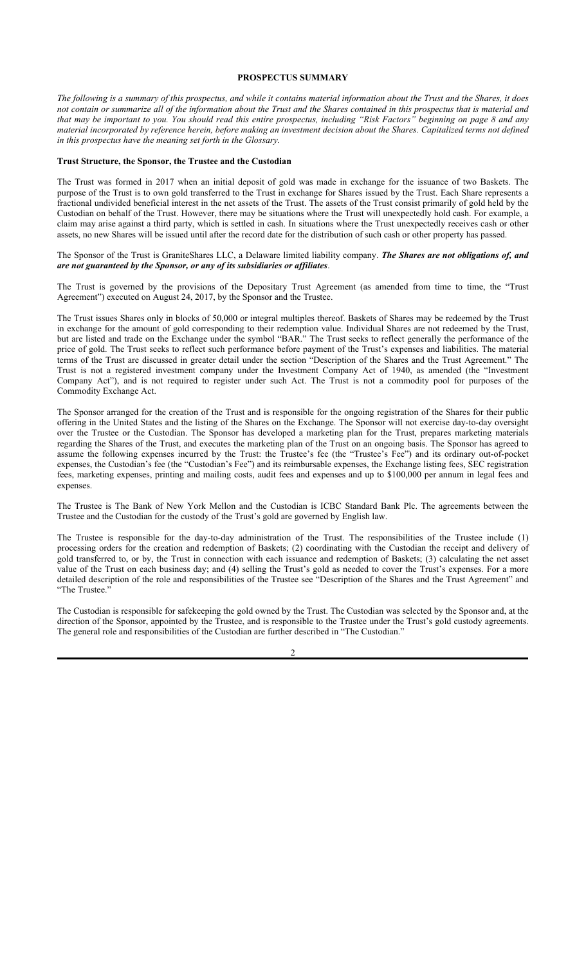## **PROSPECTUS SUMMARY**

*The following is a summary of this prospectus, and while it contains material information about the Trust and the Shares, it does not contain or summarize all of the information about the Trust and the Shares contained in this prospectus that is material and that may be important to you. You should read this entire prospectus, including "Risk Factors" beginning on page 8 and any material incorporated by reference herein, before making an investment decision about the Shares. Capitalized terms not defined in this prospectus have the meaning set forth in the Glossary.*

### **Trust Structure, the Sponsor, the Trustee and the Custodian**

The Trust was formed in 2017 when an initial deposit of gold was made in exchange for the issuance of two Baskets. The purpose of the Trust is to own gold transferred to the Trust in exchange for Shares issued by the Trust. Each Share represents a fractional undivided beneficial interest in the net assets of the Trust. The assets of the Trust consist primarily of gold held by the Custodian on behalf of the Trust. However, there may be situations where the Trust will unexpectedly hold cash. For example, a claim may arise against a third party, which is settled in cash. In situations where the Trust unexpectedly receives cash or other assets, no new Shares will be issued until after the record date for the distribution of such cash or other property has passed.

#### The Sponsor of the Trust is GraniteShares LLC, a Delaware limited liability company. *The Shares are not obligations of, and are not guaranteed by the Sponsor, or any of its subsidiaries or affiliates*.

The Trust is governed by the provisions of the Depositary Trust Agreement (as amended from time to time, the "Trust Agreement") executed on August 24, 2017, by the Sponsor and the Trustee.

The Trust issues Shares only in blocks of 50,000 or integral multiples thereof. Baskets of Shares may be redeemed by the Trust in exchange for the amount of gold corresponding to their redemption value. Individual Shares are not redeemed by the Trust, but are listed and trade on the Exchange under the symbol "BAR." The Trust seeks to reflect generally the performance of the price of gold. The Trust seeks to reflect such performance before payment of the Trust's expenses and liabilities. The material terms of the Trust are discussed in greater detail under the section "Description of the Shares and the Trust Agreement." The Trust is not a registered investment company under the Investment Company Act of 1940, as amended (the "Investment Company Act"), and is not required to register under such Act. The Trust is not a commodity pool for purposes of the Commodity Exchange Act.

The Sponsor arranged for the creation of the Trust and is responsible for the ongoing registration of the Shares for their public offering in the United States and the listing of the Shares on the Exchange. The Sponsor will not exercise day-to-day oversight over the Trustee or the Custodian. The Sponsor has developed a marketing plan for the Trust, prepares marketing materials regarding the Shares of the Trust, and executes the marketing plan of the Trust on an ongoing basis. The Sponsor has agreed to assume the following expenses incurred by the Trust: the Trustee's fee (the "Trustee's Fee") and its ordinary out-of-pocket expenses, the Custodian's fee (the "Custodian's Fee") and its reimbursable expenses, the Exchange listing fees, SEC registration fees, marketing expenses, printing and mailing costs, audit fees and expenses and up to \$100,000 per annum in legal fees and expenses.

The Trustee is The Bank of New York Mellon and the Custodian is ICBC Standard Bank Plc. The agreements between the Trustee and the Custodian for the custody of the Trust's gold are governed by English law.

The Trustee is responsible for the day-to-day administration of the Trust. The responsibilities of the Trustee include (1) processing orders for the creation and redemption of Baskets; (2) coordinating with the Custodian the receipt and delivery of gold transferred to, or by, the Trust in connection with each issuance and redemption of Baskets; (3) calculating the net asset value of the Trust on each business day; and (4) selling the Trust's gold as needed to cover the Trust's expenses. For a more detailed description of the role and responsibilities of the Trustee see "Description of the Shares and the Trust Agreement" and "The Trustee."

The Custodian is responsible for safekeeping the gold owned by the Trust. The Custodian was selected by the Sponsor and, at the direction of the Sponsor, appointed by the Trustee, and is responsible to the Trustee under the Trust's gold custody agreements. The general role and responsibilities of the Custodian are further described in "The Custodian."

 $\overline{\mathcal{L}}$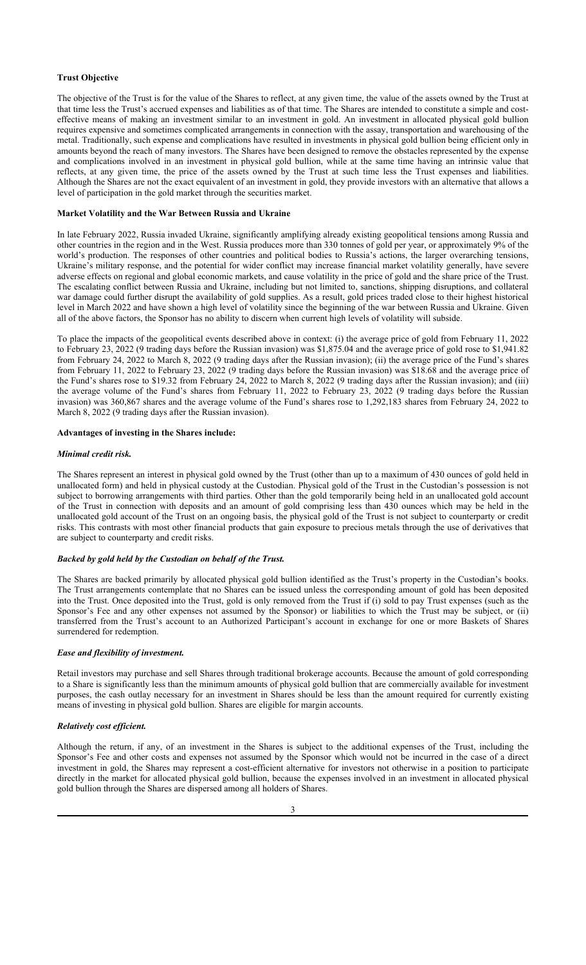## **Trust Objective**

The objective of the Trust is for the value of the Shares to reflect, at any given time, the value of the assets owned by the Trust at that time less the Trust's accrued expenses and liabilities as of that time. The Shares are intended to constitute a simple and costeffective means of making an investment similar to an investment in gold. An investment in allocated physical gold bullion requires expensive and sometimes complicated arrangements in connection with the assay, transportation and warehousing of the metal. Traditionally, such expense and complications have resulted in investments in physical gold bullion being efficient only in amounts beyond the reach of many investors. The Shares have been designed to remove the obstacles represented by the expense and complications involved in an investment in physical gold bullion, while at the same time having an intrinsic value that reflects, at any given time, the price of the assets owned by the Trust at such time less the Trust expenses and liabilities. Although the Shares are not the exact equivalent of an investment in gold, they provide investors with an alternative that allows a level of participation in the gold market through the securities market.

#### **Market Volatility and the War Between Russia and Ukraine**

In late February 2022, Russia invaded Ukraine, significantly amplifying already existing geopolitical tensions among Russia and other countries in the region and in the West. Russia produces more than 330 tonnes of gold per year, or approximately 9% of the world's production. The responses of other countries and political bodies to Russia's actions, the larger overarching tensions, Ukraine's military response, and the potential for wider conflict may increase financial market volatility generally, have severe adverse effects on regional and global economic markets, and cause volatility in the price of gold and the share price of the Trust. The escalating conflict between Russia and Ukraine, including but not limited to, sanctions, shipping disruptions, and collateral war damage could further disrupt the availability of gold supplies. As a result, gold prices traded close to their highest historical level in March 2022 and have shown a high level of volatility since the beginning of the war between Russia and Ukraine. Given all of the above factors, the Sponsor has no ability to discern when current high levels of volatility will subside.

To place the impacts of the geopolitical events described above in context: (i) the average price of gold from February 11, 2022 to February 23, 2022 (9 trading days before the Russian invasion) was \$1,875.04 and the average price of gold rose to \$1,941.82 from February 24, 2022 to March 8, 2022 (9 trading days after the Russian invasion); (ii) the average price of the Fund's shares from February 11, 2022 to February 23, 2022 (9 trading days before the Russian invasion) was \$18.68 and the average price of the Fund's shares rose to \$19.32 from February 24, 2022 to March 8, 2022 (9 trading days after the Russian invasion); and (iii) the average volume of the Fund's shares from February 11, 2022 to February 23, 2022 (9 trading days before the Russian invasion) was 360,867 shares and the average volume of the Fund's shares rose to 1,292,183 shares from February 24, 2022 to March 8, 2022 (9 trading days after the Russian invasion).

## **Advantages of investing in the Shares include:**

#### *Minimal credit risk.*

The Shares represent an interest in physical gold owned by the Trust (other than up to a maximum of 430 ounces of gold held in unallocated form) and held in physical custody at the Custodian. Physical gold of the Trust in the Custodian's possession is not subject to borrowing arrangements with third parties. Other than the gold temporarily being held in an unallocated gold account of the Trust in connection with deposits and an amount of gold comprising less than 430 ounces which may be held in the unallocated gold account of the Trust on an ongoing basis, the physical gold of the Trust is not subject to counterparty or credit risks. This contrasts with most other financial products that gain exposure to precious metals through the use of derivatives that are subject to counterparty and credit risks.

#### *Backed by gold held by the Custodian on behalf of the Trust.*

The Shares are backed primarily by allocated physical gold bullion identified as the Trust's property in the Custodian's books. The Trust arrangements contemplate that no Shares can be issued unless the corresponding amount of gold has been deposited into the Trust. Once deposited into the Trust, gold is only removed from the Trust if (i) sold to pay Trust expenses (such as the Sponsor's Fee and any other expenses not assumed by the Sponsor) or liabilities to which the Trust may be subject, or (ii) transferred from the Trust's account to an Authorized Participant's account in exchange for one or more Baskets of Shares surrendered for redemption.

### *Ease and flexibility of investment.*

Retail investors may purchase and sell Shares through traditional brokerage accounts. Because the amount of gold corresponding to a Share is significantly less than the minimum amounts of physical gold bullion that are commercially available for investment purposes, the cash outlay necessary for an investment in Shares should be less than the amount required for currently existing means of investing in physical gold bullion. Shares are eligible for margin accounts.

#### *Relatively cost efficient.*

Although the return, if any, of an investment in the Shares is subject to the additional expenses of the Trust, including the Sponsor's Fee and other costs and expenses not assumed by the Sponsor which would not be incurred in the case of a direct investment in gold, the Shares may represent a cost-efficient alternative for investors not otherwise in a position to participate directly in the market for allocated physical gold bullion, because the expenses involved in an investment in allocated physical gold bullion through the Shares are dispersed among all holders of Shares.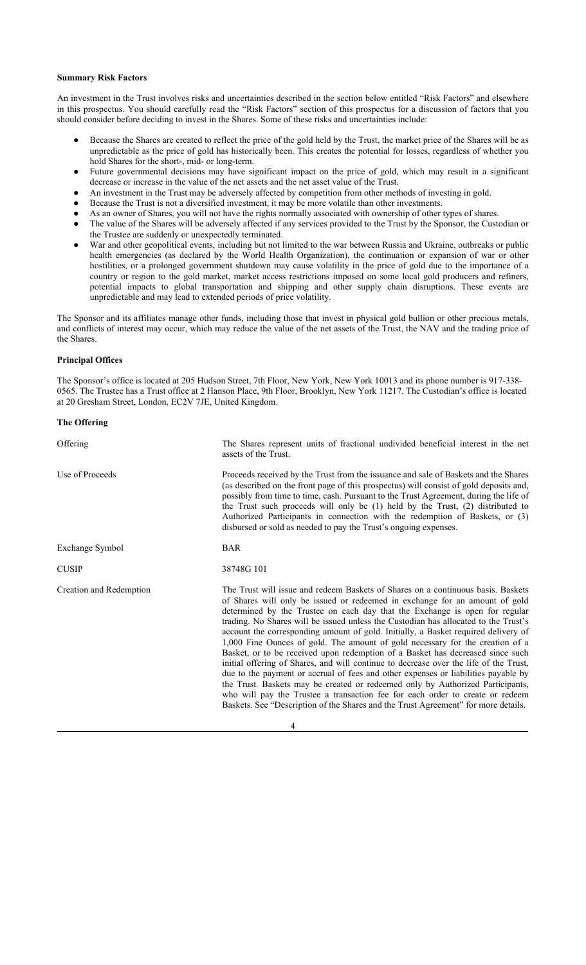## **Summary Risk Factors**

An investment in the Trust involves risks and uncertainties described in the section below entitled "Risk Factors" and elsewhere in this prospectus. You should carefully read the "Risk Factors" section of this prospectus for a discussion of factors that you should consider before deciding to invest in the Shares. Some of these risks and uncertainties include:

- Because the Shares are created to reflect the price of the gold held by the Trust, the market price of the Shares will be as unpredictable as the price of gold has historically been. This creates the potential for losses, regardless of whether you hold Shares for the short-, mid- or long-term.
- Future governmental decisions may have significant impact on the price of gold, which may result in a significant decrease or increase in the value of the net assets and the net asset value of the Trust.
- An investment in the Trust may be adversely affected by competition from other methods of investing in gold.
- Because the Trust is not a diversified investment, it may be more volatile than other investments.
- As an owner of Shares, you will not have the rights normally associated with ownership of other types of shares.
- The value of the Shares will be adversely affected if any services provided to the Trust by the Sponsor, the Custodian or the Trustee are suddenly or unexpectedly terminated.
- War and other geopolitical events, including but not limited to the war between Russia and Ukraine, outbreaks or public health emergencies (as declared by the World Health Organization), the continuation or expansion of war or other hostilities, or a prolonged government shutdown may cause volatility in the price of gold due to the importance of a country or region to the gold market, market access restrictions imposed on some local gold producers and refiners, potential impacts to global transportation and shipping and other supply chain disruptions. These events are unpredictable and may lead to extended periods of price volatility.

The Sponsor and its affiliates manage other funds, including those that invest in physical gold bullion or other precious metals, and conflicts of interest may occur, which may reduce the value of the net assets of the Trust, the NAV and the trading price of the Shares.

#### **Principal Offices**

The Sponsor's office is located at 205 Hudson Street, 7th Floor, New York, New York 10013 and its phone number is 917-338- 0565. The Trustee has a Trust office at 2 Hanson Place, 9th Floor, Brooklyn, New York 11217. The Custodian's office is located at 20 Gresham Street, London, EC2V 7JE, United Kingdom.

## **The Offering**

| The Shares represent units of fractional undivided beneficial interest in the net<br>assets of the Trust.                                                                                                                                                                                                                                                                                                                                                                                                                                                                                                                                                                                                                                                                                                                                                                                                                                                                                                                                          |  |  |  |  |  |
|----------------------------------------------------------------------------------------------------------------------------------------------------------------------------------------------------------------------------------------------------------------------------------------------------------------------------------------------------------------------------------------------------------------------------------------------------------------------------------------------------------------------------------------------------------------------------------------------------------------------------------------------------------------------------------------------------------------------------------------------------------------------------------------------------------------------------------------------------------------------------------------------------------------------------------------------------------------------------------------------------------------------------------------------------|--|--|--|--|--|
| Proceeds received by the Trust from the issuance and sale of Baskets and the Shares<br>(as described on the front page of this prospectus) will consist of gold deposits and,<br>possibly from time to time, cash. Pursuant to the Trust Agreement, during the life of<br>the Trust such proceeds will only be (1) held by the Trust, (2) distributed to<br>Authorized Participants in connection with the redemption of Baskets, or (3)<br>disbursed or sold as needed to pay the Trust's ongoing expenses.                                                                                                                                                                                                                                                                                                                                                                                                                                                                                                                                       |  |  |  |  |  |
| <b>BAR</b>                                                                                                                                                                                                                                                                                                                                                                                                                                                                                                                                                                                                                                                                                                                                                                                                                                                                                                                                                                                                                                         |  |  |  |  |  |
| 38748G 101                                                                                                                                                                                                                                                                                                                                                                                                                                                                                                                                                                                                                                                                                                                                                                                                                                                                                                                                                                                                                                         |  |  |  |  |  |
| The Trust will issue and redeem Baskets of Shares on a continuous basis. Baskets<br>of Shares will only be issued or redeemed in exchange for an amount of gold<br>determined by the Trustee on each day that the Exchange is open for regular<br>trading. No Shares will be issued unless the Custodian has allocated to the Trust's<br>account the corresponding amount of gold. Initially, a Basket required delivery of<br>1,000 Fine Ounces of gold. The amount of gold necessary for the creation of a<br>Basket, or to be received upon redemption of a Basket has decreased since such<br>initial offering of Shares, and will continue to decrease over the life of the Trust,<br>due to the payment or accrual of fees and other expenses or liabilities payable by<br>the Trust. Baskets may be created or redeemed only by Authorized Participants,<br>who will pay the Trustee a transaction fee for each order to create or redeem<br>Baskets. See "Description of the Shares and the Trust Agreement" for more details.<br>$\Delta$ |  |  |  |  |  |
|                                                                                                                                                                                                                                                                                                                                                                                                                                                                                                                                                                                                                                                                                                                                                                                                                                                                                                                                                                                                                                                    |  |  |  |  |  |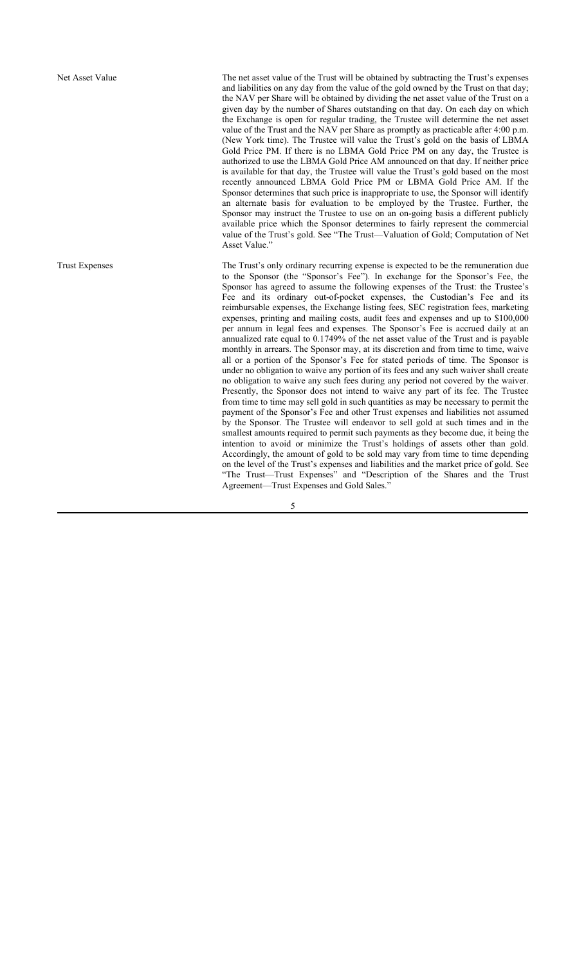Net Asset Value The net asset value of the Trust will be obtained by subtracting the Trust's expenses and liabilities on any day from the value of the gold owned by the Trust on that day; the NAV per Share will be obtained by dividing the net asset value of the Trust on a given day by the number of Shares outstanding on that day. On each day on which the Exchange is open for regular trading, the Trustee will determine the net asset value of the Trust and the NAV per Share as promptly as practicable after 4:00 p.m. (New York time). The Trustee will value the Trust's gold on the basis of LBMA Gold Price PM. If there is no LBMA Gold Price PM on any day, the Trustee is authorized to use the LBMA Gold Price AM announced on that day. If neither price is available for that day, the Trustee will value the Trust's gold based on the most recently announced LBMA Gold Price PM or LBMA Gold Price AM. If the Sponsor determines that such price is inappropriate to use, the Sponsor will identify an alternate basis for evaluation to be employed by the Trustee. Further, the Sponsor may instruct the Trustee to use on an on-going basis a different publicly available price which the Sponsor determines to fairly represent the commercial value of the Trust's gold. See "The Trust—Valuation of Gold; Computation of Net Asset Value."

Trust Expenses The Trust's only ordinary recurring expense is expected to be the remuneration due to the Sponsor (the "Sponsor's Fee"). In exchange for the Sponsor's Fee, the Sponsor has agreed to assume the following expenses of the Trust: the Trustee's Fee and its ordinary out-of-pocket expenses, the Custodian's Fee and its reimbursable expenses, the Exchange listing fees, SEC registration fees, marketing expenses, printing and mailing costs, audit fees and expenses and up to \$100,000 per annum in legal fees and expenses. The Sponsor's Fee is accrued daily at an annualized rate equal to  $0.1749\%$  of the net asset value of the Trust and is payable monthly in arrears. The Sponsor may, at its discretion and from time to time, waive all or a portion of the Sponsor's Fee for stated periods of time. The Sponsor is under no obligation to waive any portion of its fees and any such waiver shall create no obligation to waive any such fees during any period not covered by the waiver. Presently, the Sponsor does not intend to waive any part of its fee. The Trustee from time to time may sell gold in such quantities as may be necessary to permit the payment of the Sponsor's Fee and other Trust expenses and liabilities not assumed by the Sponsor. The Trustee will endeavor to sell gold at such times and in the smallest amounts required to permit such payments as they become due, it being the intention to avoid or minimize the Trust's holdings of assets other than gold. Accordingly, the amount of gold to be sold may vary from time to time depending on the level of the Trust's expenses and liabilities and the market price of gold. See "The Trust—Trust Expenses" and "Description of the Shares and the Trust Agreement—Trust Expenses and Gold Sales."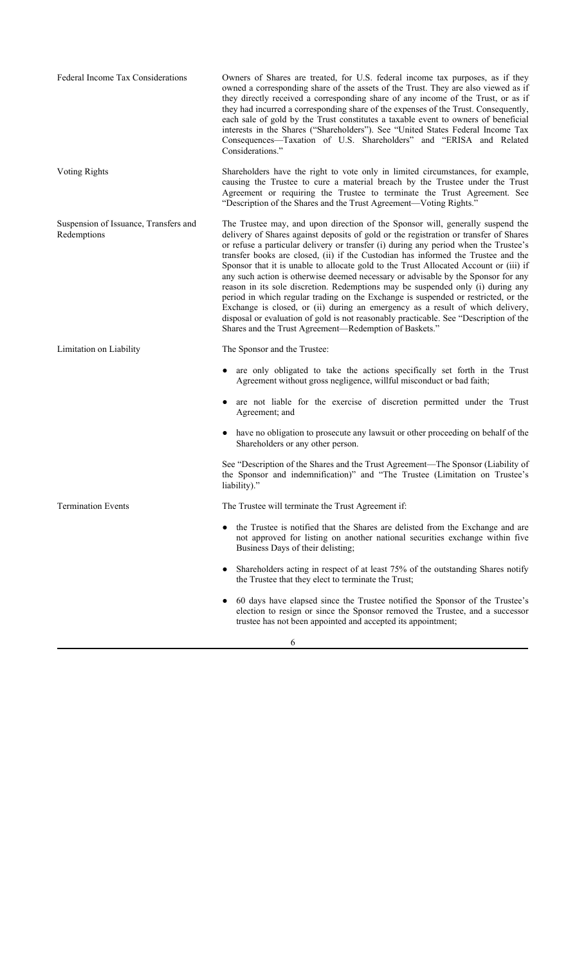| Federal Income Tax Considerations                    | Owners of Shares are treated, for U.S. federal income tax purposes, as if they<br>owned a corresponding share of the assets of the Trust. They are also viewed as if<br>they directly received a corresponding share of any income of the Trust, or as if<br>they had incurred a corresponding share of the expenses of the Trust. Consequently,<br>each sale of gold by the Trust constitutes a taxable event to owners of beneficial<br>interests in the Shares ("Shareholders"). See "United States Federal Income Tax<br>Consequences-Taxation of U.S. Shareholders" and "ERISA and Related<br>Considerations."                                                                                                                                                                                                                                                                                                                              |
|------------------------------------------------------|--------------------------------------------------------------------------------------------------------------------------------------------------------------------------------------------------------------------------------------------------------------------------------------------------------------------------------------------------------------------------------------------------------------------------------------------------------------------------------------------------------------------------------------------------------------------------------------------------------------------------------------------------------------------------------------------------------------------------------------------------------------------------------------------------------------------------------------------------------------------------------------------------------------------------------------------------|
| Voting Rights                                        | Shareholders have the right to vote only in limited circumstances, for example,<br>causing the Trustee to cure a material breach by the Trustee under the Trust<br>Agreement or requiring the Trustee to terminate the Trust Agreement. See<br>"Description of the Shares and the Trust Agreement—Voting Rights."                                                                                                                                                                                                                                                                                                                                                                                                                                                                                                                                                                                                                                |
| Suspension of Issuance, Transfers and<br>Redemptions | The Trustee may, and upon direction of the Sponsor will, generally suspend the<br>delivery of Shares against deposits of gold or the registration or transfer of Shares<br>or refuse a particular delivery or transfer (i) during any period when the Trustee's<br>transfer books are closed, (ii) if the Custodian has informed the Trustee and the<br>Sponsor that it is unable to allocate gold to the Trust Allocated Account or (iii) if<br>any such action is otherwise deemed necessary or advisable by the Sponsor for any<br>reason in its sole discretion. Redemptions may be suspended only (i) during any<br>period in which regular trading on the Exchange is suspended or restricted, or the<br>Exchange is closed, or (ii) during an emergency as a result of which delivery,<br>disposal or evaluation of gold is not reasonably practicable. See "Description of the<br>Shares and the Trust Agreement-Redemption of Baskets." |
| Limitation on Liability                              | The Sponsor and the Trustee:                                                                                                                                                                                                                                                                                                                                                                                                                                                                                                                                                                                                                                                                                                                                                                                                                                                                                                                     |
|                                                      | are only obligated to take the actions specifically set forth in the Trust<br>Agreement without gross negligence, willful misconduct or bad faith;                                                                                                                                                                                                                                                                                                                                                                                                                                                                                                                                                                                                                                                                                                                                                                                               |
|                                                      | are not liable for the exercise of discretion permitted under the Trust<br>Agreement; and                                                                                                                                                                                                                                                                                                                                                                                                                                                                                                                                                                                                                                                                                                                                                                                                                                                        |
|                                                      | have no obligation to prosecute any lawsuit or other proceeding on behalf of the<br>Shareholders or any other person.                                                                                                                                                                                                                                                                                                                                                                                                                                                                                                                                                                                                                                                                                                                                                                                                                            |
|                                                      | See "Description of the Shares and the Trust Agreement—The Sponsor (Liability of<br>the Sponsor and indemnification)" and "The Trustee (Limitation on Trustee's<br>liability)."                                                                                                                                                                                                                                                                                                                                                                                                                                                                                                                                                                                                                                                                                                                                                                  |
| <b>Termination Events</b>                            | The Trustee will terminate the Trust Agreement if:                                                                                                                                                                                                                                                                                                                                                                                                                                                                                                                                                                                                                                                                                                                                                                                                                                                                                               |
|                                                      | the Trustee is notified that the Shares are delisted from the Exchange and are<br>not approved for listing on another national securities exchange within five<br>Business Days of their delisting;                                                                                                                                                                                                                                                                                                                                                                                                                                                                                                                                                                                                                                                                                                                                              |
|                                                      | Shareholders acting in respect of at least 75% of the outstanding Shares notify<br>٠<br>the Trustee that they elect to terminate the Trust;                                                                                                                                                                                                                                                                                                                                                                                                                                                                                                                                                                                                                                                                                                                                                                                                      |
|                                                      | 60 days have elapsed since the Trustee notified the Sponsor of the Trustee's<br>٠<br>election to resign or since the Sponsor removed the Trustee, and a successor<br>trustee has not been appointed and accepted its appointment;                                                                                                                                                                                                                                                                                                                                                                                                                                                                                                                                                                                                                                                                                                                |

6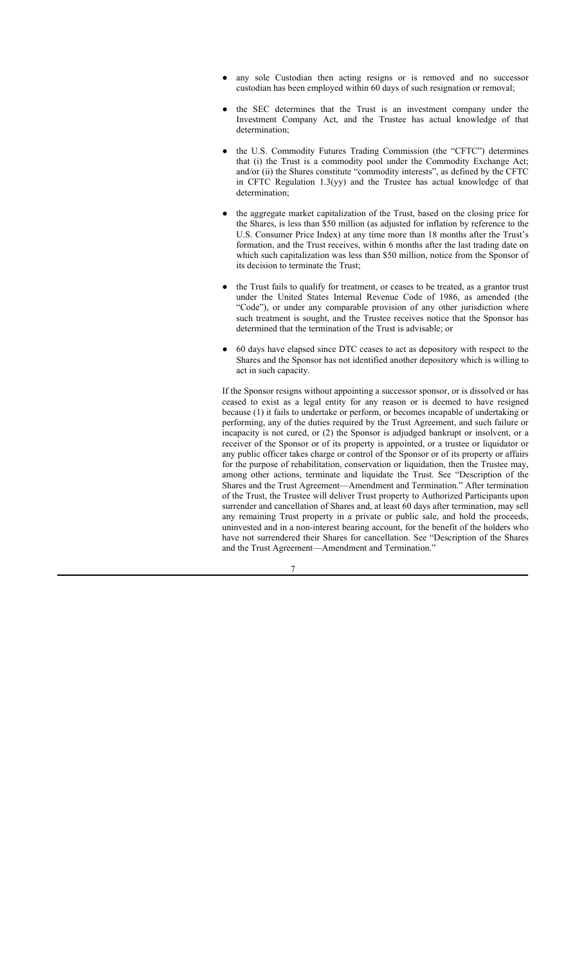- any sole Custodian then acting resigns or is removed and no successor custodian has been employed within 60 days of such resignation or removal;
- the SEC determines that the Trust is an investment company under the Investment Company Act, and the Trustee has actual knowledge of that determination;
- the U.S. Commodity Futures Trading Commission (the "CFTC") determines that (i) the Trust is a commodity pool under the Commodity Exchange Act; and/or (ii) the Shares constitute "commodity interests", as defined by the CFTC in CFTC Regulation 1.3(yy) and the Trustee has actual knowledge of that determination;
- the aggregate market capitalization of the Trust, based on the closing price for the Shares, is less than \$50 million (as adjusted for inflation by reference to the U.S. Consumer Price Index) at any time more than 18 months after the Trust's formation, and the Trust receives, within 6 months after the last trading date on which such capitalization was less than \$50 million, notice from the Sponsor of its decision to terminate the Trust;
- the Trust fails to qualify for treatment, or ceases to be treated, as a grantor trust under the United States Internal Revenue Code of 1986, as amended (the "Code"), or under any comparable provision of any other jurisdiction where such treatment is sought, and the Trustee receives notice that the Sponsor has determined that the termination of the Trust is advisable; or
- 60 days have elapsed since DTC ceases to act as depository with respect to the Shares and the Sponsor has not identified another depository which is willing to act in such capacity.

If the Sponsor resigns without appointing a successor sponsor, or is dissolved or has ceased to exist as a legal entity for any reason or is deemed to have resigned because (1) it fails to undertake or perform, or becomes incapable of undertaking or performing, any of the duties required by the Trust Agreement, and such failure or incapacity is not cured, or (2) the Sponsor is adjudged bankrupt or insolvent, or a receiver of the Sponsor or of its property is appointed, or a trustee or liquidator or any public officer takes charge or control of the Sponsor or of its property or affairs for the purpose of rehabilitation, conservation or liquidation, then the Trustee may, among other actions, terminate and liquidate the Trust. See "Description of the Shares and the Trust Agreement—Amendment and Termination." After termination of the Trust, the Trustee will deliver Trust property to Authorized Participants upon surrender and cancellation of Shares and, at least 60 days after termination, may sell any remaining Trust property in a private or public sale, and hold the proceeds, uninvested and in a non-interest bearing account, for the benefit of the holders who have not surrendered their Shares for cancellation. See "Description of the Shares and the Trust Agreement—Amendment and Termination."

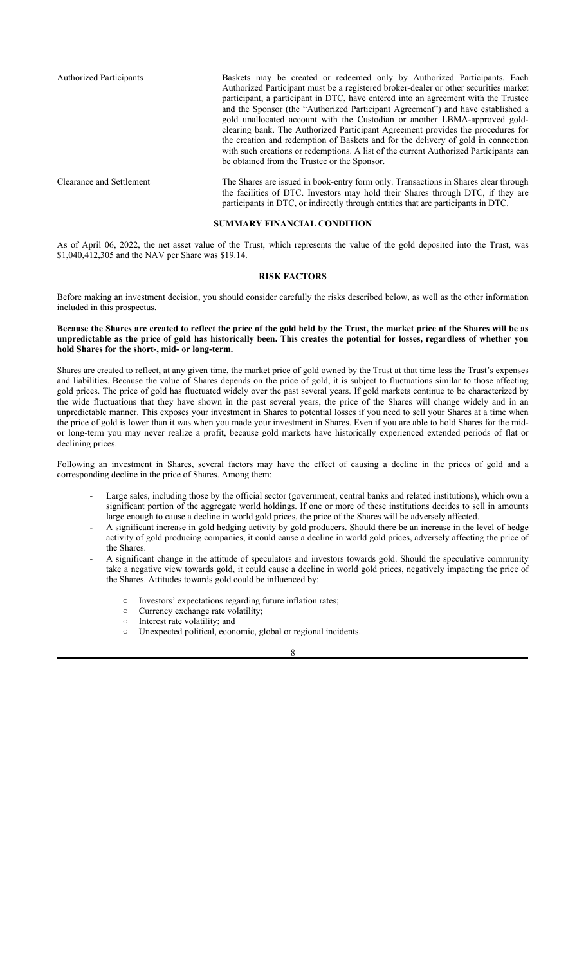Authorized Participants Baskets may be created or redeemed only by Authorized Participants. Each Authorized Participant must be a registered broker-dealer or other securities market participant, a participant in DTC, have entered into an agreement with the Trustee and the Sponsor (the "Authorized Participant Agreement") and have established a gold unallocated account with the Custodian or another LBMA-approved goldclearing bank. The Authorized Participant Agreement provides the procedures for the creation and redemption of Baskets and for the delivery of gold in connection with such creations or redemptions. A list of the current Authorized Participants can be obtained from the Trustee or the Sponsor.

Clearance and Settlement The Shares are issued in book-entry form only. Transactions in Shares clear through the facilities of DTC. Investors may hold their Shares through DTC, if they are participants in DTC, or indirectly through entities that are participants in DTC.

### **SUMMARY FINANCIAL CONDITION**

As of April 06, 2022, the net asset value of the Trust, which represents the value of the gold deposited into the Trust, was \$1,040,412,305 and the NAV per Share was \$19.14.

### **RISK FACTORS**

Before making an investment decision, you should consider carefully the risks described below, as well as the other information included in this prospectus.

#### **Because the Shares are created to reflect the price of the gold held by the Trust, the market price of the Shares will be as unpredictable as the price of gold has historically been. This creates the potential for losses, regardless of whether you hold Shares for the short-, mid- or long-term.**

Shares are created to reflect, at any given time, the market price of gold owned by the Trust at that time less the Trust's expenses and liabilities. Because the value of Shares depends on the price of gold, it is subject to fluctuations similar to those affecting gold prices. The price of gold has fluctuated widely over the past several years. If gold markets continue to be characterized by the wide fluctuations that they have shown in the past several years, the price of the Shares will change widely and in an unpredictable manner. This exposes your investment in Shares to potential losses if you need to sell your Shares at a time when the price of gold is lower than it was when you made your investment in Shares. Even if you are able to hold Shares for the midor long-term you may never realize a profit, because gold markets have historically experienced extended periods of flat or declining prices.

Following an investment in Shares, several factors may have the effect of causing a decline in the prices of gold and a corresponding decline in the price of Shares. Among them:

- Large sales, including those by the official sector (government, central banks and related institutions), which own a significant portion of the aggregate world holdings. If one or more of these institutions decides to sell in amounts large enough to cause a decline in world gold prices, the price of the Shares will be adversely affected.
- A significant increase in gold hedging activity by gold producers. Should there be an increase in the level of hedge activity of gold producing companies, it could cause a decline in world gold prices, adversely affecting the price of the Shares.
- A significant change in the attitude of speculators and investors towards gold. Should the speculative community take a negative view towards gold, it could cause a decline in world gold prices, negatively impacting the price of the Shares. Attitudes towards gold could be influenced by:
	- Investors' expectations regarding future inflation rates;
	- Currency exchange rate volatility;
	- Interest rate volatility; and
	- Unexpected political, economic, global or regional incidents.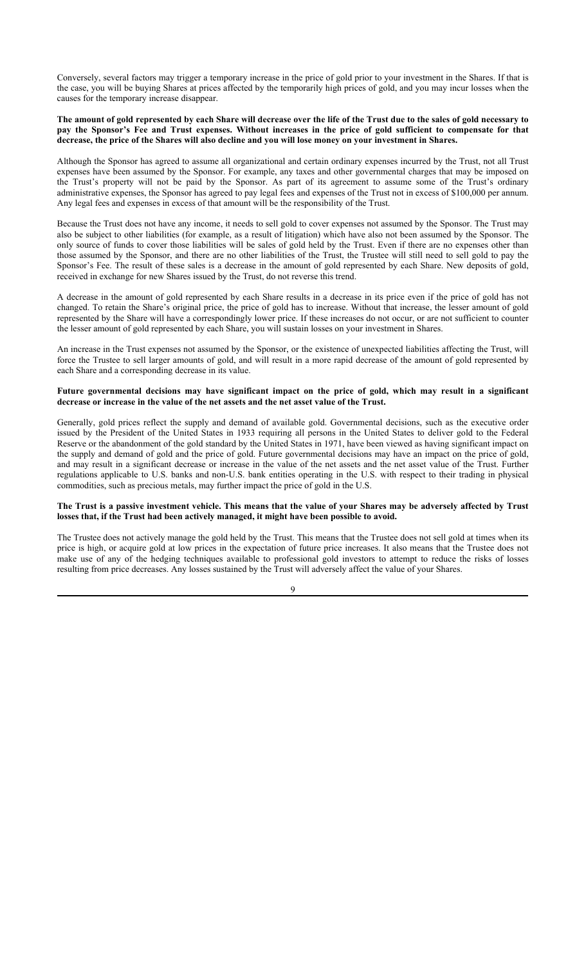Conversely, several factors may trigger a temporary increase in the price of gold prior to your investment in the Shares. If that is the case, you will be buying Shares at prices affected by the temporarily high prices of gold, and you may incur losses when the causes for the temporary increase disappear.

#### **The amount of gold represented by each Share will decrease over the life of the Trust due to the sales of gold necessary to pay the Sponsor's Fee and Trust expenses. Without increases in the price of gold sufficient to compensate for that decrease, the price of the Shares will also decline and you will lose money on your investment in Shares.**

Although the Sponsor has agreed to assume all organizational and certain ordinary expenses incurred by the Trust, not all Trust expenses have been assumed by the Sponsor. For example, any taxes and other governmental charges that may be imposed on the Trust's property will not be paid by the Sponsor. As part of its agreement to assume some of the Trust's ordinary administrative expenses, the Sponsor has agreed to pay legal fees and expenses of the Trust not in excess of \$100,000 per annum. Any legal fees and expenses in excess of that amount will be the responsibility of the Trust.

Because the Trust does not have any income, it needs to sell gold to cover expenses not assumed by the Sponsor. The Trust may also be subject to other liabilities (for example, as a result of litigation) which have also not been assumed by the Sponsor. The only source of funds to cover those liabilities will be sales of gold held by the Trust. Even if there are no expenses other than those assumed by the Sponsor, and there are no other liabilities of the Trust, the Trustee will still need to sell gold to pay the Sponsor's Fee. The result of these sales is a decrease in the amount of gold represented by each Share. New deposits of gold, received in exchange for new Shares issued by the Trust, do not reverse this trend.

A decrease in the amount of gold represented by each Share results in a decrease in its price even if the price of gold has not changed. To retain the Share's original price, the price of gold has to increase. Without that increase, the lesser amount of gold represented by the Share will have a correspondingly lower price. If these increases do not occur, or are not sufficient to counter the lesser amount of gold represented by each Share, you will sustain losses on your investment in Shares.

An increase in the Trust expenses not assumed by the Sponsor, or the existence of unexpected liabilities affecting the Trust, will force the Trustee to sell larger amounts of gold, and will result in a more rapid decrease of the amount of gold represented by each Share and a corresponding decrease in its value.

### **Future governmental decisions may have significant impact on the price of gold, which may result in a significant decrease or increase in the value of the net assets and the net asset value of the Trust.**

Generally, gold prices reflect the supply and demand of available gold. Governmental decisions, such as the executive order issued by the President of the United States in 1933 requiring all persons in the United States to deliver gold to the Federal Reserve or the abandonment of the gold standard by the United States in 1971, have been viewed as having significant impact on the supply and demand of gold and the price of gold. Future governmental decisions may have an impact on the price of gold, and may result in a significant decrease or increase in the value of the net assets and the net asset value of the Trust. Further regulations applicable to U.S. banks and non-U.S. bank entities operating in the U.S. with respect to their trading in physical commodities, such as precious metals, may further impact the price of gold in the U.S.

## **The Trust is a passive investment vehicle. This means that the value of your Shares may be adversely affected by Trust losses that, if the Trust had been actively managed, it might have been possible to avoid.**

The Trustee does not actively manage the gold held by the Trust. This means that the Trustee does not sell gold at times when its price is high, or acquire gold at low prices in the expectation of future price increases. It also means that the Trustee does not make use of any of the hedging techniques available to professional gold investors to attempt to reduce the risks of losses resulting from price decreases. Any losses sustained by the Trust will adversely affect the value of your Shares.

 $\overline{Q}$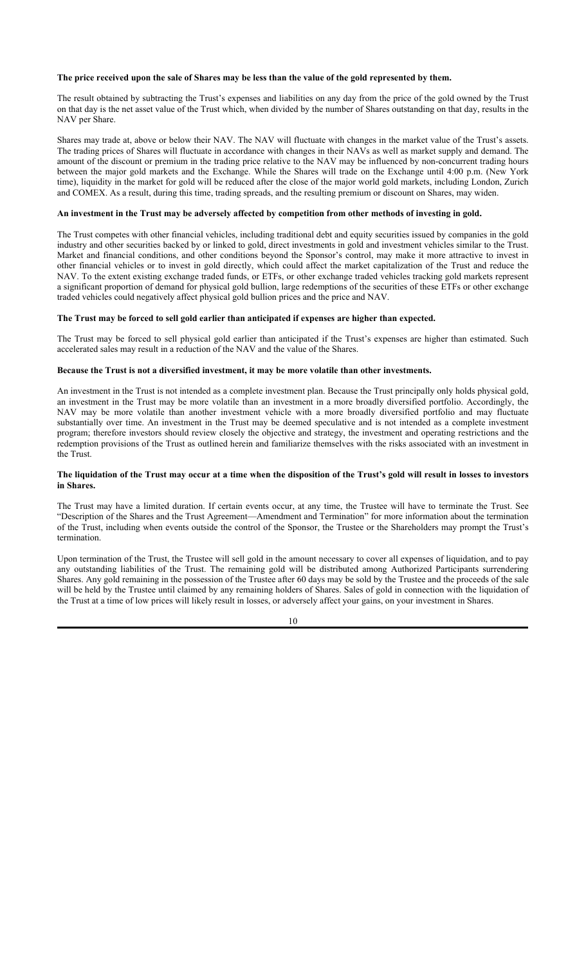### **The price received upon the sale of Shares may be less than the value of the gold represented by them.**

The result obtained by subtracting the Trust's expenses and liabilities on any day from the price of the gold owned by the Trust on that day is the net asset value of the Trust which, when divided by the number of Shares outstanding on that day, results in the NAV per Share.

Shares may trade at, above or below their NAV. The NAV will fluctuate with changes in the market value of the Trust's assets. The trading prices of Shares will fluctuate in accordance with changes in their NAVs as well as market supply and demand. The amount of the discount or premium in the trading price relative to the NAV may be influenced by non-concurrent trading hours between the major gold markets and the Exchange. While the Shares will trade on the Exchange until 4:00 p.m. (New York time), liquidity in the market for gold will be reduced after the close of the major world gold markets, including London, Zurich and COMEX. As a result, during this time, trading spreads, and the resulting premium or discount on Shares, may widen.

#### **An investment in the Trust may be adversely affected by competition from other methods of investing in gold.**

The Trust competes with other financial vehicles, including traditional debt and equity securities issued by companies in the gold industry and other securities backed by or linked to gold, direct investments in gold and investment vehicles similar to the Trust. Market and financial conditions, and other conditions beyond the Sponsor's control, may make it more attractive to invest in other financial vehicles or to invest in gold directly, which could affect the market capitalization of the Trust and reduce the NAV. To the extent existing exchange traded funds, or ETFs, or other exchange traded vehicles tracking gold markets represent a significant proportion of demand for physical gold bullion, large redemptions of the securities of these ETFs or other exchange traded vehicles could negatively affect physical gold bullion prices and the price and NAV.

### **The Trust may be forced to sell gold earlier than anticipated if expenses are higher than expected.**

The Trust may be forced to sell physical gold earlier than anticipated if the Trust's expenses are higher than estimated. Such accelerated sales may result in a reduction of the NAV and the value of the Shares.

## **Because the Trust is not a diversified investment, it may be more volatile than other investments.**

An investment in the Trust is not intended as a complete investment plan. Because the Trust principally only holds physical gold, an investment in the Trust may be more volatile than an investment in a more broadly diversified portfolio. Accordingly, the NAV may be more volatile than another investment vehicle with a more broadly diversified portfolio and may fluctuate substantially over time. An investment in the Trust may be deemed speculative and is not intended as a complete investment program; therefore investors should review closely the objective and strategy, the investment and operating restrictions and the redemption provisions of the Trust as outlined herein and familiarize themselves with the risks associated with an investment in the Trust.

#### **The liquidation of the Trust may occur at a time when the disposition of the Trust's gold will result in losses to investors in Shares.**

The Trust may have a limited duration. If certain events occur, at any time, the Trustee will have to terminate the Trust. See "Description of the Shares and the Trust Agreement—Amendment and Termination" for more information about the termination of the Trust, including when events outside the control of the Sponsor, the Trustee or the Shareholders may prompt the Trust's termination.

Upon termination of the Trust, the Trustee will sell gold in the amount necessary to cover all expenses of liquidation, and to pay any outstanding liabilities of the Trust. The remaining gold will be distributed among Authorized Participants surrendering Shares. Any gold remaining in the possession of the Trustee after 60 days may be sold by the Trustee and the proceeds of the sale will be held by the Trustee until claimed by any remaining holders of Shares. Sales of gold in connection with the liquidation of the Trust at a time of low prices will likely result in losses, or adversely affect your gains, on your investment in Shares.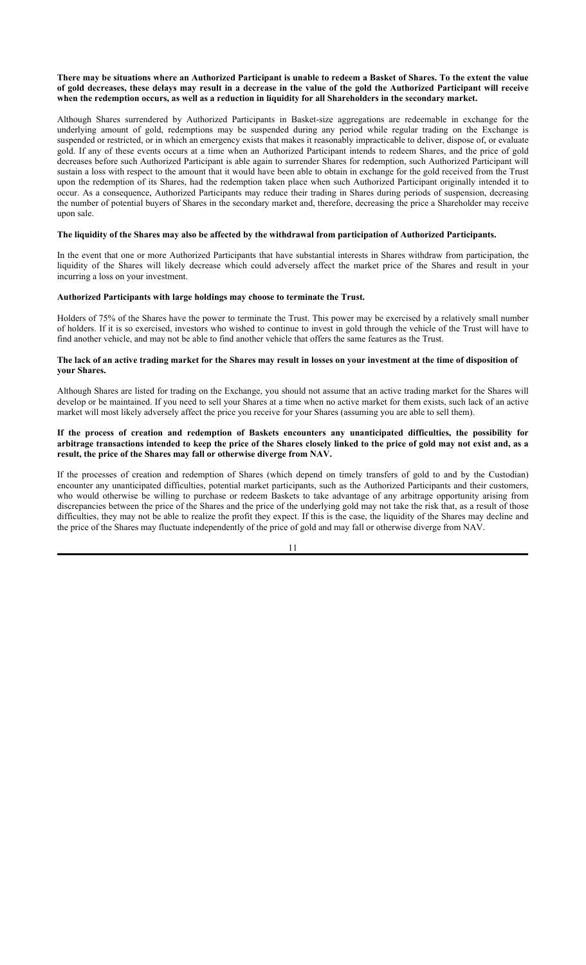### **There may be situations where an Authorized Participant is unable to redeem a Basket of Shares. To the extent the value of gold decreases, these delays may result in a decrease in the value of the gold the Authorized Participant will receive when the redemption occurs, as well as a reduction in liquidity for all Shareholders in the secondary market.**

Although Shares surrendered by Authorized Participants in Basket-size aggregations are redeemable in exchange for the underlying amount of gold, redemptions may be suspended during any period while regular trading on the Exchange is suspended or restricted, or in which an emergency exists that makes it reasonably impracticable to deliver, dispose of, or evaluate gold. If any of these events occurs at a time when an Authorized Participant intends to redeem Shares, and the price of gold decreases before such Authorized Participant is able again to surrender Shares for redemption, such Authorized Participant will sustain a loss with respect to the amount that it would have been able to obtain in exchange for the gold received from the Trust upon the redemption of its Shares, had the redemption taken place when such Authorized Participant originally intended it to occur. As a consequence, Authorized Participants may reduce their trading in Shares during periods of suspension, decreasing the number of potential buyers of Shares in the secondary market and, therefore, decreasing the price a Shareholder may receive upon sale.

#### **The liquidity of the Shares may also be affected by the withdrawal from participation of Authorized Participants.**

In the event that one or more Authorized Participants that have substantial interests in Shares withdraw from participation, the liquidity of the Shares will likely decrease which could adversely affect the market price of the Shares and result in your incurring a loss on your investment.

### **Authorized Participants with large holdings may choose to terminate the Trust.**

Holders of 75% of the Shares have the power to terminate the Trust. This power may be exercised by a relatively small number of holders. If it is so exercised, investors who wished to continue to invest in gold through the vehicle of the Trust will have to find another vehicle, and may not be able to find another vehicle that offers the same features as the Trust.

#### **The lack of an active trading market for the Shares may result in losses on your investment at the time of disposition of your Shares.**

Although Shares are listed for trading on the Exchange, you should not assume that an active trading market for the Shares will develop or be maintained. If you need to sell your Shares at a time when no active market for them exists, such lack of an active market will most likely adversely affect the price you receive for your Shares (assuming you are able to sell them).

### **If the process of creation and redemption of Baskets encounters any unanticipated difficulties, the possibility for arbitrage transactions intended to keep the price of the Shares closely linked to the price of gold may not exist and, as a result, the price of the Shares may fall or otherwise diverge from NAV.**

If the processes of creation and redemption of Shares (which depend on timely transfers of gold to and by the Custodian) encounter any unanticipated difficulties, potential market participants, such as the Authorized Participants and their customers, who would otherwise be willing to purchase or redeem Baskets to take advantage of any arbitrage opportunity arising from discrepancies between the price of the Shares and the price of the underlying gold may not take the risk that, as a result of those difficulties, they may not be able to realize the profit they expect. If this is the case, the liquidity of the Shares may decline and the price of the Shares may fluctuate independently of the price of gold and may fall or otherwise diverge from NAV.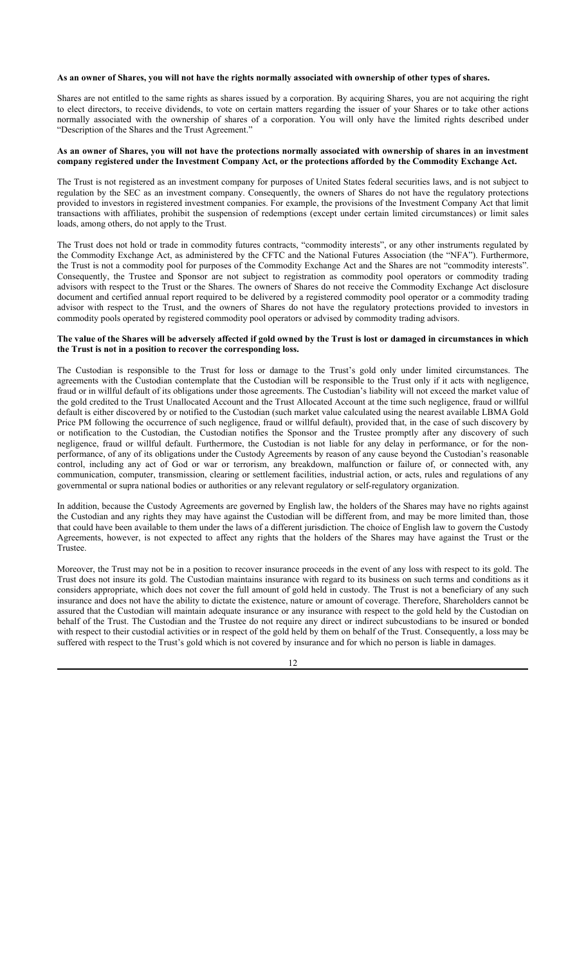#### **As an owner of Shares, you will not have the rights normally associated with ownership of other types of shares.**

Shares are not entitled to the same rights as shares issued by a corporation. By acquiring Shares, you are not acquiring the right to elect directors, to receive dividends, to vote on certain matters regarding the issuer of your Shares or to take other actions normally associated with the ownership of shares of a corporation. You will only have the limited rights described under "Description of the Shares and the Trust Agreement."

### **As an owner of Shares, you will not have the protections normally associated with ownership of shares in an investment company registered under the Investment Company Act, or the protections afforded by the Commodity Exchange Act.**

The Trust is not registered as an investment company for purposes of United States federal securities laws, and is not subject to regulation by the SEC as an investment company. Consequently, the owners of Shares do not have the regulatory protections provided to investors in registered investment companies. For example, the provisions of the Investment Company Act that limit transactions with affiliates, prohibit the suspension of redemptions (except under certain limited circumstances) or limit sales loads, among others, do not apply to the Trust.

The Trust does not hold or trade in commodity futures contracts, "commodity interests", or any other instruments regulated by the Commodity Exchange Act, as administered by the CFTC and the National Futures Association (the "NFA"). Furthermore, the Trust is not a commodity pool for purposes of the Commodity Exchange Act and the Shares are not "commodity interests". Consequently, the Trustee and Sponsor are not subject to registration as commodity pool operators or commodity trading advisors with respect to the Trust or the Shares. The owners of Shares do not receive the Commodity Exchange Act disclosure document and certified annual report required to be delivered by a registered commodity pool operator or a commodity trading advisor with respect to the Trust, and the owners of Shares do not have the regulatory protections provided to investors in commodity pools operated by registered commodity pool operators or advised by commodity trading advisors.

## **The value of the Shares will be adversely affected if gold owned by the Trust is lost or damaged in circumstances in which the Trust is not in a position to recover the corresponding loss.**

The Custodian is responsible to the Trust for loss or damage to the Trust's gold only under limited circumstances. The agreements with the Custodian contemplate that the Custodian will be responsible to the Trust only if it acts with negligence, fraud or in willful default of its obligations under those agreements. The Custodian's liability will not exceed the market value of the gold credited to the Trust Unallocated Account and the Trust Allocated Account at the time such negligence, fraud or willful default is either discovered by or notified to the Custodian (such market value calculated using the nearest available LBMA Gold Price PM following the occurrence of such negligence, fraud or willful default), provided that, in the case of such discovery by or notification to the Custodian, the Custodian notifies the Sponsor and the Trustee promptly after any discovery of such negligence, fraud or willful default. Furthermore, the Custodian is not liable for any delay in performance, or for the nonperformance, of any of its obligations under the Custody Agreements by reason of any cause beyond the Custodian's reasonable control, including any act of God or war or terrorism, any breakdown, malfunction or failure of, or connected with, any communication, computer, transmission, clearing or settlement facilities, industrial action, or acts, rules and regulations of any governmental or supra national bodies or authorities or any relevant regulatory or self-regulatory organization.

In addition, because the Custody Agreements are governed by English law, the holders of the Shares may have no rights against the Custodian and any rights they may have against the Custodian will be different from, and may be more limited than, those that could have been available to them under the laws of a different jurisdiction. The choice of English law to govern the Custody Agreements, however, is not expected to affect any rights that the holders of the Shares may have against the Trust or the Trustee.

Moreover, the Trust may not be in a position to recover insurance proceeds in the event of any loss with respect to its gold. The Trust does not insure its gold. The Custodian maintains insurance with regard to its business on such terms and conditions as it considers appropriate, which does not cover the full amount of gold held in custody. The Trust is not a beneficiary of any such insurance and does not have the ability to dictate the existence, nature or amount of coverage. Therefore, Shareholders cannot be assured that the Custodian will maintain adequate insurance or any insurance with respect to the gold held by the Custodian on behalf of the Trust. The Custodian and the Trustee do not require any direct or indirect subcustodians to be insured or bonded with respect to their custodial activities or in respect of the gold held by them on behalf of the Trust. Consequently, a loss may be suffered with respect to the Trust's gold which is not covered by insurance and for which no person is liable in damages.

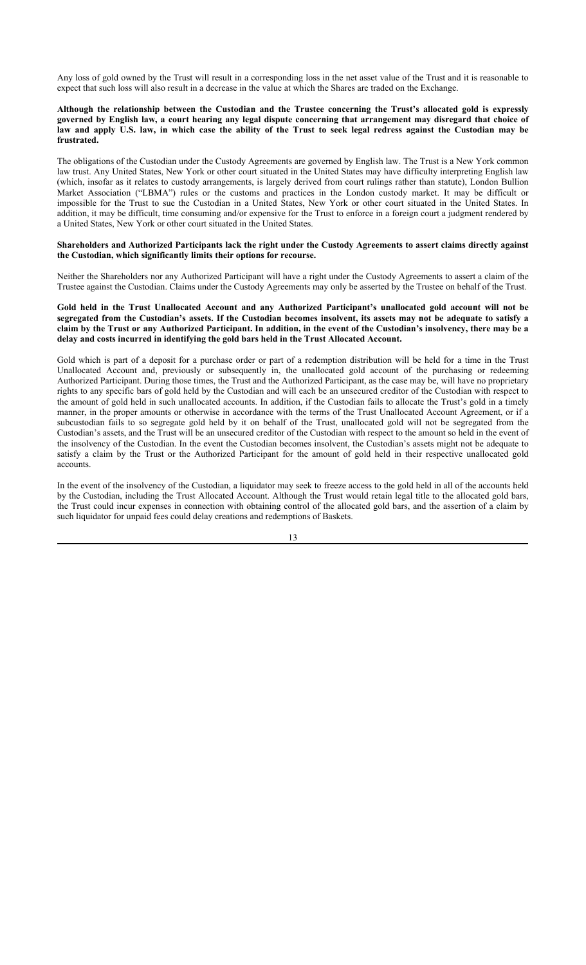Any loss of gold owned by the Trust will result in a corresponding loss in the net asset value of the Trust and it is reasonable to expect that such loss will also result in a decrease in the value at which the Shares are traded on the Exchange.

### **Although the relationship between the Custodian and the Trustee concerning the Trust's allocated gold is expressly governed by English law, a court hearing any legal dispute concerning that arrangement may disregard that choice of law and apply U.S. law, in which case the ability of the Trust to seek legal redress against the Custodian may be frustrated.**

The obligations of the Custodian under the Custody Agreements are governed by English law. The Trust is a New York common law trust. Any United States, New York or other court situated in the United States may have difficulty interpreting English law (which, insofar as it relates to custody arrangements, is largely derived from court rulings rather than statute), London Bullion Market Association ("LBMA") rules or the customs and practices in the London custody market. It may be difficult or impossible for the Trust to sue the Custodian in a United States, New York or other court situated in the United States. In addition, it may be difficult, time consuming and/or expensive for the Trust to enforce in a foreign court a judgment rendered by a United States, New York or other court situated in the United States.

#### **Shareholders and Authorized Participants lack the right under the Custody Agreements to assert claims directly against the Custodian, which significantly limits their options for recourse.**

Neither the Shareholders nor any Authorized Participant will have a right under the Custody Agreements to assert a claim of the Trustee against the Custodian. Claims under the Custody Agreements may only be asserted by the Trustee on behalf of the Trust.

### **Gold held in the Trust Unallocated Account and any Authorized Participant's unallocated gold account will not be segregated from the Custodian's assets. If the Custodian becomes insolvent, its assets may not be adequate to satisfy a claim by the Trust or any Authorized Participant. In addition, in the event of the Custodian's insolvency, there may be a delay and costs incurred in identifying the gold bars held in the Trust Allocated Account.**

Gold which is part of a deposit for a purchase order or part of a redemption distribution will be held for a time in the Trust Unallocated Account and, previously or subsequently in, the unallocated gold account of the purchasing or redeeming Authorized Participant. During those times, the Trust and the Authorized Participant, as the case may be, will have no proprietary rights to any specific bars of gold held by the Custodian and will each be an unsecured creditor of the Custodian with respect to the amount of gold held in such unallocated accounts. In addition, if the Custodian fails to allocate the Trust's gold in a timely manner, in the proper amounts or otherwise in accordance with the terms of the Trust Unallocated Account Agreement, or if a subcustodian fails to so segregate gold held by it on behalf of the Trust, unallocated gold will not be segregated from the Custodian's assets, and the Trust will be an unsecured creditor of the Custodian with respect to the amount so held in the event of the insolvency of the Custodian. In the event the Custodian becomes insolvent, the Custodian's assets might not be adequate to satisfy a claim by the Trust or the Authorized Participant for the amount of gold held in their respective unallocated gold accounts.

In the event of the insolvency of the Custodian, a liquidator may seek to freeze access to the gold held in all of the accounts held by the Custodian, including the Trust Allocated Account. Although the Trust would retain legal title to the allocated gold bars, the Trust could incur expenses in connection with obtaining control of the allocated gold bars, and the assertion of a claim by such liquidator for unpaid fees could delay creations and redemptions of Baskets.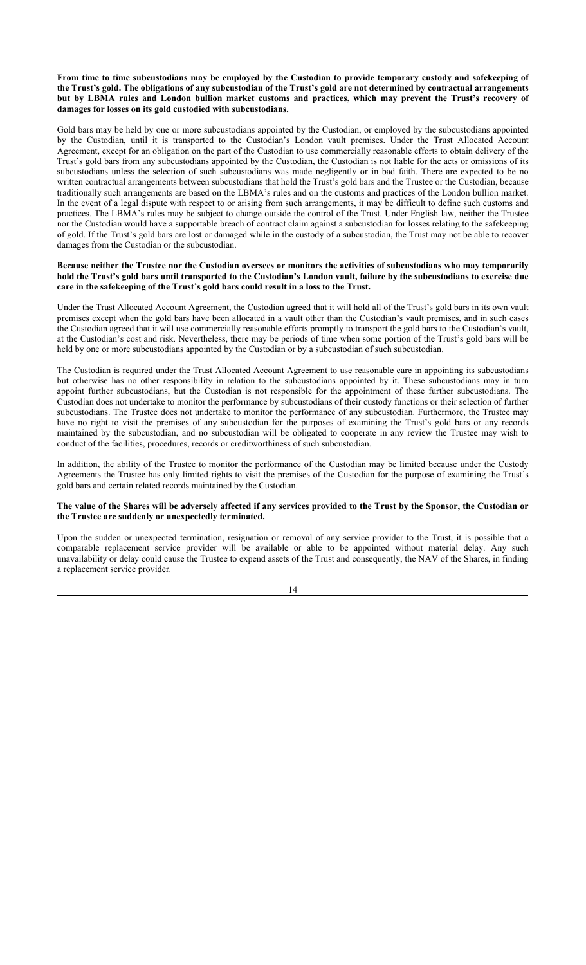**From time to time subcustodians may be employed by the Custodian to provide temporary custody and safekeeping of the Trust's gold. The obligations of any subcustodian of the Trust's gold are not determined by contractual arrangements but by LBMA rules and London bullion market customs and practices, which may prevent the Trust's recovery of damages for losses on its gold custodied with subcustodians.**

Gold bars may be held by one or more subcustodians appointed by the Custodian, or employed by the subcustodians appointed by the Custodian, until it is transported to the Custodian's London vault premises. Under the Trust Allocated Account Agreement, except for an obligation on the part of the Custodian to use commercially reasonable efforts to obtain delivery of the Trust's gold bars from any subcustodians appointed by the Custodian, the Custodian is not liable for the acts or omissions of its subcustodians unless the selection of such subcustodians was made negligently or in bad faith. There are expected to be no written contractual arrangements between subcustodians that hold the Trust's gold bars and the Trustee or the Custodian, because traditionally such arrangements are based on the LBMA's rules and on the customs and practices of the London bullion market. In the event of a legal dispute with respect to or arising from such arrangements, it may be difficult to define such customs and practices. The LBMA's rules may be subject to change outside the control of the Trust. Under English law, neither the Trustee nor the Custodian would have a supportable breach of contract claim against a subcustodian for losses relating to the safekeeping of gold. If the Trust's gold bars are lost or damaged while in the custody of a subcustodian, the Trust may not be able to recover damages from the Custodian or the subcustodian.

#### **Because neither the Trustee nor the Custodian oversees or monitors the activities of subcustodians who may temporarily hold the Trust's gold bars until transported to the Custodian's London vault, failure by the subcustodians to exercise due care in the safekeeping of the Trust's gold bars could result in a loss to the Trust.**

Under the Trust Allocated Account Agreement, the Custodian agreed that it will hold all of the Trust's gold bars in its own vault premises except when the gold bars have been allocated in a vault other than the Custodian's vault premises, and in such cases the Custodian agreed that it will use commercially reasonable efforts promptly to transport the gold bars to the Custodian's vault, at the Custodian's cost and risk. Nevertheless, there may be periods of time when some portion of the Trust's gold bars will be held by one or more subcustodians appointed by the Custodian or by a subcustodian of such subcustodian.

The Custodian is required under the Trust Allocated Account Agreement to use reasonable care in appointing its subcustodians but otherwise has no other responsibility in relation to the subcustodians appointed by it. These subcustodians may in turn appoint further subcustodians, but the Custodian is not responsible for the appointment of these further subcustodians. The Custodian does not undertake to monitor the performance by subcustodians of their custody functions or their selection of further subcustodians. The Trustee does not undertake to monitor the performance of any subcustodian. Furthermore, the Trustee may have no right to visit the premises of any subcustodian for the purposes of examining the Trust's gold bars or any records maintained by the subcustodian, and no subcustodian will be obligated to cooperate in any review the Trustee may wish to conduct of the facilities, procedures, records or creditworthiness of such subcustodian.

In addition, the ability of the Trustee to monitor the performance of the Custodian may be limited because under the Custody Agreements the Trustee has only limited rights to visit the premises of the Custodian for the purpose of examining the Trust's gold bars and certain related records maintained by the Custodian.

### **The value of the Shares will be adversely affected if any services provided to the Trust by the Sponsor, the Custodian or the Trustee are suddenly or unexpectedly terminated.**

Upon the sudden or unexpected termination, resignation or removal of any service provider to the Trust, it is possible that a comparable replacement service provider will be available or able to be appointed without material delay. Any such unavailability or delay could cause the Trustee to expend assets of the Trust and consequently, the NAV of the Shares, in finding a replacement service provider.

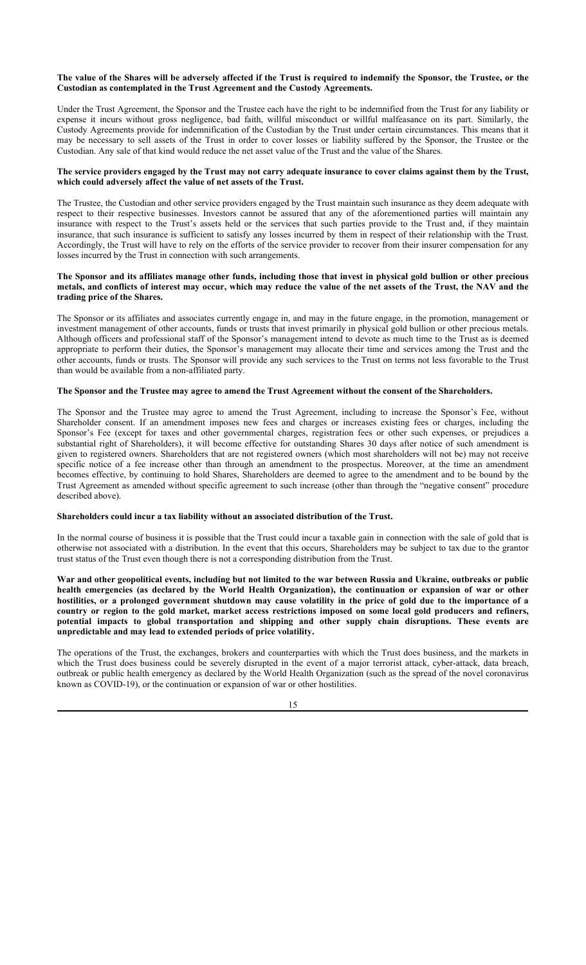## **The value of the Shares will be adversely affected if the Trust is required to indemnify the Sponsor, the Trustee, or the Custodian as contemplated in the Trust Agreement and the Custody Agreements.**

Under the Trust Agreement, the Sponsor and the Trustee each have the right to be indemnified from the Trust for any liability or expense it incurs without gross negligence, bad faith, willful misconduct or willful malfeasance on its part. Similarly, the Custody Agreements provide for indemnification of the Custodian by the Trust under certain circumstances. This means that it may be necessary to sell assets of the Trust in order to cover losses or liability suffered by the Sponsor, the Trustee or the Custodian. Any sale of that kind would reduce the net asset value of the Trust and the value of the Shares.

### **The service providers engaged by the Trust may not carry adequate insurance to cover claims against them by the Trust, which could adversely affect the value of net assets of the Trust.**

The Trustee, the Custodian and other service providers engaged by the Trust maintain such insurance as they deem adequate with respect to their respective businesses. Investors cannot be assured that any of the aforementioned parties will maintain any insurance with respect to the Trust's assets held or the services that such parties provide to the Trust and, if they maintain insurance, that such insurance is sufficient to satisfy any losses incurred by them in respect of their relationship with the Trust. Accordingly, the Trust will have to rely on the efforts of the service provider to recover from their insurer compensation for any losses incurred by the Trust in connection with such arrangements.

### **The Sponsor and its affiliates manage other funds, including those that invest in physical gold bullion or other precious metals, and conflicts of interest may occur, which may reduce the value of the net assets of the Trust, the NAV and the trading price of the Shares.**

The Sponsor or its affiliates and associates currently engage in, and may in the future engage, in the promotion, management or investment management of other accounts, funds or trusts that invest primarily in physical gold bullion or other precious metals. Although officers and professional staff of the Sponsor's management intend to devote as much time to the Trust as is deemed appropriate to perform their duties, the Sponsor's management may allocate their time and services among the Trust and the other accounts, funds or trusts. The Sponsor will provide any such services to the Trust on terms not less favorable to the Trust than would be available from a non-affiliated party.

### **The Sponsor and the Trustee may agree to amend the Trust Agreement without the consent of the Shareholders.**

The Sponsor and the Trustee may agree to amend the Trust Agreement, including to increase the Sponsor's Fee, without Shareholder consent. If an amendment imposes new fees and charges or increases existing fees or charges, including the Sponsor's Fee (except for taxes and other governmental charges, registration fees or other such expenses, or prejudices a substantial right of Shareholders), it will become effective for outstanding Shares 30 days after notice of such amendment is given to registered owners. Shareholders that are not registered owners (which most shareholders will not be) may not receive specific notice of a fee increase other than through an amendment to the prospectus. Moreover, at the time an amendment becomes effective, by continuing to hold Shares, Shareholders are deemed to agree to the amendment and to be bound by the Trust Agreement as amended without specific agreement to such increase (other than through the "negative consent" procedure described above).

#### **Shareholders could incur a tax liability without an associated distribution of the Trust.**

In the normal course of business it is possible that the Trust could incur a taxable gain in connection with the sale of gold that is otherwise not associated with a distribution. In the event that this occurs, Shareholders may be subject to tax due to the grantor trust status of the Trust even though there is not a corresponding distribution from the Trust.

**War and other geopolitical events, including but not limited to the war between Russia and Ukraine, outbreaks or public health emergencies (as declared by the World Health Organization), the continuation or expansion of war or other hostilities, or a prolonged government shutdown may cause volatility in the price of gold due to the importance of a country or region to the gold market, market access restrictions imposed on some local gold producers and refiners, potential impacts to global transportation and shipping and other supply chain disruptions. These events are unpredictable and may lead to extended periods of price volatility.**

The operations of the Trust, the exchanges, brokers and counterparties with which the Trust does business, and the markets in which the Trust does business could be severely disrupted in the event of a major terrorist attack, cyber-attack, data breach, outbreak or public health emergency as declared by the World Health Organization (such as the spread of the novel coronavirus known as COVID-19), or the continuation or expansion of war or other hostilities.

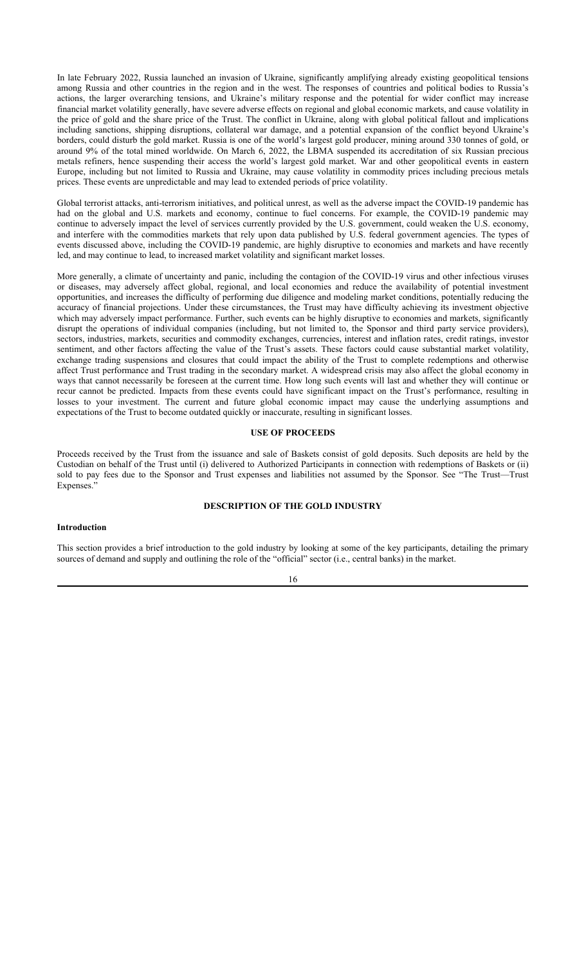In late February 2022, Russia launched an invasion of Ukraine, significantly amplifying already existing geopolitical tensions among Russia and other countries in the region and in the west. The responses of countries and political bodies to Russia's actions, the larger overarching tensions, and Ukraine's military response and the potential for wider conflict may increase financial market volatility generally, have severe adverse effects on regional and global economic markets, and cause volatility in the price of gold and the share price of the Trust. The conflict in Ukraine, along with global political fallout and implications including sanctions, shipping disruptions, collateral war damage, and a potential expansion of the conflict beyond Ukraine's borders, could disturb the gold market. Russia is one of the world's largest gold producer, mining around 330 tonnes of gold, or around 9% of the total mined worldwide. On March 6, 2022, the LBMA suspended its accreditation of six Russian precious metals refiners, hence suspending their access the world's largest gold market. War and other geopolitical events in eastern Europe, including but not limited to Russia and Ukraine, may cause volatility in commodity prices including precious metals prices. These events are unpredictable and may lead to extended periods of price volatility.

Global terrorist attacks, anti-terrorism initiatives, and political unrest, as well as the adverse impact the COVID-19 pandemic has had on the global and U.S. markets and economy, continue to fuel concerns. For example, the COVID-19 pandemic may continue to adversely impact the level of services currently provided by the U.S. government, could weaken the U.S. economy, and interfere with the commodities markets that rely upon data published by U.S. federal government agencies. The types of events discussed above, including the COVID-19 pandemic, are highly disruptive to economies and markets and have recently led, and may continue to lead, to increased market volatility and significant market losses.

More generally, a climate of uncertainty and panic, including the contagion of the COVID-19 virus and other infectious viruses or diseases, may adversely affect global, regional, and local economies and reduce the availability of potential investment opportunities, and increases the difficulty of performing due diligence and modeling market conditions, potentially reducing the accuracy of financial projections. Under these circumstances, the Trust may have difficulty achieving its investment objective which may adversely impact performance. Further, such events can be highly disruptive to economies and markets, significantly disrupt the operations of individual companies (including, but not limited to, the Sponsor and third party service providers), sectors, industries, markets, securities and commodity exchanges, currencies, interest and inflation rates, credit ratings, investor sentiment, and other factors affecting the value of the Trust's assets. These factors could cause substantial market volatility, exchange trading suspensions and closures that could impact the ability of the Trust to complete redemptions and otherwise affect Trust performance and Trust trading in the secondary market. A widespread crisis may also affect the global economy in ways that cannot necessarily be foreseen at the current time. How long such events will last and whether they will continue or recur cannot be predicted. Impacts from these events could have significant impact on the Trust's performance, resulting in losses to your investment. The current and future global economic impact may cause the underlying assumptions and expectations of the Trust to become outdated quickly or inaccurate, resulting in significant losses.

#### **USE OF PROCEEDS**

Proceeds received by the Trust from the issuance and sale of Baskets consist of gold deposits. Such deposits are held by the Custodian on behalf of the Trust until (i) delivered to Authorized Participants in connection with redemptions of Baskets or (ii) sold to pay fees due to the Sponsor and Trust expenses and liabilities not assumed by the Sponsor. See "The Trust—Trust Expenses.'

## **DESCRIPTION OF THE GOLD INDUSTRY**

#### **Introduction**

This section provides a brief introduction to the gold industry by looking at some of the key participants, detailing the primary sources of demand and supply and outlining the role of the "official" sector (i.e., central banks) in the market.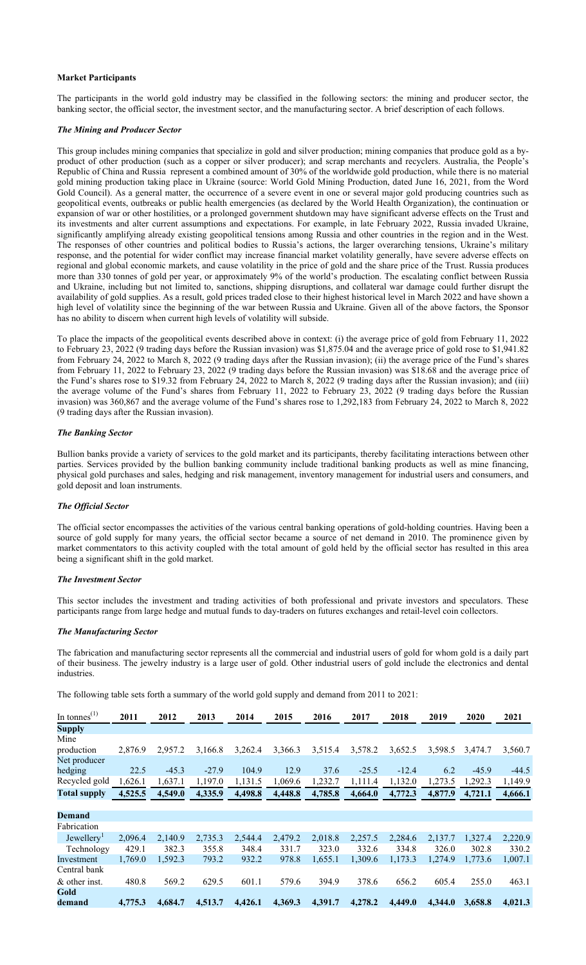#### **Market Participants**

The participants in the world gold industry may be classified in the following sectors: the mining and producer sector, the banking sector, the official sector, the investment sector, and the manufacturing sector. A brief description of each follows.

### *The Mining and Producer Sector*

This group includes mining companies that specialize in gold and silver production; mining companies that produce gold as a byproduct of other production (such as a copper or silver producer); and scrap merchants and recyclers. Australia, the People's Republic of China and Russia represent a combined amount of 30% of the worldwide gold production, while there is no material gold mining production taking place in Ukraine (source: World Gold Mining Production, dated June 16, 2021, from the Word Gold Council). As a general matter, the occurrence of a severe event in one or several major gold producing countries such as geopolitical events, outbreaks or public health emergencies (as declared by the World Health Organization), the continuation or expansion of war or other hostilities, or a prolonged government shutdown may have significant adverse effects on the Trust and its investments and alter current assumptions and expectations. For example, in late February 2022, Russia invaded Ukraine, significantly amplifying already existing geopolitical tensions among Russia and other countries in the region and in the West. The responses of other countries and political bodies to Russia's actions, the larger overarching tensions, Ukraine's military response, and the potential for wider conflict may increase financial market volatility generally, have severe adverse effects on regional and global economic markets, and cause volatility in the price of gold and the share price of the Trust. Russia produces more than 330 tonnes of gold per year, or approximately 9% of the world's production. The escalating conflict between Russia and Ukraine, including but not limited to, sanctions, shipping disruptions, and collateral war damage could further disrupt the availability of gold supplies. As a result, gold prices traded close to their highest historical level in March 2022 and have shown a high level of volatility since the beginning of the war between Russia and Ukraine. Given all of the above factors, the Sponsor has no ability to discern when current high levels of volatility will subside.

To place the impacts of the geopolitical events described above in context: (i) the average price of gold from February 11, 2022 to February 23, 2022 (9 trading days before the Russian invasion) was \$1,875.04 and the average price of gold rose to \$1,941.82 from February 24, 2022 to March 8, 2022 (9 trading days after the Russian invasion); (ii) the average price of the Fund's shares from February 11, 2022 to February 23, 2022 (9 trading days before the Russian invasion) was \$18.68 and the average price of the Fund's shares rose to \$19.32 from February 24, 2022 to March 8, 2022 (9 trading days after the Russian invasion); and (iii) the average volume of the Fund's shares from February 11, 2022 to February 23, 2022 (9 trading days before the Russian invasion) was 360,867 and the average volume of the Fund's shares rose to 1,292,183 from February 24, 2022 to March 8, 2022 (9 trading days after the Russian invasion).

### *The Banking Sector*

Bullion banks provide a variety of services to the gold market and its participants, thereby facilitating interactions between other parties. Services provided by the bullion banking community include traditional banking products as well as mine financing, physical gold purchases and sales, hedging and risk management, inventory management for industrial users and consumers, and gold deposit and loan instruments.

### *The Official Sector*

The official sector encompasses the activities of the various central banking operations of gold-holding countries. Having been a source of gold supply for many years, the official sector became a source of net demand in 2010. The prominence given by market commentators to this activity coupled with the total amount of gold held by the official sector has resulted in this area being a significant shift in the gold market.

### *The Investment Sector*

This sector includes the investment and trading activities of both professional and private investors and speculators. These participants range from large hedge and mutual funds to day-traders on futures exchanges and retail-level coin collectors.

#### *The Manufacturing Sector*

The fabrication and manufacturing sector represents all the commercial and industrial users of gold for whom gold is a daily part of their business. The jewelry industry is a large user of gold. Other industrial users of gold include the electronics and dental industries.

The following table sets forth a summary of the world gold supply and demand from 2011 to 2021:

| In tonnes $^{(1)}$     | 2011    | 2012    | 2013    | 2014    | 2015    | 2016    | 2017    | 2018    | 2019    | 2020    | 2021    |
|------------------------|---------|---------|---------|---------|---------|---------|---------|---------|---------|---------|---------|
| <b>Supply</b>          |         |         |         |         |         |         |         |         |         |         |         |
| Mine                   |         |         |         |         |         |         |         |         |         |         |         |
| production             | 2,876.9 | 2,957.2 | 3,166.8 | 3,262.4 | 3,366.3 | 3,515.4 | 3,578.2 | 3,652.5 | 3,598.5 | 3,474.7 | 3,560.7 |
| Net producer           |         |         |         |         |         |         |         |         |         |         |         |
| hedging                | 22.5    | $-45.3$ | $-27.9$ | 104.9   | 12.9    | 37.6    | $-25.5$ | $-12.4$ | 6.2     | $-45.9$ | $-44.5$ |
| Recycled gold          | 1,626.1 | 1,637.1 | 1,197.0 | 1,131.5 | 1,069.6 | 1,232.7 | 1,111.4 | 1,132.0 | 1,273.5 | 1,292.3 | 1,149.9 |
| <b>Total supply</b>    | 4,525.5 | 4,549.0 | 4,335.9 | 4.498.8 | 4,448.8 | 4,785.8 | 4.664.0 | 4,772.3 | 4,877.9 | 4.721.1 | 4,666.1 |
|                        |         |         |         |         |         |         |         |         |         |         |         |
| <b>Demand</b>          |         |         |         |         |         |         |         |         |         |         |         |
| Fabrication            |         |         |         |         |         |         |         |         |         |         |         |
| Jewellery <sup>1</sup> | 2,096.4 | 2,140.9 | 2,735.3 | 2,544.4 | 2,479.2 | 2,018.8 | 2,257.5 | 2,284.6 | 2,137.7 | 1,327.4 | 2,220.9 |
| Technology             | 429.1   | 382.3   | 355.8   | 348.4   | 331.7   | 323.0   | 332.6   | 334.8   | 326.0   | 302.8   | 330.2   |
| Investment             | 1,769.0 | 1,592.3 | 793.2   | 932.2   | 978.8   | 1,655.1 | 1.309.6 | 1,173.3 | 1.274.9 | 1,773.6 | 1,007.1 |
| Central bank           |         |         |         |         |         |         |         |         |         |         |         |
| & other inst.          | 480.8   | 569.2   | 629.5   | 601.1   | 579.6   | 394.9   | 378.6   | 656.2   | 605.4   | 255.0   | 463.1   |
| Gold                   |         |         |         |         |         |         |         |         |         |         |         |
| demand                 | 4,775.3 | 4,684.7 | 4,513.7 | 4,426.1 | 4,369.3 | 4,391.7 | 4,278.2 | 4,449.0 | 4,344.0 | 3,658.8 | 4,021.3 |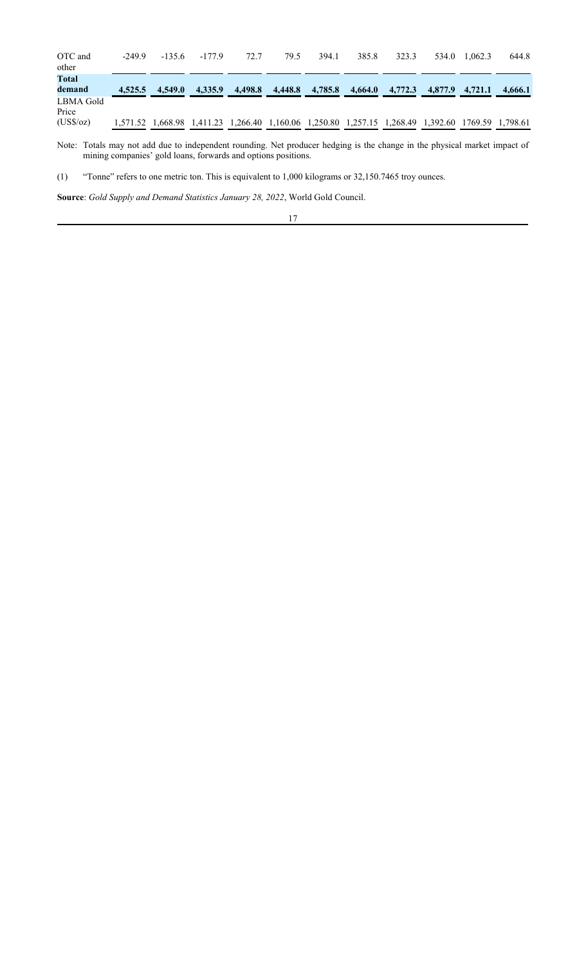| OTC and<br>other                        | $-249.9$ | $-135.6$                                                                         | $-177.9$ | 72.7    | 79.5    | 394.1   | 385.8   | 323.3   | 534.0   | 1.062.3 | 644.8            |
|-----------------------------------------|----------|----------------------------------------------------------------------------------|----------|---------|---------|---------|---------|---------|---------|---------|------------------|
| Total<br>demand                         | 4,525.5  | 4.549.0                                                                          | 4,335.9  | 4,498.8 | 4,448.8 | 4,785.8 | 4,664.0 | 4,772.3 | 4,877.9 | 4.721.1 | 4.666.1          |
| LBMA Gold<br>Price<br>$(US\sqrt{6}/oz)$ |          | 1,571.52 1,668.98 1,411.23 1,266.40 1,160.06 1,250.80 1,257.15 1,268.49 1,392.60 |          |         |         |         |         |         |         |         | 1769.59 1,798.61 |

Note: Totals may not add due to independent rounding. Net producer hedging is the change in the physical market impact of mining companies' gold loans, forwards and options positions.

(1) "Tonne" refers to one metric ton. This is equivalent to 1,000 kilograms or 32,150.7465 troy ounces.

**Source**: *Gold Supply and Demand Statistics January 28, 2022*, World Gold Council.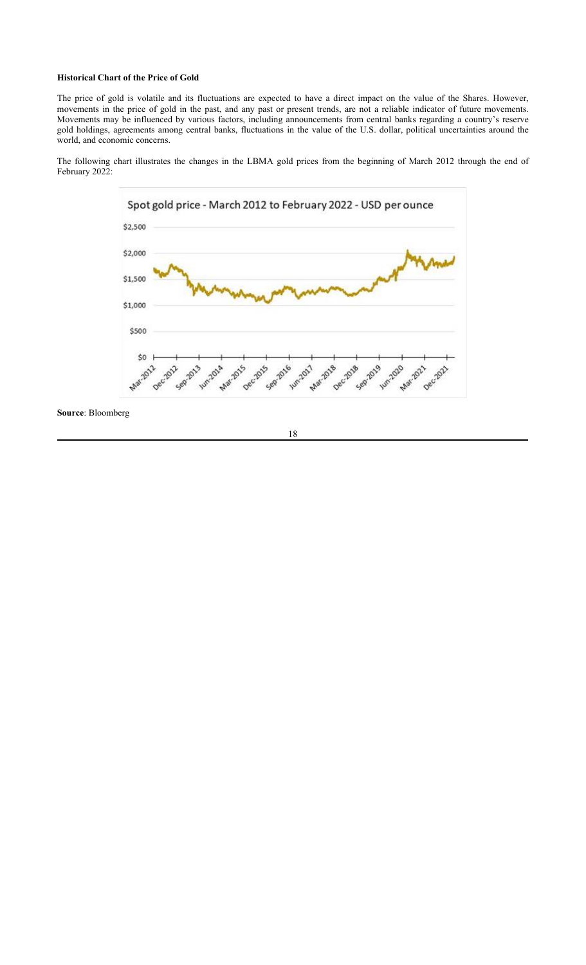## **Historical Chart of the Price of Gold**

The price of gold is volatile and its fluctuations are expected to have a direct impact on the value of the Shares. However, movements in the price of gold in the past, and any past or present trends, are not a reliable indicator of future movements. Movements may be influenced by various factors, including announcements from central banks regarding a country's reserve gold holdings, agreements among central banks, fluctuations in the value of the U.S. dollar, political uncertainties around the world, and economic concerns.

The following chart illustrates the changes in the LBMA gold prices from the beginning of March 2012 through the end of February 2022:



**Source**: Bloomberg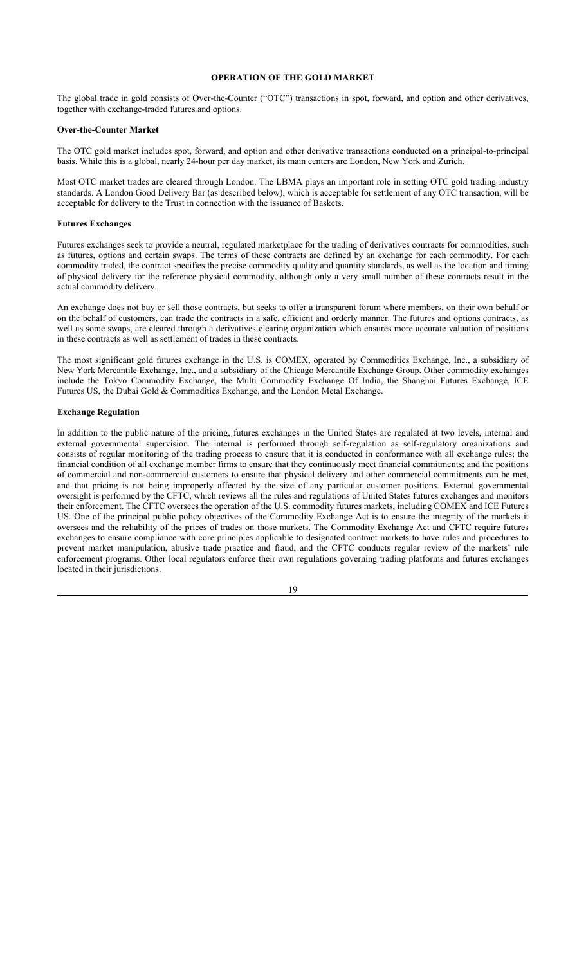## **OPERATION OF THE GOLD MARKET**

The global trade in gold consists of Over-the-Counter ("OTC") transactions in spot, forward, and option and other derivatives, together with exchange-traded futures and options.

#### **Over-the-Counter Market**

The OTC gold market includes spot, forward, and option and other derivative transactions conducted on a principal-to-principal basis. While this is a global, nearly 24-hour per day market, its main centers are London, New York and Zurich.

Most OTC market trades are cleared through London. The LBMA plays an important role in setting OTC gold trading industry standards. A London Good Delivery Bar (as described below), which is acceptable for settlement of any OTC transaction, will be acceptable for delivery to the Trust in connection with the issuance of Baskets.

### **Futures Exchanges**

Futures exchanges seek to provide a neutral, regulated marketplace for the trading of derivatives contracts for commodities, such as futures, options and certain swaps. The terms of these contracts are defined by an exchange for each commodity. For each commodity traded, the contract specifies the precise commodity quality and quantity standards, as well as the location and timing of physical delivery for the reference physical commodity, although only a very small number of these contracts result in the actual commodity delivery.

An exchange does not buy or sell those contracts, but seeks to offer a transparent forum where members, on their own behalf or on the behalf of customers, can trade the contracts in a safe, efficient and orderly manner. The futures and options contracts, as well as some swaps, are cleared through a derivatives clearing organization which ensures more accurate valuation of positions in these contracts as well as settlement of trades in these contracts.

The most significant gold futures exchange in the U.S. is COMEX, operated by Commodities Exchange, Inc., a subsidiary of New York Mercantile Exchange, Inc., and a subsidiary of the Chicago Mercantile Exchange Group. Other commodity exchanges include the Tokyo Commodity Exchange, the Multi Commodity Exchange Of India, the Shanghai Futures Exchange, ICE Futures US, the Dubai Gold & Commodities Exchange, and the London Metal Exchange.

### **Exchange Regulation**

In addition to the public nature of the pricing, futures exchanges in the United States are regulated at two levels, internal and external governmental supervision. The internal is performed through self-regulation as self-regulatory organizations and consists of regular monitoring of the trading process to ensure that it is conducted in conformance with all exchange rules; the financial condition of all exchange member firms to ensure that they continuously meet financial commitments; and the positions of commercial and non-commercial customers to ensure that physical delivery and other commercial commitments can be met, and that pricing is not being improperly affected by the size of any particular customer positions. External governmental oversight is performed by the CFTC, which reviews all the rules and regulations of United States futures exchanges and monitors their enforcement. The CFTC oversees the operation of the U.S. commodity futures markets, including COMEX and ICE Futures US. One of the principal public policy objectives of the Commodity Exchange Act is to ensure the integrity of the markets it oversees and the reliability of the prices of trades on those markets. The Commodity Exchange Act and CFTC require futures exchanges to ensure compliance with core principles applicable to designated contract markets to have rules and procedures to prevent market manipulation, abusive trade practice and fraud, and the CFTC conducts regular review of the markets' rule enforcement programs. Other local regulators enforce their own regulations governing trading platforms and futures exchanges located in their jurisdictions.

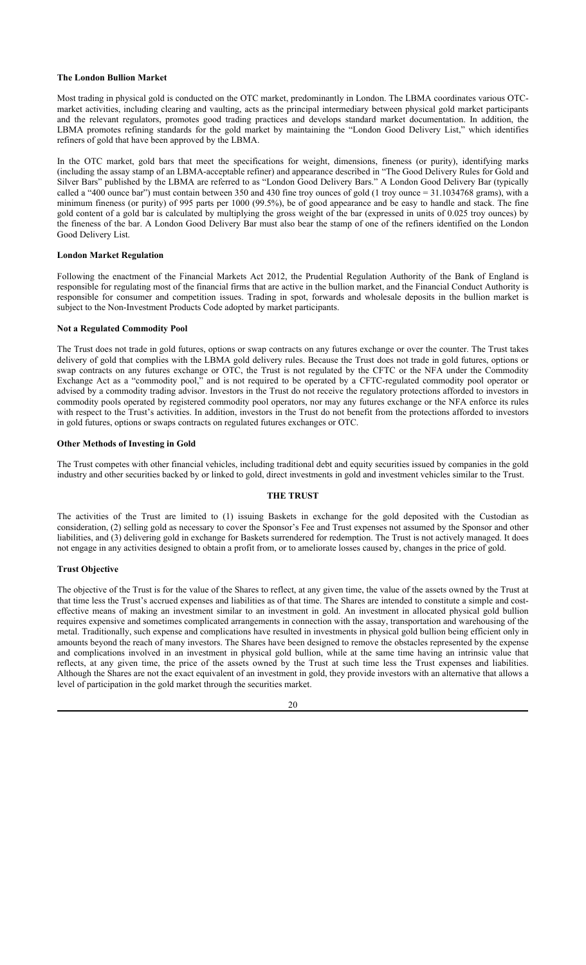### **The London Bullion Market**

Most trading in physical gold is conducted on the OTC market, predominantly in London. The LBMA coordinates various OTCmarket activities, including clearing and vaulting, acts as the principal intermediary between physical gold market participants and the relevant regulators, promotes good trading practices and develops standard market documentation. In addition, the LBMA promotes refining standards for the gold market by maintaining the "London Good Delivery List," which identifies refiners of gold that have been approved by the LBMA.

In the OTC market, gold bars that meet the specifications for weight, dimensions, fineness (or purity), identifying marks (including the assay stamp of an LBMA-acceptable refiner) and appearance described in "The Good Delivery Rules for Gold and Silver Bars" published by the LBMA are referred to as "London Good Delivery Bars." A London Good Delivery Bar (typically called a "400 ounce bar") must contain between 350 and 430 fine troy ounces of gold (1 troy ounce = 31.1034768 grams), with a minimum fineness (or purity) of 995 parts per 1000 (99.5%), be of good appearance and be easy to handle and stack. The fine gold content of a gold bar is calculated by multiplying the gross weight of the bar (expressed in units of 0.025 troy ounces) by the fineness of the bar. A London Good Delivery Bar must also bear the stamp of one of the refiners identified on the London Good Delivery List.

## **London Market Regulation**

Following the enactment of the Financial Markets Act 2012, the Prudential Regulation Authority of the Bank of England is responsible for regulating most of the financial firms that are active in the bullion market, and the Financial Conduct Authority is responsible for consumer and competition issues. Trading in spot, forwards and wholesale deposits in the bullion market is subject to the Non-Investment Products Code adopted by market participants.

## **Not a Regulated Commodity Pool**

The Trust does not trade in gold futures, options or swap contracts on any futures exchange or over the counter. The Trust takes delivery of gold that complies with the LBMA gold delivery rules. Because the Trust does not trade in gold futures, options or swap contracts on any futures exchange or OTC, the Trust is not regulated by the CFTC or the NFA under the Commodity Exchange Act as a "commodity pool," and is not required to be operated by a CFTC-regulated commodity pool operator or advised by a commodity trading advisor. Investors in the Trust do not receive the regulatory protections afforded to investors in commodity pools operated by registered commodity pool operators, nor may any futures exchange or the NFA enforce its rules with respect to the Trust's activities. In addition, investors in the Trust do not benefit from the protections afforded to investors in gold futures, options or swaps contracts on regulated futures exchanges or OTC.

## **Other Methods of Investing in Gold**

The Trust competes with other financial vehicles, including traditional debt and equity securities issued by companies in the gold industry and other securities backed by or linked to gold, direct investments in gold and investment vehicles similar to the Trust.

#### **THE TRUST**

The activities of the Trust are limited to (1) issuing Baskets in exchange for the gold deposited with the Custodian as consideration, (2) selling gold as necessary to cover the Sponsor's Fee and Trust expenses not assumed by the Sponsor and other liabilities, and (3) delivering gold in exchange for Baskets surrendered for redemption. The Trust is not actively managed. It does not engage in any activities designed to obtain a profit from, or to ameliorate losses caused by, changes in the price of gold.

### **Trust Objective**

The objective of the Trust is for the value of the Shares to reflect, at any given time, the value of the assets owned by the Trust at that time less the Trust's accrued expenses and liabilities as of that time. The Shares are intended to constitute a simple and costeffective means of making an investment similar to an investment in gold. An investment in allocated physical gold bullion requires expensive and sometimes complicated arrangements in connection with the assay, transportation and warehousing of the metal. Traditionally, such expense and complications have resulted in investments in physical gold bullion being efficient only in amounts beyond the reach of many investors. The Shares have been designed to remove the obstacles represented by the expense and complications involved in an investment in physical gold bullion, while at the same time having an intrinsic value that reflects, at any given time, the price of the assets owned by the Trust at such time less the Trust expenses and liabilities. Although the Shares are not the exact equivalent of an investment in gold, they provide investors with an alternative that allows a level of participation in the gold market through the securities market.

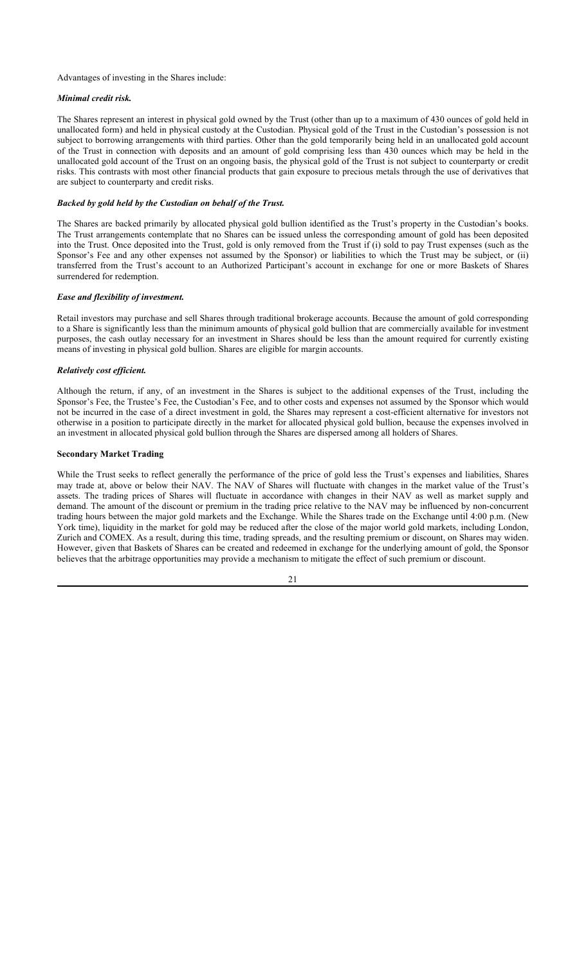#### Advantages of investing in the Shares include:

#### *Minimal credit risk.*

The Shares represent an interest in physical gold owned by the Trust (other than up to a maximum of 430 ounces of gold held in unallocated form) and held in physical custody at the Custodian. Physical gold of the Trust in the Custodian's possession is not subject to borrowing arrangements with third parties. Other than the gold temporarily being held in an unallocated gold account of the Trust in connection with deposits and an amount of gold comprising less than 430 ounces which may be held in the unallocated gold account of the Trust on an ongoing basis, the physical gold of the Trust is not subject to counterparty or credit risks. This contrasts with most other financial products that gain exposure to precious metals through the use of derivatives that are subject to counterparty and credit risks.

## *Backed by gold held by the Custodian on behalf of the Trust.*

The Shares are backed primarily by allocated physical gold bullion identified as the Trust's property in the Custodian's books. The Trust arrangements contemplate that no Shares can be issued unless the corresponding amount of gold has been deposited into the Trust. Once deposited into the Trust, gold is only removed from the Trust if (i) sold to pay Trust expenses (such as the Sponsor's Fee and any other expenses not assumed by the Sponsor) or liabilities to which the Trust may be subject, or (ii) transferred from the Trust's account to an Authorized Participant's account in exchange for one or more Baskets of Shares surrendered for redemption.

### *Ease and flexibility of investment.*

Retail investors may purchase and sell Shares through traditional brokerage accounts. Because the amount of gold corresponding to a Share is significantly less than the minimum amounts of physical gold bullion that are commercially available for investment purposes, the cash outlay necessary for an investment in Shares should be less than the amount required for currently existing means of investing in physical gold bullion. Shares are eligible for margin accounts.

#### *Relatively cost efficient.*

Although the return, if any, of an investment in the Shares is subject to the additional expenses of the Trust, including the Sponsor's Fee, the Trustee's Fee, the Custodian's Fee, and to other costs and expenses not assumed by the Sponsor which would not be incurred in the case of a direct investment in gold, the Shares may represent a cost-efficient alternative for investors not otherwise in a position to participate directly in the market for allocated physical gold bullion, because the expenses involved in an investment in allocated physical gold bullion through the Shares are dispersed among all holders of Shares.

#### **Secondary Market Trading**

While the Trust seeks to reflect generally the performance of the price of gold less the Trust's expenses and liabilities, Shares may trade at, above or below their NAV. The NAV of Shares will fluctuate with changes in the market value of the Trust's assets. The trading prices of Shares will fluctuate in accordance with changes in their NAV as well as market supply and demand. The amount of the discount or premium in the trading price relative to the NAV may be influenced by non-concurrent trading hours between the major gold markets and the Exchange. While the Shares trade on the Exchange until 4:00 p.m. (New York time), liquidity in the market for gold may be reduced after the close of the major world gold markets, including London, Zurich and COMEX. As a result, during this time, trading spreads, and the resulting premium or discount, on Shares may widen. However, given that Baskets of Shares can be created and redeemed in exchange for the underlying amount of gold, the Sponsor believes that the arbitrage opportunities may provide a mechanism to mitigate the effect of such premium or discount.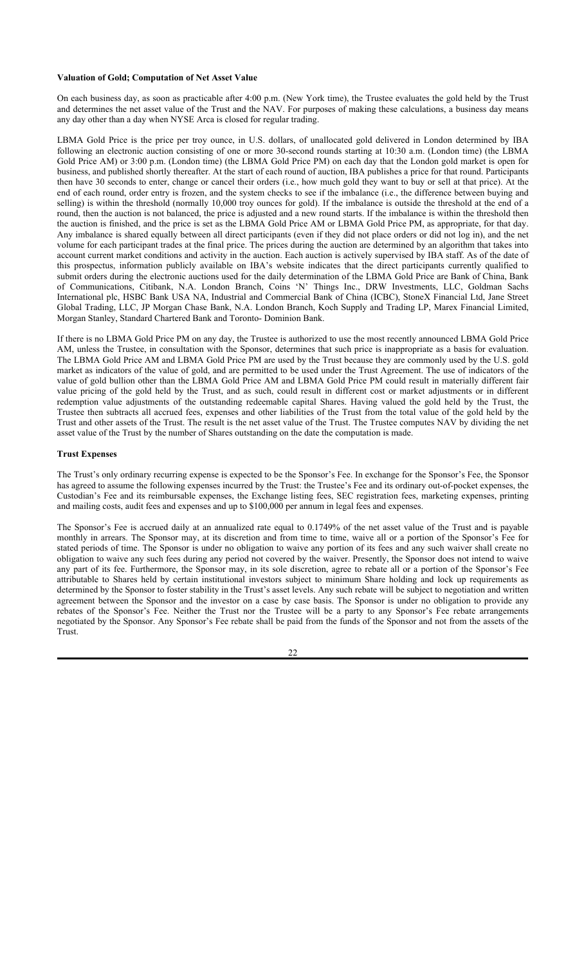#### **Valuation of Gold; Computation of Net Asset Value**

On each business day, as soon as practicable after 4:00 p.m. (New York time), the Trustee evaluates the gold held by the Trust and determines the net asset value of the Trust and the NAV. For purposes of making these calculations, a business day means any day other than a day when NYSE Arca is closed for regular trading.

LBMA Gold Price is the price per troy ounce, in U.S. dollars, of unallocated gold delivered in London determined by IBA following an electronic auction consisting of one or more 30-second rounds starting at 10:30 a.m. (London time) (the LBMA Gold Price AM) or 3:00 p.m. (London time) (the LBMA Gold Price PM) on each day that the London gold market is open for business, and published shortly thereafter. At the start of each round of auction, IBA publishes a price for that round. Participants then have 30 seconds to enter, change or cancel their orders (i.e., how much gold they want to buy or sell at that price). At the end of each round, order entry is frozen, and the system checks to see if the imbalance (i.e., the difference between buying and selling) is within the threshold (normally 10,000 troy ounces for gold). If the imbalance is outside the threshold at the end of a round, then the auction is not balanced, the price is adjusted and a new round starts. If the imbalance is within the threshold then the auction is finished, and the price is set as the LBMA Gold Price AM or LBMA Gold Price PM, as appropriate, for that day. Any imbalance is shared equally between all direct participants (even if they did not place orders or did not log in), and the net volume for each participant trades at the final price. The prices during the auction are determined by an algorithm that takes into account current market conditions and activity in the auction. Each auction is actively supervised by IBA staff. As of the date of this prospectus, information publicly available on IBA's website indicates that the direct participants currently qualified to submit orders during the electronic auctions used for the daily determination of the LBMA Gold Price are Bank of China, Bank of Communications, Citibank, N.A. London Branch, Coins 'N' Things Inc., DRW Investments, LLC, Goldman Sachs International plc, HSBC Bank USA NA, Industrial and Commercial Bank of China (ICBC), StoneX Financial Ltd, Jane Street Global Trading, LLC, JP Morgan Chase Bank, N.A. London Branch, Koch Supply and Trading LP, Marex Financial Limited, Morgan Stanley, Standard Chartered Bank and Toronto- Dominion Bank.

If there is no LBMA Gold Price PM on any day, the Trustee is authorized to use the most recently announced LBMA Gold Price AM, unless the Trustee, in consultation with the Sponsor, determines that such price is inappropriate as a basis for evaluation. The LBMA Gold Price AM and LBMA Gold Price PM are used by the Trust because they are commonly used by the U.S. gold market as indicators of the value of gold, and are permitted to be used under the Trust Agreement. The use of indicators of the value of gold bullion other than the LBMA Gold Price AM and LBMA Gold Price PM could result in materially different fair value pricing of the gold held by the Trust, and as such, could result in different cost or market adjustments or in different redemption value adjustments of the outstanding redeemable capital Shares. Having valued the gold held by the Trust, the Trustee then subtracts all accrued fees, expenses and other liabilities of the Trust from the total value of the gold held by the Trust and other assets of the Trust. The result is the net asset value of the Trust. The Trustee computes NAV by dividing the net asset value of the Trust by the number of Shares outstanding on the date the computation is made.

#### **Trust Expenses**

The Trust's only ordinary recurring expense is expected to be the Sponsor's Fee. In exchange for the Sponsor's Fee, the Sponsor has agreed to assume the following expenses incurred by the Trust: the Trustee's Fee and its ordinary out-of-pocket expenses, the Custodian's Fee and its reimbursable expenses, the Exchange listing fees, SEC registration fees, marketing expenses, printing and mailing costs, audit fees and expenses and up to \$100,000 per annum in legal fees and expenses.

The Sponsor's Fee is accrued daily at an annualized rate equal to 0.1749% of the net asset value of the Trust and is payable monthly in arrears. The Sponsor may, at its discretion and from time to time, waive all or a portion of the Sponsor's Fee for stated periods of time. The Sponsor is under no obligation to waive any portion of its fees and any such waiver shall create no obligation to waive any such fees during any period not covered by the waiver. Presently, the Sponsor does not intend to waive any part of its fee. Furthermore, the Sponsor may, in its sole discretion, agree to rebate all or a portion of the Sponsor's Fee attributable to Shares held by certain institutional investors subject to minimum Share holding and lock up requirements as determined by the Sponsor to foster stability in the Trust's asset levels. Any such rebate will be subject to negotiation and written agreement between the Sponsor and the investor on a case by case basis. The Sponsor is under no obligation to provide any rebates of the Sponsor's Fee. Neither the Trust nor the Trustee will be a party to any Sponsor's Fee rebate arrangements negotiated by the Sponsor. Any Sponsor's Fee rebate shall be paid from the funds of the Sponsor and not from the assets of the Trust.

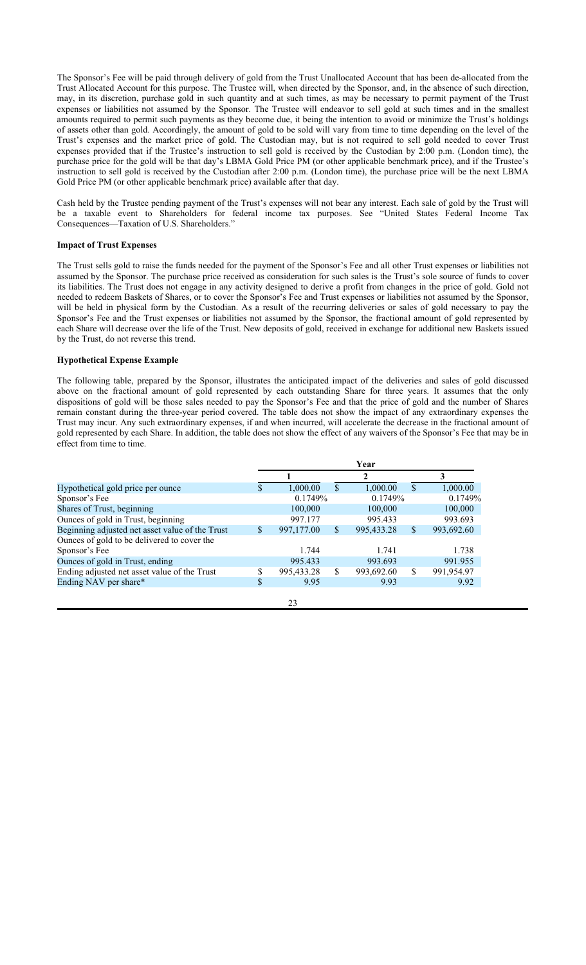The Sponsor's Fee will be paid through delivery of gold from the Trust Unallocated Account that has been de-allocated from the Trust Allocated Account for this purpose. The Trustee will, when directed by the Sponsor, and, in the absence of such direction, may, in its discretion, purchase gold in such quantity and at such times, as may be necessary to permit payment of the Trust expenses or liabilities not assumed by the Sponsor. The Trustee will endeavor to sell gold at such times and in the smallest amounts required to permit such payments as they become due, it being the intention to avoid or minimize the Trust's holdings of assets other than gold. Accordingly, the amount of gold to be sold will vary from time to time depending on the level of the Trust's expenses and the market price of gold. The Custodian may, but is not required to sell gold needed to cover Trust expenses provided that if the Trustee's instruction to sell gold is received by the Custodian by 2:00 p.m. (London time), the purchase price for the gold will be that day's LBMA Gold Price PM (or other applicable benchmark price), and if the Trustee's instruction to sell gold is received by the Custodian after 2:00 p.m. (London time), the purchase price will be the next LBMA Gold Price PM (or other applicable benchmark price) available after that day.

Cash held by the Trustee pending payment of the Trust's expenses will not bear any interest. Each sale of gold by the Trust will be a taxable event to Shareholders for federal income tax purposes. See "United States Federal Income Tax Consequences—Taxation of U.S. Shareholders."

### **Impact of Trust Expenses**

The Trust sells gold to raise the funds needed for the payment of the Sponsor's Fee and all other Trust expenses or liabilities not assumed by the Sponsor. The purchase price received as consideration for such sales is the Trust's sole source of funds to cover its liabilities. The Trust does not engage in any activity designed to derive a profit from changes in the price of gold. Gold not needed to redeem Baskets of Shares, or to cover the Sponsor's Fee and Trust expenses or liabilities not assumed by the Sponsor, will be held in physical form by the Custodian. As a result of the recurring deliveries or sales of gold necessary to pay the Sponsor's Fee and the Trust expenses or liabilities not assumed by the Sponsor, the fractional amount of gold represented by each Share will decrease over the life of the Trust. New deposits of gold, received in exchange for additional new Baskets issued by the Trust, do not reverse this trend.

#### **Hypothetical Expense Example**

The following table, prepared by the Sponsor, illustrates the anticipated impact of the deliveries and sales of gold discussed above on the fractional amount of gold represented by each outstanding Share for three years. It assumes that the only dispositions of gold will be those sales needed to pay the Sponsor's Fee and that the price of gold and the number of Shares remain constant during the three-year period covered. The table does not show the impact of any extraordinary expenses the Trust may incur. Any such extraordinary expenses, if and when incurred, will accelerate the decrease in the fractional amount of gold represented by each Share. In addition, the table does not show the effect of any waivers of the Sponsor's Fee that may be in effect from time to time.

|                                                 |     | Year       |   |            |     |            |  |  |
|-------------------------------------------------|-----|------------|---|------------|-----|------------|--|--|
|                                                 |     |            | 2 |            |     |            |  |  |
| Hypothetical gold price per ounce               | S.  | 1,000.00   | S | 1,000.00   | \$. | 1,000.00   |  |  |
| Sponsor's Fee                                   |     | 0.1749%    |   | 0.1749%    |     | 0.1749%    |  |  |
| Shares of Trust, beginning                      |     | 100,000    |   | 100,000    |     | 100,000    |  |  |
| Ounces of gold in Trust, beginning              |     | 997.177    |   | 995.433    |     | 993.693    |  |  |
| Beginning adjusted net asset value of the Trust | \$. | 997,177.00 | S | 995,433.28 | S   | 993,692.60 |  |  |
| Ounces of gold to be delivered to cover the     |     |            |   |            |     |            |  |  |
| Sponsor's Fee                                   |     | 1.744      |   | 1.741      |     | 1.738      |  |  |
| Ounces of gold in Trust, ending                 |     | 995.433    |   | 993.693    |     | 991.955    |  |  |
| Ending adjusted net asset value of the Trust    | S   | 995,433.28 | S | 993,692.60 | \$. | 991,954.97 |  |  |
| Ending NAV per share*                           | \$  | 9.95       |   | 9.93       |     | 9.92       |  |  |
|                                                 |     |            |   |            |     |            |  |  |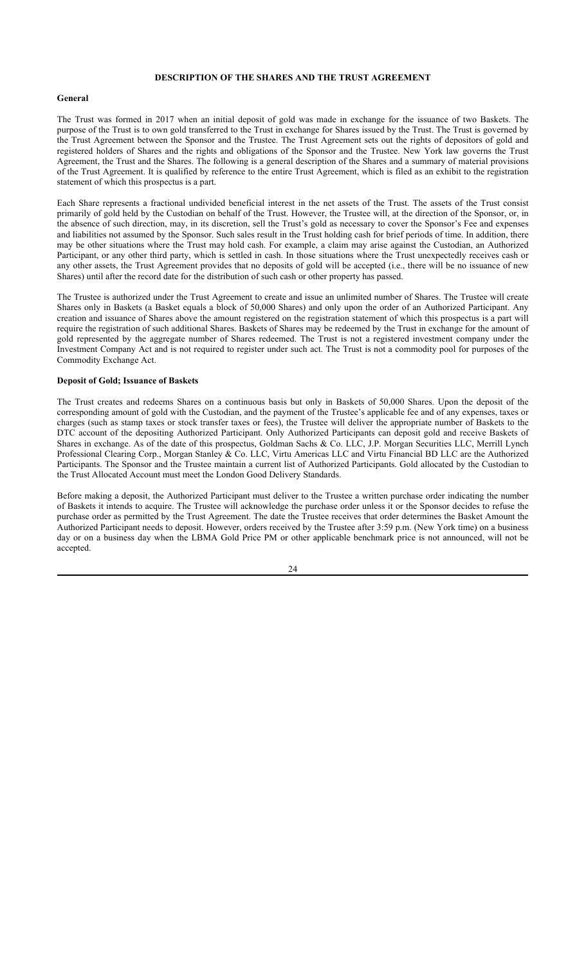## **DESCRIPTION OF THE SHARES AND THE TRUST AGREEMENT**

#### **General**

The Trust was formed in 2017 when an initial deposit of gold was made in exchange for the issuance of two Baskets. The purpose of the Trust is to own gold transferred to the Trust in exchange for Shares issued by the Trust. The Trust is governed by the Trust Agreement between the Sponsor and the Trustee. The Trust Agreement sets out the rights of depositors of gold and registered holders of Shares and the rights and obligations of the Sponsor and the Trustee. New York law governs the Trust Agreement, the Trust and the Shares. The following is a general description of the Shares and a summary of material provisions of the Trust Agreement. It is qualified by reference to the entire Trust Agreement, which is filed as an exhibit to the registration statement of which this prospectus is a part.

Each Share represents a fractional undivided beneficial interest in the net assets of the Trust. The assets of the Trust consist primarily of gold held by the Custodian on behalf of the Trust. However, the Trustee will, at the direction of the Sponsor, or, in the absence of such direction, may, in its discretion, sell the Trust's gold as necessary to cover the Sponsor's Fee and expenses and liabilities not assumed by the Sponsor. Such sales result in the Trust holding cash for brief periods of time. In addition, there may be other situations where the Trust may hold cash. For example, a claim may arise against the Custodian, an Authorized Participant, or any other third party, which is settled in cash. In those situations where the Trust unexpectedly receives cash or any other assets, the Trust Agreement provides that no deposits of gold will be accepted (i.e., there will be no issuance of new Shares) until after the record date for the distribution of such cash or other property has passed.

The Trustee is authorized under the Trust Agreement to create and issue an unlimited number of Shares. The Trustee will create Shares only in Baskets (a Basket equals a block of 50,000 Shares) and only upon the order of an Authorized Participant. Any creation and issuance of Shares above the amount registered on the registration statement of which this prospectus is a part will require the registration of such additional Shares. Baskets of Shares may be redeemed by the Trust in exchange for the amount of gold represented by the aggregate number of Shares redeemed. The Trust is not a registered investment company under the Investment Company Act and is not required to register under such act. The Trust is not a commodity pool for purposes of the Commodity Exchange Act.

## **Deposit of Gold; Issuance of Baskets**

The Trust creates and redeems Shares on a continuous basis but only in Baskets of 50,000 Shares. Upon the deposit of the corresponding amount of gold with the Custodian, and the payment of the Trustee's applicable fee and of any expenses, taxes or charges (such as stamp taxes or stock transfer taxes or fees), the Trustee will deliver the appropriate number of Baskets to the DTC account of the depositing Authorized Participant. Only Authorized Participants can deposit gold and receive Baskets of Shares in exchange. As of the date of this prospectus, Goldman Sachs & Co. LLC, J.P. Morgan Securities LLC, Merrill Lynch Professional Clearing Corp., Morgan Stanley & Co. LLC, Virtu Americas LLC and Virtu Financial BD LLC are the Authorized Participants. The Sponsor and the Trustee maintain a current list of Authorized Participants. Gold allocated by the Custodian to the Trust Allocated Account must meet the London Good Delivery Standards.

Before making a deposit, the Authorized Participant must deliver to the Trustee a written purchase order indicating the number of Baskets it intends to acquire. The Trustee will acknowledge the purchase order unless it or the Sponsor decides to refuse the purchase order as permitted by the Trust Agreement. The date the Trustee receives that order determines the Basket Amount the Authorized Participant needs to deposit. However, orders received by the Trustee after 3:59 p.m. (New York time) on a business day or on a business day when the LBMA Gold Price PM or other applicable benchmark price is not announced, will not be accepted.

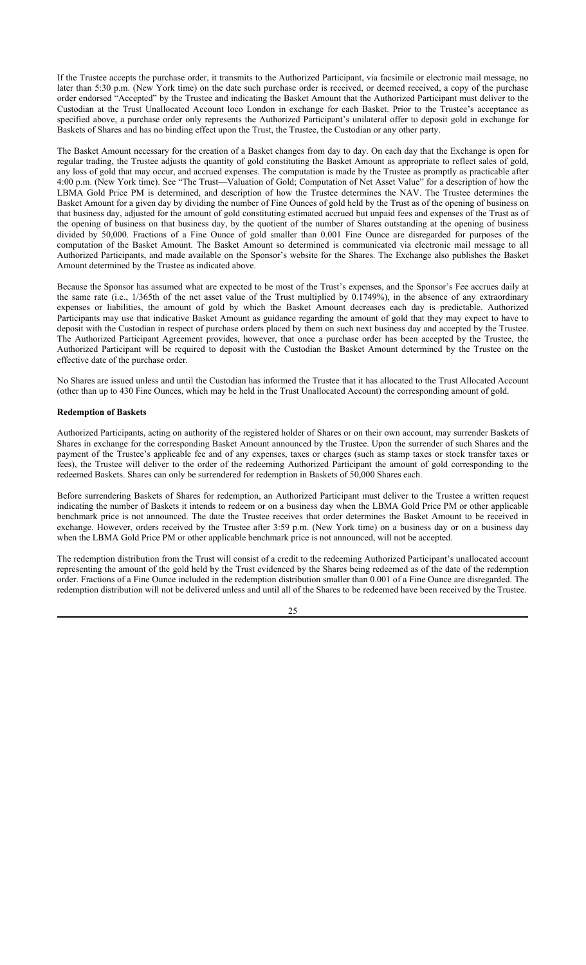If the Trustee accepts the purchase order, it transmits to the Authorized Participant, via facsimile or electronic mail message, no later than 5:30 p.m. (New York time) on the date such purchase order is received, or deemed received, a copy of the purchase order endorsed "Accepted" by the Trustee and indicating the Basket Amount that the Authorized Participant must deliver to the Custodian at the Trust Unallocated Account loco London in exchange for each Basket. Prior to the Trustee's acceptance as specified above, a purchase order only represents the Authorized Participant's unilateral offer to deposit gold in exchange for Baskets of Shares and has no binding effect upon the Trust, the Trustee, the Custodian or any other party.

The Basket Amount necessary for the creation of a Basket changes from day to day. On each day that the Exchange is open for regular trading, the Trustee adjusts the quantity of gold constituting the Basket Amount as appropriate to reflect sales of gold, any loss of gold that may occur, and accrued expenses. The computation is made by the Trustee as promptly as practicable after 4:00 p.m. (New York time). See "The Trust—Valuation of Gold; Computation of Net Asset Value" for a description of how the LBMA Gold Price PM is determined, and description of how the Trustee determines the NAV. The Trustee determines the Basket Amount for a given day by dividing the number of Fine Ounces of gold held by the Trust as of the opening of business on that business day, adjusted for the amount of gold constituting estimated accrued but unpaid fees and expenses of the Trust as of the opening of business on that business day, by the quotient of the number of Shares outstanding at the opening of business divided by 50,000. Fractions of a Fine Ounce of gold smaller than 0.001 Fine Ounce are disregarded for purposes of the computation of the Basket Amount. The Basket Amount so determined is communicated via electronic mail message to all Authorized Participants, and made available on the Sponsor's website for the Shares. The Exchange also publishes the Basket Amount determined by the Trustee as indicated above.

Because the Sponsor has assumed what are expected to be most of the Trust's expenses, and the Sponsor's Fee accrues daily at the same rate (i.e., 1/365th of the net asset value of the Trust multiplied by 0.1749%), in the absence of any extraordinary expenses or liabilities, the amount of gold by which the Basket Amount decreases each day is predictable. Authorized Participants may use that indicative Basket Amount as guidance regarding the amount of gold that they may expect to have to deposit with the Custodian in respect of purchase orders placed by them on such next business day and accepted by the Trustee. The Authorized Participant Agreement provides, however, that once a purchase order has been accepted by the Trustee, the Authorized Participant will be required to deposit with the Custodian the Basket Amount determined by the Trustee on the effective date of the purchase order.

No Shares are issued unless and until the Custodian has informed the Trustee that it has allocated to the Trust Allocated Account (other than up to 430 Fine Ounces, which may be held in the Trust Unallocated Account) the corresponding amount of gold.

### **Redemption of Baskets**

Authorized Participants, acting on authority of the registered holder of Shares or on their own account, may surrender Baskets of Shares in exchange for the corresponding Basket Amount announced by the Trustee. Upon the surrender of such Shares and the payment of the Trustee's applicable fee and of any expenses, taxes or charges (such as stamp taxes or stock transfer taxes or fees), the Trustee will deliver to the order of the redeeming Authorized Participant the amount of gold corresponding to the redeemed Baskets. Shares can only be surrendered for redemption in Baskets of 50,000 Shares each.

Before surrendering Baskets of Shares for redemption, an Authorized Participant must deliver to the Trustee a written request indicating the number of Baskets it intends to redeem or on a business day when the LBMA Gold Price PM or other applicable benchmark price is not announced. The date the Trustee receives that order determines the Basket Amount to be received in exchange. However, orders received by the Trustee after 3:59 p.m. (New York time) on a business day or on a business day when the LBMA Gold Price PM or other applicable benchmark price is not announced, will not be accepted.

The redemption distribution from the Trust will consist of a credit to the redeeming Authorized Participant's unallocated account representing the amount of the gold held by the Trust evidenced by the Shares being redeemed as of the date of the redemption order. Fractions of a Fine Ounce included in the redemption distribution smaller than 0.001 of a Fine Ounce are disregarded. The redemption distribution will not be delivered unless and until all of the Shares to be redeemed have been received by the Trustee.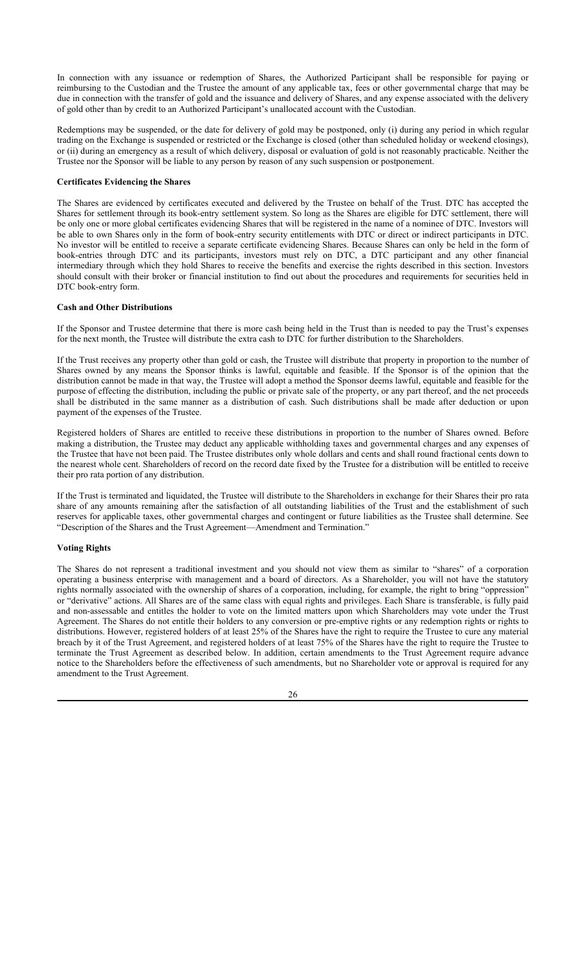In connection with any issuance or redemption of Shares, the Authorized Participant shall be responsible for paying or reimbursing to the Custodian and the Trustee the amount of any applicable tax, fees or other governmental charge that may be due in connection with the transfer of gold and the issuance and delivery of Shares, and any expense associated with the delivery of gold other than by credit to an Authorized Participant's unallocated account with the Custodian.

Redemptions may be suspended, or the date for delivery of gold may be postponed, only (i) during any period in which regular trading on the Exchange is suspended or restricted or the Exchange is closed (other than scheduled holiday or weekend closings), or (ii) during an emergency as a result of which delivery, disposal or evaluation of gold is not reasonably practicable. Neither the Trustee nor the Sponsor will be liable to any person by reason of any such suspension or postponement.

### **Certificates Evidencing the Shares**

The Shares are evidenced by certificates executed and delivered by the Trustee on behalf of the Trust. DTC has accepted the Shares for settlement through its book-entry settlement system. So long as the Shares are eligible for DTC settlement, there will be only one or more global certificates evidencing Shares that will be registered in the name of a nominee of DTC. Investors will be able to own Shares only in the form of book-entry security entitlements with DTC or direct or indirect participants in DTC. No investor will be entitled to receive a separate certificate evidencing Shares. Because Shares can only be held in the form of book-entries through DTC and its participants, investors must rely on DTC, a DTC participant and any other financial intermediary through which they hold Shares to receive the benefits and exercise the rights described in this section. Investors should consult with their broker or financial institution to find out about the procedures and requirements for securities held in DTC book-entry form.

### **Cash and Other Distributions**

If the Sponsor and Trustee determine that there is more cash being held in the Trust than is needed to pay the Trust's expenses for the next month, the Trustee will distribute the extra cash to DTC for further distribution to the Shareholders.

If the Trust receives any property other than gold or cash, the Trustee will distribute that property in proportion to the number of Shares owned by any means the Sponsor thinks is lawful, equitable and feasible. If the Sponsor is of the opinion that the distribution cannot be made in that way, the Trustee will adopt a method the Sponsor deems lawful, equitable and feasible for the purpose of effecting the distribution, including the public or private sale of the property, or any part thereof, and the net proceeds shall be distributed in the same manner as a distribution of cash. Such distributions shall be made after deduction or upon payment of the expenses of the Trustee.

Registered holders of Shares are entitled to receive these distributions in proportion to the number of Shares owned. Before making a distribution, the Trustee may deduct any applicable withholding taxes and governmental charges and any expenses of the Trustee that have not been paid. The Trustee distributes only whole dollars and cents and shall round fractional cents down to the nearest whole cent. Shareholders of record on the record date fixed by the Trustee for a distribution will be entitled to receive their pro rata portion of any distribution.

If the Trust is terminated and liquidated, the Trustee will distribute to the Shareholders in exchange for their Shares their pro rata share of any amounts remaining after the satisfaction of all outstanding liabilities of the Trust and the establishment of such reserves for applicable taxes, other governmental charges and contingent or future liabilities as the Trustee shall determine. See "Description of the Shares and the Trust Agreement—Amendment and Termination."

## **Voting Rights**

The Shares do not represent a traditional investment and you should not view them as similar to "shares" of a corporation operating a business enterprise with management and a board of directors. As a Shareholder, you will not have the statutory rights normally associated with the ownership of shares of a corporation, including, for example, the right to bring "oppression" or "derivative" actions. All Shares are of the same class with equal rights and privileges. Each Share is transferable, is fully paid and non-assessable and entitles the holder to vote on the limited matters upon which Shareholders may vote under the Trust Agreement. The Shares do not entitle their holders to any conversion or pre-emptive rights or any redemption rights or rights to distributions. However, registered holders of at least 25% of the Shares have the right to require the Trustee to cure any material breach by it of the Trust Agreement, and registered holders of at least 75% of the Shares have the right to require the Trustee to terminate the Trust Agreement as described below. In addition, certain amendments to the Trust Agreement require advance notice to the Shareholders before the effectiveness of such amendments, but no Shareholder vote or approval is required for any amendment to the Trust Agreement.

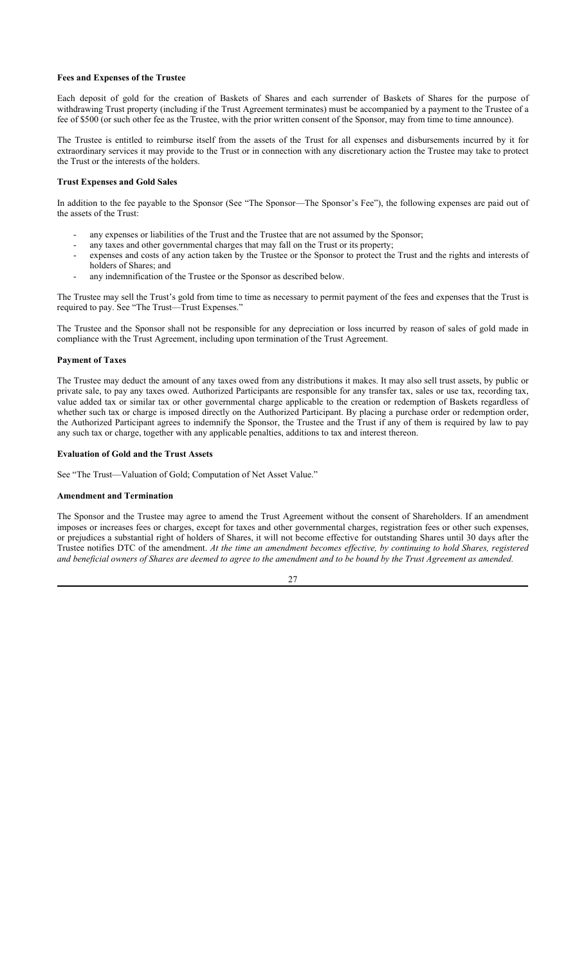#### **Fees and Expenses of the Trustee**

Each deposit of gold for the creation of Baskets of Shares and each surrender of Baskets of Shares for the purpose of withdrawing Trust property (including if the Trust Agreement terminates) must be accompanied by a payment to the Trustee of a fee of \$500 (or such other fee as the Trustee, with the prior written consent of the Sponsor, may from time to time announce).

The Trustee is entitled to reimburse itself from the assets of the Trust for all expenses and disbursements incurred by it for extraordinary services it may provide to the Trust or in connection with any discretionary action the Trustee may take to protect the Trust or the interests of the holders.

#### **Trust Expenses and Gold Sales**

In addition to the fee payable to the Sponsor (See "The Sponsor—The Sponsor's Fee"), the following expenses are paid out of the assets of the Trust:

- any expenses or liabilities of the Trust and the Trustee that are not assumed by the Sponsor;
- any taxes and other governmental charges that may fall on the Trust or its property;
- expenses and costs of any action taken by the Trustee or the Sponsor to protect the Trust and the rights and interests of holders of Shares; and
- any indemnification of the Trustee or the Sponsor as described below.

The Trustee may sell the Trust's gold from time to time as necessary to permit payment of the fees and expenses that the Trust is required to pay. See "The Trust—Trust Expenses."

The Trustee and the Sponsor shall not be responsible for any depreciation or loss incurred by reason of sales of gold made in compliance with the Trust Agreement, including upon termination of the Trust Agreement.

#### **Payment of Taxes**

The Trustee may deduct the amount of any taxes owed from any distributions it makes. It may also sell trust assets, by public or private sale, to pay any taxes owed. Authorized Participants are responsible for any transfer tax, sales or use tax, recording tax, value added tax or similar tax or other governmental charge applicable to the creation or redemption of Baskets regardless of whether such tax or charge is imposed directly on the Authorized Participant. By placing a purchase order or redemption order, the Authorized Participant agrees to indemnify the Sponsor, the Trustee and the Trust if any of them is required by law to pay any such tax or charge, together with any applicable penalties, additions to tax and interest thereon.

#### **Evaluation of Gold and the Trust Assets**

See "The Trust—Valuation of Gold; Computation of Net Asset Value."

#### **Amendment and Termination**

The Sponsor and the Trustee may agree to amend the Trust Agreement without the consent of Shareholders. If an amendment imposes or increases fees or charges, except for taxes and other governmental charges, registration fees or other such expenses, or prejudices a substantial right of holders of Shares, it will not become effective for outstanding Shares until 30 days after the Trustee notifies DTC of the amendment. *At the time an amendment becomes effective, by continuing to hold Shares, registered and beneficial owners of Shares are deemed to agree to the amendment and to be bound by the Trust Agreement as amended.*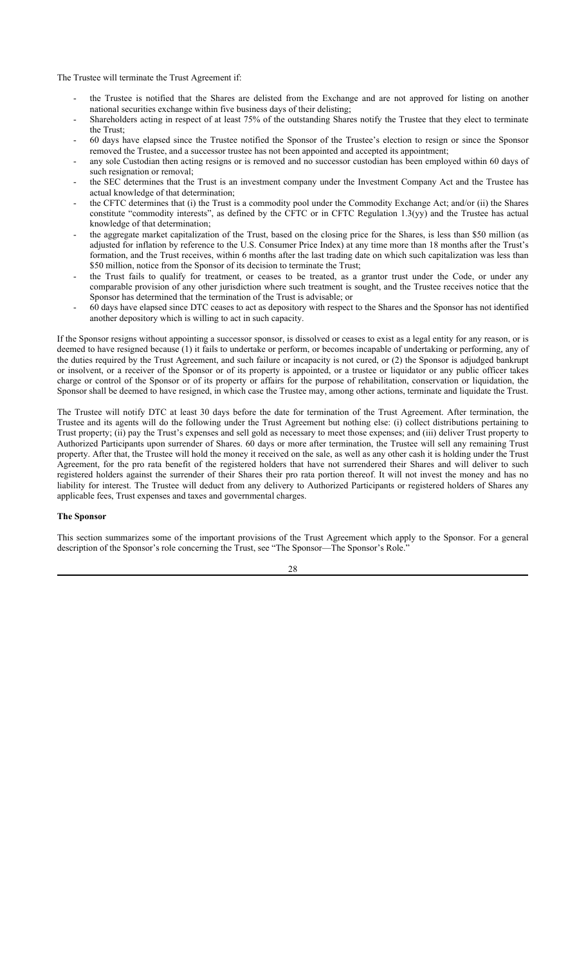The Trustee will terminate the Trust Agreement if:

- the Trustee is notified that the Shares are delisted from the Exchange and are not approved for listing on another national securities exchange within five business days of their delisting;
- Shareholders acting in respect of at least 75% of the outstanding Shares notify the Trustee that they elect to terminate the Trust;
- 60 days have elapsed since the Trustee notified the Sponsor of the Trustee's election to resign or since the Sponsor removed the Trustee, and a successor trustee has not been appointed and accepted its appointment;
- any sole Custodian then acting resigns or is removed and no successor custodian has been employed within 60 days of such resignation or removal;
- the SEC determines that the Trust is an investment company under the Investment Company Act and the Trustee has actual knowledge of that determination;
- the CFTC determines that (i) the Trust is a commodity pool under the Commodity Exchange Act; and/or (ii) the Shares constitute "commodity interests", as defined by the CFTC or in CFTC Regulation 1.3(yy) and the Trustee has actual knowledge of that determination;
- the aggregate market capitalization of the Trust, based on the closing price for the Shares, is less than \$50 million (as adjusted for inflation by reference to the U.S. Consumer Price Index) at any time more than 18 months after the Trust's formation, and the Trust receives, within 6 months after the last trading date on which such capitalization was less than \$50 million, notice from the Sponsor of its decision to terminate the Trust;
- the Trust fails to qualify for treatment, or ceases to be treated, as a grantor trust under the Code, or under any comparable provision of any other jurisdiction where such treatment is sought, and the Trustee receives notice that the Sponsor has determined that the termination of the Trust is advisable; or
- 60 days have elapsed since DTC ceases to act as depository with respect to the Shares and the Sponsor has not identified another depository which is willing to act in such capacity.

If the Sponsor resigns without appointing a successor sponsor, is dissolved or ceases to exist as a legal entity for any reason, or is deemed to have resigned because (1) it fails to undertake or perform, or becomes incapable of undertaking or performing, any of the duties required by the Trust Agreement, and such failure or incapacity is not cured, or (2) the Sponsor is adjudged bankrupt or insolvent, or a receiver of the Sponsor or of its property is appointed, or a trustee or liquidator or any public officer takes charge or control of the Sponsor or of its property or affairs for the purpose of rehabilitation, conservation or liquidation, the Sponsor shall be deemed to have resigned, in which case the Trustee may, among other actions, terminate and liquidate the Trust.

The Trustee will notify DTC at least 30 days before the date for termination of the Trust Agreement. After termination, the Trustee and its agents will do the following under the Trust Agreement but nothing else: (i) collect distributions pertaining to Trust property; (ii) pay the Trust's expenses and sell gold as necessary to meet those expenses; and (iii) deliver Trust property to Authorized Participants upon surrender of Shares. 60 days or more after termination, the Trustee will sell any remaining Trust property. After that, the Trustee will hold the money it received on the sale, as well as any other cash it is holding under the Trust Agreement, for the pro rata benefit of the registered holders that have not surrendered their Shares and will deliver to such registered holders against the surrender of their Shares their pro rata portion thereof. It will not invest the money and has no liability for interest. The Trustee will deduct from any delivery to Authorized Participants or registered holders of Shares any applicable fees, Trust expenses and taxes and governmental charges.

#### **The Sponsor**

This section summarizes some of the important provisions of the Trust Agreement which apply to the Sponsor. For a general description of the Sponsor's role concerning the Trust, see "The Sponsor-The Sponsor's Role."

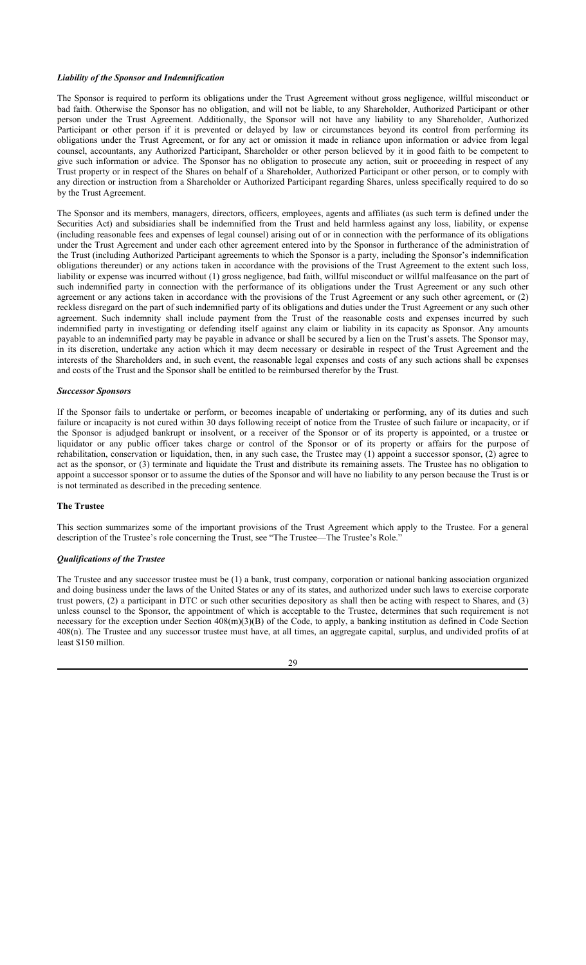#### *Liability of the Sponsor and Indemnification*

The Sponsor is required to perform its obligations under the Trust Agreement without gross negligence, willful misconduct or bad faith. Otherwise the Sponsor has no obligation, and will not be liable, to any Shareholder, Authorized Participant or other person under the Trust Agreement. Additionally, the Sponsor will not have any liability to any Shareholder, Authorized Participant or other person if it is prevented or delayed by law or circumstances beyond its control from performing its obligations under the Trust Agreement, or for any act or omission it made in reliance upon information or advice from legal counsel, accountants, any Authorized Participant, Shareholder or other person believed by it in good faith to be competent to give such information or advice. The Sponsor has no obligation to prosecute any action, suit or proceeding in respect of any Trust property or in respect of the Shares on behalf of a Shareholder, Authorized Participant or other person, or to comply with any direction or instruction from a Shareholder or Authorized Participant regarding Shares, unless specifically required to do so by the Trust Agreement.

The Sponsor and its members, managers, directors, officers, employees, agents and affiliates (as such term is defined under the Securities Act) and subsidiaries shall be indemnified from the Trust and held harmless against any loss, liability, or expense (including reasonable fees and expenses of legal counsel) arising out of or in connection with the performance of its obligations under the Trust Agreement and under each other agreement entered into by the Sponsor in furtherance of the administration of the Trust (including Authorized Participant agreements to which the Sponsor is a party, including the Sponsor's indemnification obligations thereunder) or any actions taken in accordance with the provisions of the Trust Agreement to the extent such loss, liability or expense was incurred without (1) gross negligence, bad faith, willful misconduct or willful malfeasance on the part of such indemnified party in connection with the performance of its obligations under the Trust Agreement or any such other agreement or any actions taken in accordance with the provisions of the Trust Agreement or any such other agreement, or (2) reckless disregard on the part of such indemnified party of its obligations and duties under the Trust Agreement or any such other agreement. Such indemnity shall include payment from the Trust of the reasonable costs and expenses incurred by such indemnified party in investigating or defending itself against any claim or liability in its capacity as Sponsor. Any amounts payable to an indemnified party may be payable in advance or shall be secured by a lien on the Trust's assets. The Sponsor may, in its discretion, undertake any action which it may deem necessary or desirable in respect of the Trust Agreement and the interests of the Shareholders and, in such event, the reasonable legal expenses and costs of any such actions shall be expenses and costs of the Trust and the Sponsor shall be entitled to be reimbursed therefor by the Trust.

#### *Successor Sponsors*

If the Sponsor fails to undertake or perform, or becomes incapable of undertaking or performing, any of its duties and such failure or incapacity is not cured within 30 days following receipt of notice from the Trustee of such failure or incapacity, or if the Sponsor is adjudged bankrupt or insolvent, or a receiver of the Sponsor or of its property is appointed, or a trustee or liquidator or any public officer takes charge or control of the Sponsor or of its property or affairs for the purpose of rehabilitation, conservation or liquidation, then, in any such case, the Trustee may (1) appoint a successor sponsor, (2) agree to act as the sponsor, or (3) terminate and liquidate the Trust and distribute its remaining assets. The Trustee has no obligation to appoint a successor sponsor or to assume the duties of the Sponsor and will have no liability to any person because the Trust is or is not terminated as described in the preceding sentence.

### **The Trustee**

This section summarizes some of the important provisions of the Trust Agreement which apply to the Trustee. For a general description of the Trustee's role concerning the Trust, see "The Trustee—The Trustee's Role."

### *Qualifications of the Trustee*

The Trustee and any successor trustee must be (1) a bank, trust company, corporation or national banking association organized and doing business under the laws of the United States or any of its states, and authorized under such laws to exercise corporate trust powers, (2) a participant in DTC or such other securities depository as shall then be acting with respect to Shares, and (3) unless counsel to the Sponsor, the appointment of which is acceptable to the Trustee, determines that such requirement is not necessary for the exception under Section 408(m)(3)(B) of the Code, to apply, a banking institution as defined in Code Section 408(n). The Trustee and any successor trustee must have, at all times, an aggregate capital, surplus, and undivided profits of at least \$150 million.

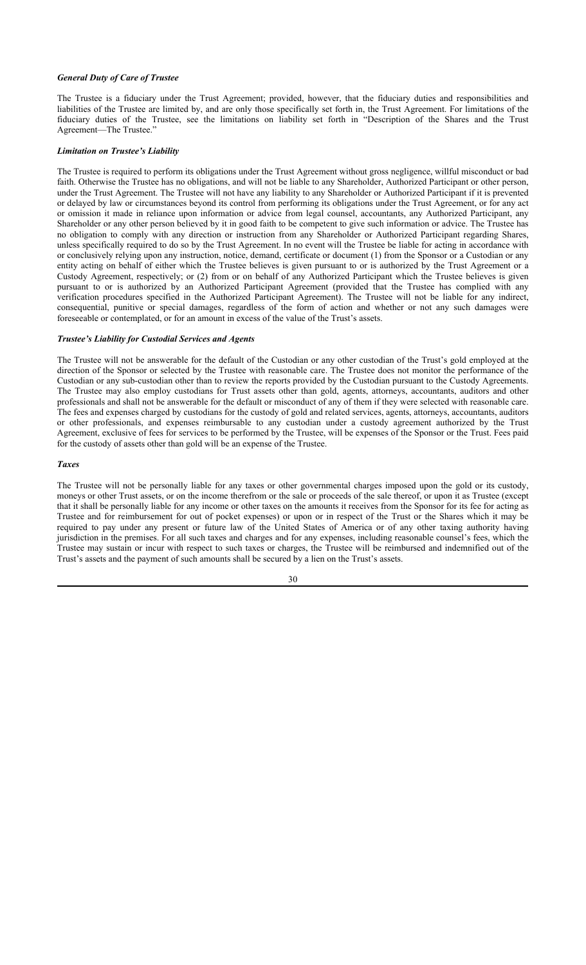#### *General Duty of Care of Trustee*

The Trustee is a fiduciary under the Trust Agreement; provided, however, that the fiduciary duties and responsibilities and liabilities of the Trustee are limited by, and are only those specifically set forth in, the Trust Agreement. For limitations of the fiduciary duties of the Trustee, see the limitations on liability set forth in "Description of the Shares and the Trust Agreement—The Trustee."

#### *Limitation on Trustee's Liability*

The Trustee is required to perform its obligations under the Trust Agreement without gross negligence, willful misconduct or bad faith. Otherwise the Trustee has no obligations, and will not be liable to any Shareholder, Authorized Participant or other person, under the Trust Agreement. The Trustee will not have any liability to any Shareholder or Authorized Participant if it is prevented or delayed by law or circumstances beyond its control from performing its obligations under the Trust Agreement, or for any act or omission it made in reliance upon information or advice from legal counsel, accountants, any Authorized Participant, any Shareholder or any other person believed by it in good faith to be competent to give such information or advice. The Trustee has no obligation to comply with any direction or instruction from any Shareholder or Authorized Participant regarding Shares, unless specifically required to do so by the Trust Agreement. In no event will the Trustee be liable for acting in accordance with or conclusively relying upon any instruction, notice, demand, certificate or document (1) from the Sponsor or a Custodian or any entity acting on behalf of either which the Trustee believes is given pursuant to or is authorized by the Trust Agreement or a Custody Agreement, respectively; or (2) from or on behalf of any Authorized Participant which the Trustee believes is given pursuant to or is authorized by an Authorized Participant Agreement (provided that the Trustee has complied with any verification procedures specified in the Authorized Participant Agreement). The Trustee will not be liable for any indirect, consequential, punitive or special damages, regardless of the form of action and whether or not any such damages were foreseeable or contemplated, or for an amount in excess of the value of the Trust's assets.

### *Trustee's Liability for Custodial Services and Agents*

The Trustee will not be answerable for the default of the Custodian or any other custodian of the Trust's gold employed at the direction of the Sponsor or selected by the Trustee with reasonable care. The Trustee does not monitor the performance of the Custodian or any sub-custodian other than to review the reports provided by the Custodian pursuant to the Custody Agreements. The Trustee may also employ custodians for Trust assets other than gold, agents, attorneys, accountants, auditors and other professionals and shall not be answerable for the default or misconduct of any of them if they were selected with reasonable care. The fees and expenses charged by custodians for the custody of gold and related services, agents, attorneys, accountants, auditors or other professionals, and expenses reimbursable to any custodian under a custody agreement authorized by the Trust Agreement, exclusive of fees for services to be performed by the Trustee, will be expenses of the Sponsor or the Trust. Fees paid for the custody of assets other than gold will be an expense of the Trustee.

#### *Taxes*

The Trustee will not be personally liable for any taxes or other governmental charges imposed upon the gold or its custody, moneys or other Trust assets, or on the income therefrom or the sale or proceeds of the sale thereof, or upon it as Trustee (except that it shall be personally liable for any income or other taxes on the amounts it receives from the Sponsor for its fee for acting as Trustee and for reimbursement for out of pocket expenses) or upon or in respect of the Trust or the Shares which it may be required to pay under any present or future law of the United States of America or of any other taxing authority having jurisdiction in the premises. For all such taxes and charges and for any expenses, including reasonable counsel's fees, which the Trustee may sustain or incur with respect to such taxes or charges, the Trustee will be reimbursed and indemnified out of the Trust's assets and the payment of such amounts shall be secured by a lien on the Trust's assets.

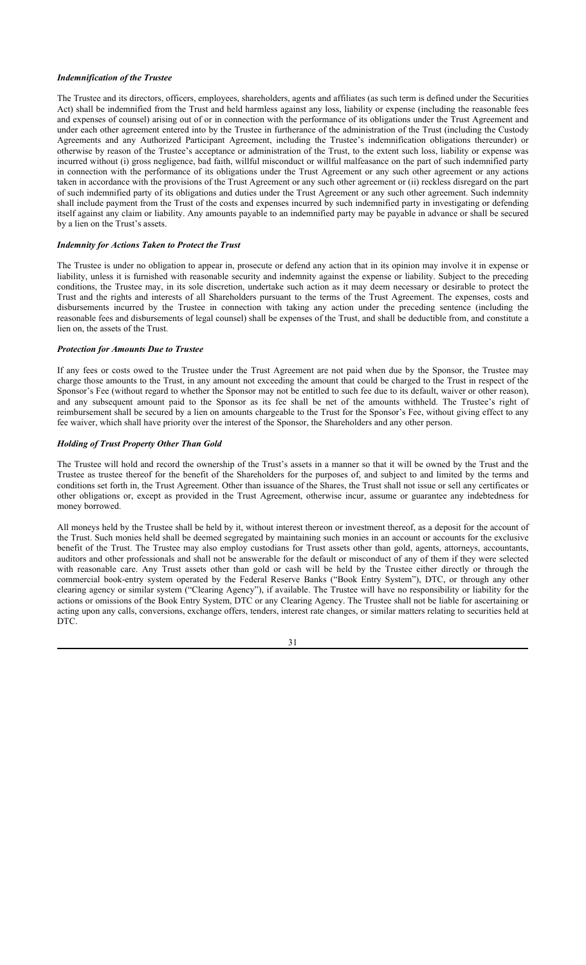### *Indemnification of the Trustee*

The Trustee and its directors, officers, employees, shareholders, agents and affiliates (as such term is defined under the Securities Act) shall be indemnified from the Trust and held harmless against any loss, liability or expense (including the reasonable fees and expenses of counsel) arising out of or in connection with the performance of its obligations under the Trust Agreement and under each other agreement entered into by the Trustee in furtherance of the administration of the Trust (including the Custody Agreements and any Authorized Participant Agreement, including the Trustee's indemnification obligations thereunder) or otherwise by reason of the Trustee's acceptance or administration of the Trust, to the extent such loss, liability or expense was incurred without (i) gross negligence, bad faith, willful misconduct or willful malfeasance on the part of such indemnified party in connection with the performance of its obligations under the Trust Agreement or any such other agreement or any actions taken in accordance with the provisions of the Trust Agreement or any such other agreement or (ii) reckless disregard on the part of such indemnified party of its obligations and duties under the Trust Agreement or any such other agreement. Such indemnity shall include payment from the Trust of the costs and expenses incurred by such indemnified party in investigating or defending itself against any claim or liability. Any amounts payable to an indemnified party may be payable in advance or shall be secured by a lien on the Trust's assets.

## *Indemnity for Actions Taken to Protect the Trust*

The Trustee is under no obligation to appear in, prosecute or defend any action that in its opinion may involve it in expense or liability, unless it is furnished with reasonable security and indemnity against the expense or liability. Subject to the preceding conditions, the Trustee may, in its sole discretion, undertake such action as it may deem necessary or desirable to protect the Trust and the rights and interests of all Shareholders pursuant to the terms of the Trust Agreement. The expenses, costs and disbursements incurred by the Trustee in connection with taking any action under the preceding sentence (including the reasonable fees and disbursements of legal counsel) shall be expenses of the Trust, and shall be deductible from, and constitute a lien on, the assets of the Trust.

#### *Protection for Amounts Due to Trustee*

If any fees or costs owed to the Trustee under the Trust Agreement are not paid when due by the Sponsor, the Trustee may charge those amounts to the Trust, in any amount not exceeding the amount that could be charged to the Trust in respect of the Sponsor's Fee (without regard to whether the Sponsor may not be entitled to such fee due to its default, waiver or other reason), and any subsequent amount paid to the Sponsor as its fee shall be net of the amounts withheld. The Trustee's right of reimbursement shall be secured by a lien on amounts chargeable to the Trust for the Sponsor's Fee, without giving effect to any fee waiver, which shall have priority over the interest of the Sponsor, the Shareholders and any other person.

### *Holding of Trust Property Other Than Gold*

The Trustee will hold and record the ownership of the Trust's assets in a manner so that it will be owned by the Trust and the Trustee as trustee thereof for the benefit of the Shareholders for the purposes of, and subject to and limited by the terms and conditions set forth in, the Trust Agreement. Other than issuance of the Shares, the Trust shall not issue or sell any certificates or other obligations or, except as provided in the Trust Agreement, otherwise incur, assume or guarantee any indebtedness for money borrowed.

All moneys held by the Trustee shall be held by it, without interest thereon or investment thereof, as a deposit for the account of the Trust. Such monies held shall be deemed segregated by maintaining such monies in an account or accounts for the exclusive benefit of the Trust. The Trustee may also employ custodians for Trust assets other than gold, agents, attorneys, accountants, auditors and other professionals and shall not be answerable for the default or misconduct of any of them if they were selected with reasonable care. Any Trust assets other than gold or cash will be held by the Trustee either directly or through the commercial book-entry system operated by the Federal Reserve Banks ("Book Entry System"), DTC, or through any other clearing agency or similar system ("Clearing Agency"), if available. The Trustee will have no responsibility or liability for the actions or omissions of the Book Entry System, DTC or any Clearing Agency. The Trustee shall not be liable for ascertaining or acting upon any calls, conversions, exchange offers, tenders, interest rate changes, or similar matters relating to securities held at DTC.

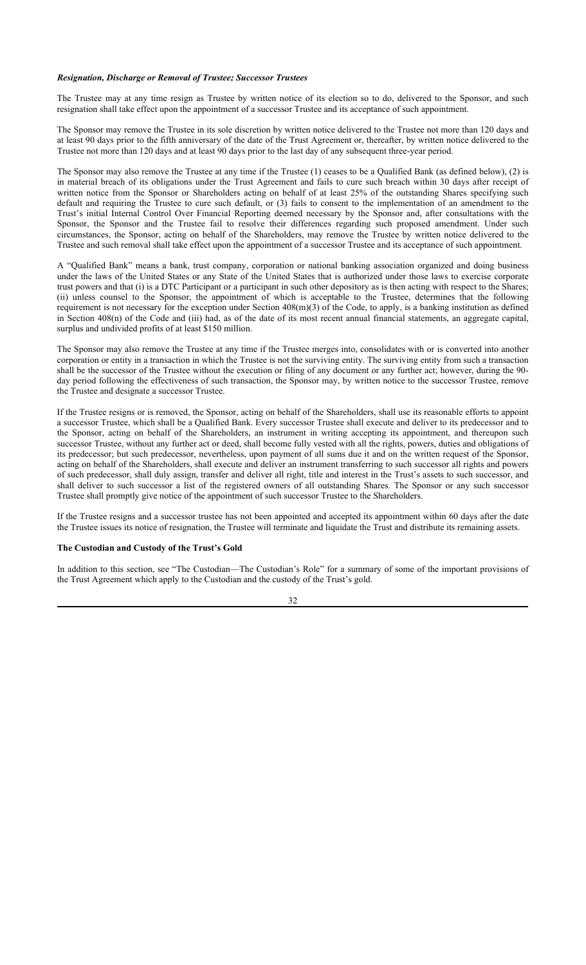### *Resignation, Discharge or Removal of Trustee; Successor Trustees*

The Trustee may at any time resign as Trustee by written notice of its election so to do, delivered to the Sponsor, and such resignation shall take effect upon the appointment of a successor Trustee and its acceptance of such appointment.

The Sponsor may remove the Trustee in its sole discretion by written notice delivered to the Trustee not more than 120 days and at least 90 days prior to the fifth anniversary of the date of the Trust Agreement or, thereafter, by written notice delivered to the Trustee not more than 120 days and at least 90 days prior to the last day of any subsequent three-year period.

The Sponsor may also remove the Trustee at any time if the Trustee (1) ceases to be a Qualified Bank (as defined below), (2) is in material breach of its obligations under the Trust Agreement and fails to cure such breach within 30 days after receipt of written notice from the Sponsor or Shareholders acting on behalf of at least 25% of the outstanding Shares specifying such default and requiring the Trustee to cure such default, or (3) fails to consent to the implementation of an amendment to the Trust's initial Internal Control Over Financial Reporting deemed necessary by the Sponsor and, after consultations with the Sponsor, the Sponsor and the Trustee fail to resolve their differences regarding such proposed amendment. Under such circumstances, the Sponsor, acting on behalf of the Shareholders, may remove the Trustee by written notice delivered to the Trustee and such removal shall take effect upon the appointment of a successor Trustee and its acceptance of such appointment.

A "Qualified Bank" means a bank, trust company, corporation or national banking association organized and doing business under the laws of the United States or any State of the United States that is authorized under those laws to exercise corporate trust powers and that (i) is a DTC Participant or a participant in such other depository as is then acting with respect to the Shares; (ii) unless counsel to the Sponsor, the appointment of which is acceptable to the Trustee, determines that the following requirement is not necessary for the exception under Section  $408(m)(3)$  of the Code, to apply, is a banking institution as defined in Section 408(n) of the Code and (iii) had, as of the date of its most recent annual financial statements, an aggregate capital, surplus and undivided profits of at least \$150 million.

The Sponsor may also remove the Trustee at any time if the Trustee merges into, consolidates with or is converted into another corporation or entity in a transaction in which the Trustee is not the surviving entity. The surviving entity from such a transaction shall be the successor of the Trustee without the execution or filing of any document or any further act; however, during the 90 day period following the effectiveness of such transaction, the Sponsor may, by written notice to the successor Trustee, remove the Trustee and designate a successor Trustee.

If the Trustee resigns or is removed, the Sponsor, acting on behalf of the Shareholders, shall use its reasonable efforts to appoint a successor Trustee, which shall be a Qualified Bank. Every successor Trustee shall execute and deliver to its predecessor and to the Sponsor, acting on behalf of the Shareholders, an instrument in writing accepting its appointment, and thereupon such successor Trustee, without any further act or deed, shall become fully vested with all the rights, powers, duties and obligations of its predecessor; but such predecessor, nevertheless, upon payment of all sums due it and on the written request of the Sponsor, acting on behalf of the Shareholders, shall execute and deliver an instrument transferring to such successor all rights and powers of such predecessor, shall duly assign, transfer and deliver all right, title and interest in the Trust's assets to such successor, and shall deliver to such successor a list of the registered owners of all outstanding Shares. The Sponsor or any such successor Trustee shall promptly give notice of the appointment of such successor Trustee to the Shareholders.

If the Trustee resigns and a successor trustee has not been appointed and accepted its appointment within 60 days after the date the Trustee issues its notice of resignation, the Trustee will terminate and liquidate the Trust and distribute its remaining assets.

### **The Custodian and Custody of the Trust's Gold**

In addition to this section, see "The Custodian—The Custodian's Role" for a summary of some of the important provisions of the Trust Agreement which apply to the Custodian and the custody of the Trust's gold.

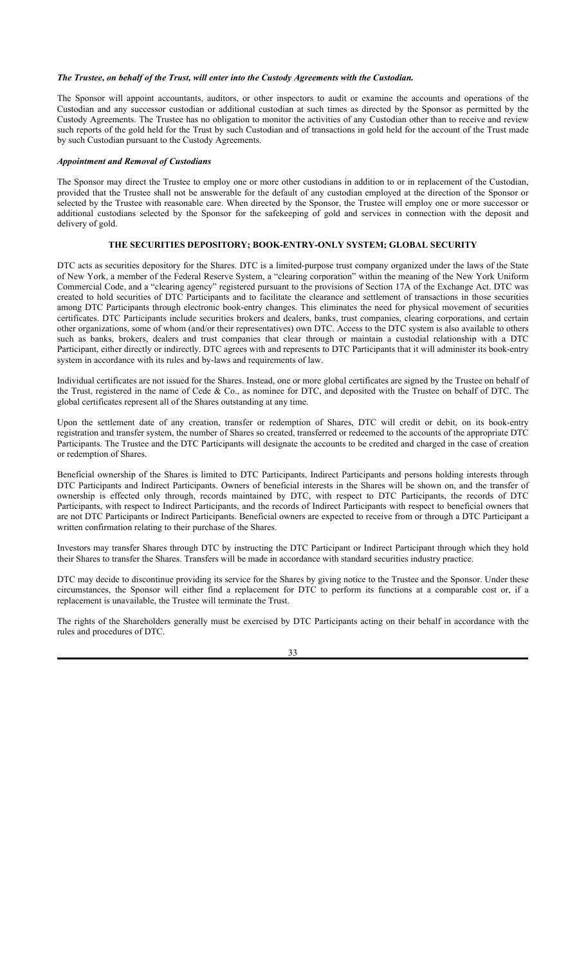#### *The Trustee, on behalf of the Trust, will enter into the Custody Agreements with the Custodian.*

The Sponsor will appoint accountants, auditors, or other inspectors to audit or examine the accounts and operations of the Custodian and any successor custodian or additional custodian at such times as directed by the Sponsor as permitted by the Custody Agreements. The Trustee has no obligation to monitor the activities of any Custodian other than to receive and review such reports of the gold held for the Trust by such Custodian and of transactions in gold held for the account of the Trust made by such Custodian pursuant to the Custody Agreements.

### *Appointment and Removal of Custodians*

The Sponsor may direct the Trustee to employ one or more other custodians in addition to or in replacement of the Custodian, provided that the Trustee shall not be answerable for the default of any custodian employed at the direction of the Sponsor or selected by the Trustee with reasonable care. When directed by the Sponsor, the Trustee will employ one or more successor or additional custodians selected by the Sponsor for the safekeeping of gold and services in connection with the deposit and delivery of gold.

## **THE SECURITIES DEPOSITORY; BOOK-ENTRY-ONLY SYSTEM; GLOBAL SECURITY**

DTC acts as securities depository for the Shares. DTC is a limited-purpose trust company organized under the laws of the State of New York, a member of the Federal Reserve System, a "clearing corporation" within the meaning of the New York Uniform Commercial Code, and a "clearing agency" registered pursuant to the provisions of Section 17A of the Exchange Act. DTC was created to hold securities of DTC Participants and to facilitate the clearance and settlement of transactions in those securities among DTC Participants through electronic book-entry changes. This eliminates the need for physical movement of securities certificates. DTC Participants include securities brokers and dealers, banks, trust companies, clearing corporations, and certain other organizations, some of whom (and/or their representatives) own DTC. Access to the DTC system is also available to others such as banks, brokers, dealers and trust companies that clear through or maintain a custodial relationship with a DTC Participant, either directly or indirectly. DTC agrees with and represents to DTC Participants that it will administer its book-entry system in accordance with its rules and by-laws and requirements of law.

Individual certificates are not issued for the Shares. Instead, one or more global certificates are signed by the Trustee on behalf of the Trust, registered in the name of Cede & Co., as nominee for DTC, and deposited with the Trustee on behalf of DTC. The global certificates represent all of the Shares outstanding at any time.

Upon the settlement date of any creation, transfer or redemption of Shares, DTC will credit or debit, on its book-entry registration and transfer system, the number of Shares so created, transferred or redeemed to the accounts of the appropriate DTC Participants. The Trustee and the DTC Participants will designate the accounts to be credited and charged in the case of creation or redemption of Shares.

Beneficial ownership of the Shares is limited to DTC Participants, Indirect Participants and persons holding interests through DTC Participants and Indirect Participants. Owners of beneficial interests in the Shares will be shown on, and the transfer of ownership is effected only through, records maintained by DTC, with respect to DTC Participants, the records of DTC Participants, with respect to Indirect Participants, and the records of Indirect Participants with respect to beneficial owners that are not DTC Participants or Indirect Participants. Beneficial owners are expected to receive from or through a DTC Participant a written confirmation relating to their purchase of the Shares.

Investors may transfer Shares through DTC by instructing the DTC Participant or Indirect Participant through which they hold their Shares to transfer the Shares. Transfers will be made in accordance with standard securities industry practice.

DTC may decide to discontinue providing its service for the Shares by giving notice to the Trustee and the Sponsor. Under these circumstances, the Sponsor will either find a replacement for DTC to perform its functions at a comparable cost or, if a replacement is unavailable, the Trustee will terminate the Trust.

The rights of the Shareholders generally must be exercised by DTC Participants acting on their behalf in accordance with the rules and procedures of DTC.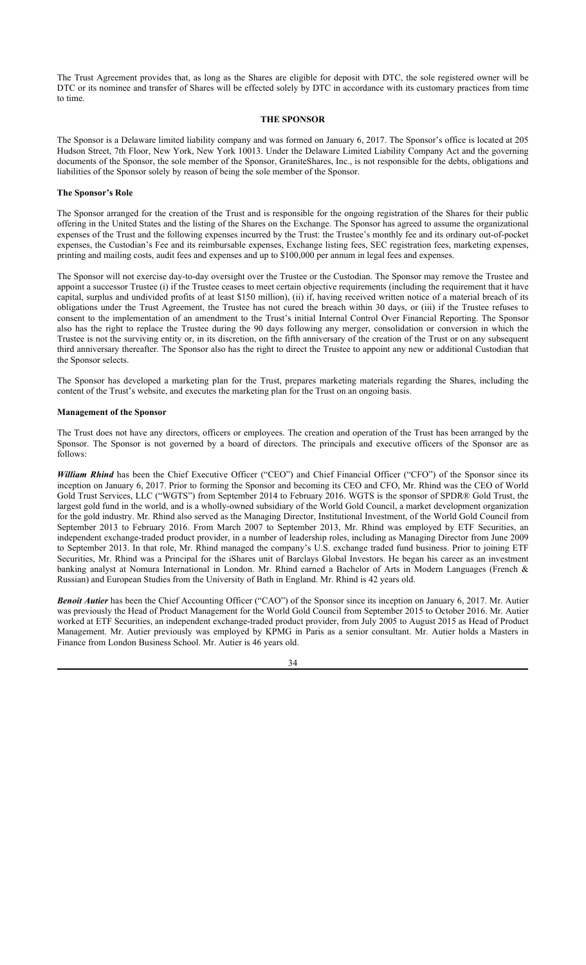The Trust Agreement provides that, as long as the Shares are eligible for deposit with DTC, the sole registered owner will be DTC or its nominee and transfer of Shares will be effected solely by DTC in accordance with its customary practices from time to time.

### **THE SPONSOR**

The Sponsor is a Delaware limited liability company and was formed on January 6, 2017. The Sponsor's office is located at 205 Hudson Street, 7th Floor, New York, New York 10013. Under the Delaware Limited Liability Company Act and the governing documents of the Sponsor, the sole member of the Sponsor, GraniteShares, Inc., is not responsible for the debts, obligations and liabilities of the Sponsor solely by reason of being the sole member of the Sponsor.

#### **The Sponsor's Role**

The Sponsor arranged for the creation of the Trust and is responsible for the ongoing registration of the Shares for their public offering in the United States and the listing of the Shares on the Exchange. The Sponsor has agreed to assume the organizational expenses of the Trust and the following expenses incurred by the Trust: the Trustee's monthly fee and its ordinary out-of-pocket expenses, the Custodian's Fee and its reimbursable expenses, Exchange listing fees, SEC registration fees, marketing expenses, printing and mailing costs, audit fees and expenses and up to \$100,000 per annum in legal fees and expenses.

The Sponsor will not exercise day-to-day oversight over the Trustee or the Custodian. The Sponsor may remove the Trustee and appoint a successor Trustee (i) if the Trustee ceases to meet certain objective requirements (including the requirement that it have capital, surplus and undivided profits of at least \$150 million), (ii) if, having received written notice of a material breach of its obligations under the Trust Agreement, the Trustee has not cured the breach within 30 days, or (iii) if the Trustee refuses to consent to the implementation of an amendment to the Trust's initial Internal Control Over Financial Reporting. The Sponsor also has the right to replace the Trustee during the 90 days following any merger, consolidation or conversion in which the Trustee is not the surviving entity or, in its discretion, on the fifth anniversary of the creation of the Trust or on any subsequent third anniversary thereafter. The Sponsor also has the right to direct the Trustee to appoint any new or additional Custodian that the Sponsor selects.

The Sponsor has developed a marketing plan for the Trust, prepares marketing materials regarding the Shares, including the content of the Trust's website, and executes the marketing plan for the Trust on an ongoing basis.

### **Management of the Sponsor**

The Trust does not have any directors, officers or employees. The creation and operation of the Trust has been arranged by the Sponsor. The Sponsor is not governed by a board of directors. The principals and executive officers of the Sponsor are as follows:

*William Rhind* has been the Chief Executive Officer ("CEO") and Chief Financial Officer ("CFO") of the Sponsor since its inception on January 6, 2017. Prior to forming the Sponsor and becoming its CEO and CFO, Mr. Rhind was the CEO of World Gold Trust Services, LLC ("WGTS") from September 2014 to February 2016. WGTS is the sponsor of SPDR® Gold Trust, the largest gold fund in the world, and is a wholly-owned subsidiary of the World Gold Council, a market development organization for the gold industry. Mr. Rhind also served as the Managing Director, Institutional Investment, of the World Gold Council from September 2013 to February 2016. From March 2007 to September 2013, Mr. Rhind was employed by ETF Securities, an independent exchange-traded product provider, in a number of leadership roles, including as Managing Director from June 2009 to September 2013. In that role, Mr. Rhind managed the company's U.S. exchange traded fund business. Prior to joining ETF Securities, Mr. Rhind was a Principal for the iShares unit of Barclays Global Investors. He began his career as an investment banking analyst at Nomura International in London. Mr. Rhind earned a Bachelor of Arts in Modern Languages (French & Russian) and European Studies from the University of Bath in England. Mr. Rhind is 42 years old.

*Benoit Autier* has been the Chief Accounting Officer ("CAO") of the Sponsor since its inception on January 6, 2017. Mr. Autier was previously the Head of Product Management for the World Gold Council from September 2015 to October 2016. Mr. Autier worked at ETF Securities, an independent exchange-traded product provider, from July 2005 to August 2015 as Head of Product Management. Mr. Autier previously was employed by KPMG in Paris as a senior consultant. Mr. Autier holds a Masters in Finance from London Business School. Mr. Autier is 46 years old.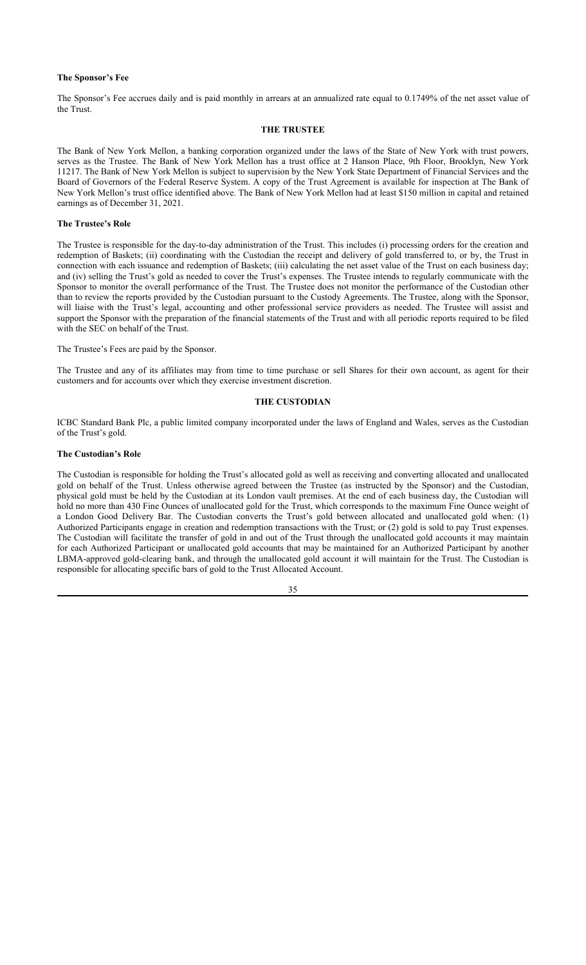### **The Sponsor's Fee**

The Sponsor's Fee accrues daily and is paid monthly in arrears at an annualized rate equal to 0.1749% of the net asset value of the Trust.

## **THE TRUSTEE**

The Bank of New York Mellon, a banking corporation organized under the laws of the State of New York with trust powers, serves as the Trustee. The Bank of New York Mellon has a trust office at 2 Hanson Place, 9th Floor, Brooklyn, New York 11217. The Bank of New York Mellon is subject to supervision by the New York State Department of Financial Services and the Board of Governors of the Federal Reserve System. A copy of the Trust Agreement is available for inspection at The Bank of New York Mellon's trust office identified above. The Bank of New York Mellon had at least \$150 million in capital and retained earnings as of December 31, 2021.

#### **The Trustee's Role**

The Trustee is responsible for the day-to-day administration of the Trust. This includes (i) processing orders for the creation and redemption of Baskets; (ii) coordinating with the Custodian the receipt and delivery of gold transferred to, or by, the Trust in connection with each issuance and redemption of Baskets; (iii) calculating the net asset value of the Trust on each business day; and (iv) selling the Trust's gold as needed to cover the Trust's expenses. The Trustee intends to regularly communicate with the Sponsor to monitor the overall performance of the Trust. The Trustee does not monitor the performance of the Custodian other than to review the reports provided by the Custodian pursuant to the Custody Agreements. The Trustee, along with the Sponsor, will liaise with the Trust's legal, accounting and other professional service providers as needed. The Trustee will assist and support the Sponsor with the preparation of the financial statements of the Trust and with all periodic reports required to be filed with the SEC on behalf of the Trust.

The Trustee's Fees are paid by the Sponsor.

The Trustee and any of its affiliates may from time to time purchase or sell Shares for their own account, as agent for their customers and for accounts over which they exercise investment discretion.

#### **THE CUSTODIAN**

ICBC Standard Bank Plc, a public limited company incorporated under the laws of England and Wales, serves as the Custodian of the Trust's gold.

#### **The Custodian's Role**

The Custodian is responsible for holding the Trust's allocated gold as well as receiving and converting allocated and unallocated gold on behalf of the Trust. Unless otherwise agreed between the Trustee (as instructed by the Sponsor) and the Custodian, physical gold must be held by the Custodian at its London vault premises. At the end of each business day, the Custodian will hold no more than 430 Fine Ounces of unallocated gold for the Trust, which corresponds to the maximum Fine Ounce weight of a London Good Delivery Bar. The Custodian converts the Trust's gold between allocated and unallocated gold when: (1) Authorized Participants engage in creation and redemption transactions with the Trust; or (2) gold is sold to pay Trust expenses. The Custodian will facilitate the transfer of gold in and out of the Trust through the unallocated gold accounts it may maintain for each Authorized Participant or unallocated gold accounts that may be maintained for an Authorized Participant by another LBMA-approved gold-clearing bank, and through the unallocated gold account it will maintain for the Trust. The Custodian is responsible for allocating specific bars of gold to the Trust Allocated Account.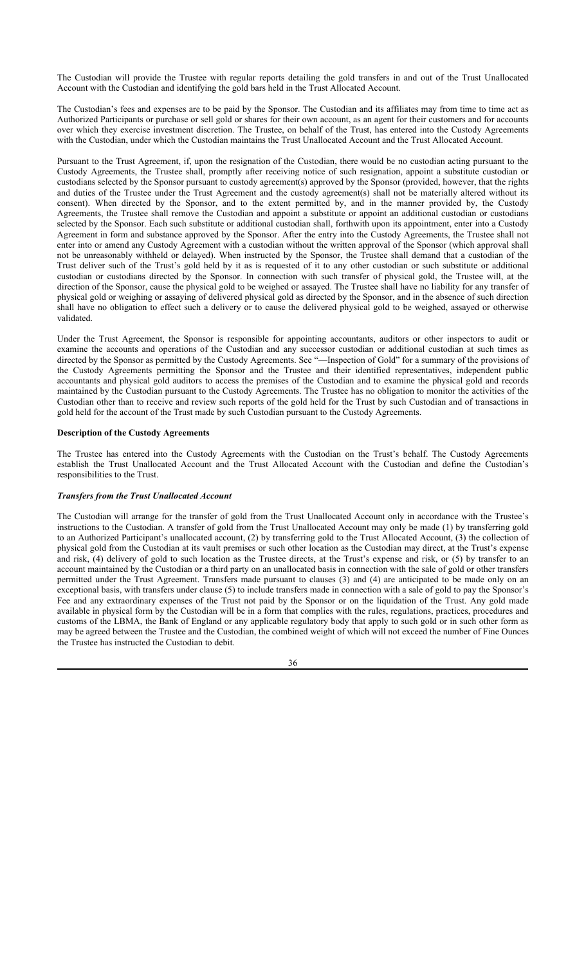The Custodian will provide the Trustee with regular reports detailing the gold transfers in and out of the Trust Unallocated Account with the Custodian and identifying the gold bars held in the Trust Allocated Account.

The Custodian's fees and expenses are to be paid by the Sponsor. The Custodian and its affiliates may from time to time act as Authorized Participants or purchase or sell gold or shares for their own account, as an agent for their customers and for accounts over which they exercise investment discretion. The Trustee, on behalf of the Trust, has entered into the Custody Agreements with the Custodian, under which the Custodian maintains the Trust Unallocated Account and the Trust Allocated Account.

Pursuant to the Trust Agreement, if, upon the resignation of the Custodian, there would be no custodian acting pursuant to the Custody Agreements, the Trustee shall, promptly after receiving notice of such resignation, appoint a substitute custodian or custodians selected by the Sponsor pursuant to custody agreement(s) approved by the Sponsor (provided, however, that the rights and duties of the Trustee under the Trust Agreement and the custody agreement(s) shall not be materially altered without its consent). When directed by the Sponsor, and to the extent permitted by, and in the manner provided by, the Custody Agreements, the Trustee shall remove the Custodian and appoint a substitute or appoint an additional custodian or custodians selected by the Sponsor. Each such substitute or additional custodian shall, forthwith upon its appointment, enter into a Custody Agreement in form and substance approved by the Sponsor. After the entry into the Custody Agreements, the Trustee shall not enter into or amend any Custody Agreement with a custodian without the written approval of the Sponsor (which approval shall not be unreasonably withheld or delayed). When instructed by the Sponsor, the Trustee shall demand that a custodian of the Trust deliver such of the Trust's gold held by it as is requested of it to any other custodian or such substitute or additional custodian or custodians directed by the Sponsor. In connection with such transfer of physical gold, the Trustee will, at the direction of the Sponsor, cause the physical gold to be weighed or assayed. The Trustee shall have no liability for any transfer of physical gold or weighing or assaying of delivered physical gold as directed by the Sponsor, and in the absence of such direction shall have no obligation to effect such a delivery or to cause the delivered physical gold to be weighed, assayed or otherwise validated.

Under the Trust Agreement, the Sponsor is responsible for appointing accountants, auditors or other inspectors to audit or examine the accounts and operations of the Custodian and any successor custodian or additional custodian at such times as directed by the Sponsor as permitted by the Custody Agreements. See "—Inspection of Gold" for a summary of the provisions of the Custody Agreements permitting the Sponsor and the Trustee and their identified representatives, independent public accountants and physical gold auditors to access the premises of the Custodian and to examine the physical gold and records maintained by the Custodian pursuant to the Custody Agreements. The Trustee has no obligation to monitor the activities of the Custodian other than to receive and review such reports of the gold held for the Trust by such Custodian and of transactions in gold held for the account of the Trust made by such Custodian pursuant to the Custody Agreements.

### **Description of the Custody Agreements**

The Trustee has entered into the Custody Agreements with the Custodian on the Trust's behalf. The Custody Agreements establish the Trust Unallocated Account and the Trust Allocated Account with the Custodian and define the Custodian's responsibilities to the Trust.

## *Transfers from the Trust Unallocated Account*

The Custodian will arrange for the transfer of gold from the Trust Unallocated Account only in accordance with the Trustee's instructions to the Custodian. A transfer of gold from the Trust Unallocated Account may only be made (1) by transferring gold to an Authorized Participant's unallocated account, (2) by transferring gold to the Trust Allocated Account, (3) the collection of physical gold from the Custodian at its vault premises or such other location as the Custodian may direct, at the Trust's expense and risk, (4) delivery of gold to such location as the Trustee directs, at the Trust's expense and risk, or (5) by transfer to an account maintained by the Custodian or a third party on an unallocated basis in connection with the sale of gold or other transfers permitted under the Trust Agreement. Transfers made pursuant to clauses (3) and (4) are anticipated to be made only on an exceptional basis, with transfers under clause (5) to include transfers made in connection with a sale of gold to pay the Sponsor's Fee and any extraordinary expenses of the Trust not paid by the Sponsor or on the liquidation of the Trust. Any gold made available in physical form by the Custodian will be in a form that complies with the rules, regulations, practices, procedures and customs of the LBMA, the Bank of England or any applicable regulatory body that apply to such gold or in such other form as may be agreed between the Trustee and the Custodian, the combined weight of which will not exceed the number of Fine Ounces the Trustee has instructed the Custodian to debit.

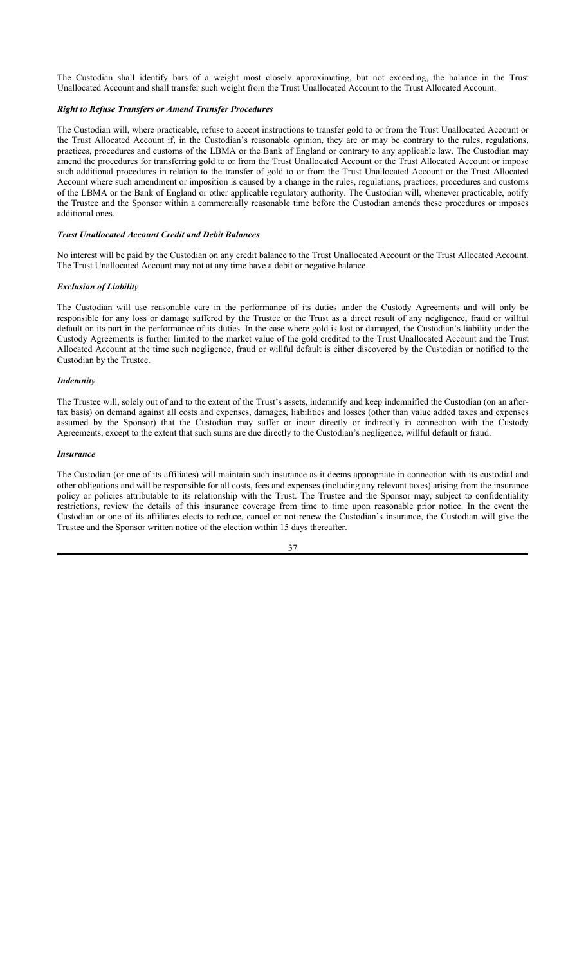The Custodian shall identify bars of a weight most closely approximating, but not exceeding, the balance in the Trust Unallocated Account and shall transfer such weight from the Trust Unallocated Account to the Trust Allocated Account.

## *Right to Refuse Transfers or Amend Transfer Procedures*

The Custodian will, where practicable, refuse to accept instructions to transfer gold to or from the Trust Unallocated Account or the Trust Allocated Account if, in the Custodian's reasonable opinion, they are or may be contrary to the rules, regulations, practices, procedures and customs of the LBMA or the Bank of England or contrary to any applicable law. The Custodian may amend the procedures for transferring gold to or from the Trust Unallocated Account or the Trust Allocated Account or impose such additional procedures in relation to the transfer of gold to or from the Trust Unallocated Account or the Trust Allocated Account where such amendment or imposition is caused by a change in the rules, regulations, practices, procedures and customs of the LBMA or the Bank of England or other applicable regulatory authority. The Custodian will, whenever practicable, notify the Trustee and the Sponsor within a commercially reasonable time before the Custodian amends these procedures or imposes additional ones.

### *Trust Unallocated Account Credit and Debit Balances*

No interest will be paid by the Custodian on any credit balance to the Trust Unallocated Account or the Trust Allocated Account. The Trust Unallocated Account may not at any time have a debit or negative balance.

### *Exclusion of Liability*

The Custodian will use reasonable care in the performance of its duties under the Custody Agreements and will only be responsible for any loss or damage suffered by the Trustee or the Trust as a direct result of any negligence, fraud or willful default on its part in the performance of its duties. In the case where gold is lost or damaged, the Custodian's liability under the Custody Agreements is further limited to the market value of the gold credited to the Trust Unallocated Account and the Trust Allocated Account at the time such negligence, fraud or willful default is either discovered by the Custodian or notified to the Custodian by the Trustee.

#### *Indemnity*

The Trustee will, solely out of and to the extent of the Trust's assets, indemnify and keep indemnified the Custodian (on an aftertax basis) on demand against all costs and expenses, damages, liabilities and losses (other than value added taxes and expenses assumed by the Sponsor) that the Custodian may suffer or incur directly or indirectly in connection with the Custody Agreements, except to the extent that such sums are due directly to the Custodian's negligence, willful default or fraud.

#### *Insurance*

The Custodian (or one of its affiliates) will maintain such insurance as it deems appropriate in connection with its custodial and other obligations and will be responsible for all costs, fees and expenses (including any relevant taxes) arising from the insurance policy or policies attributable to its relationship with the Trust. The Trustee and the Sponsor may, subject to confidentiality restrictions, review the details of this insurance coverage from time to time upon reasonable prior notice. In the event the Custodian or one of its affiliates elects to reduce, cancel or not renew the Custodian's insurance, the Custodian will give the Trustee and the Sponsor written notice of the election within 15 days thereafter.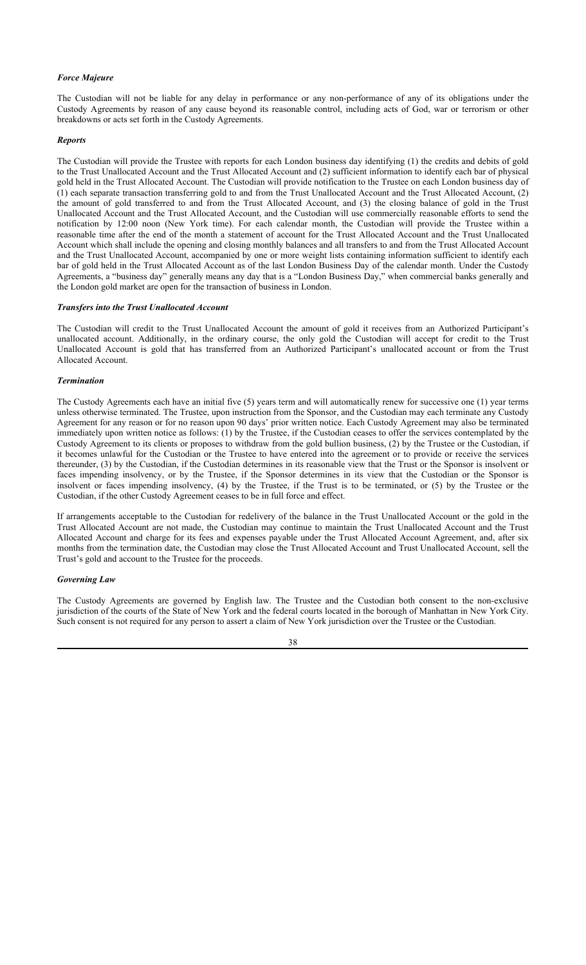## *Force Majeure*

The Custodian will not be liable for any delay in performance or any non-performance of any of its obligations under the Custody Agreements by reason of any cause beyond its reasonable control, including acts of God, war or terrorism or other breakdowns or acts set forth in the Custody Agreements.

#### *Reports*

The Custodian will provide the Trustee with reports for each London business day identifying (1) the credits and debits of gold to the Trust Unallocated Account and the Trust Allocated Account and (2) sufficient information to identify each bar of physical gold held in the Trust Allocated Account. The Custodian will provide notification to the Trustee on each London business day of (1) each separate transaction transferring gold to and from the Trust Unallocated Account and the Trust Allocated Account, (2) the amount of gold transferred to and from the Trust Allocated Account, and (3) the closing balance of gold in the Trust Unallocated Account and the Trust Allocated Account, and the Custodian will use commercially reasonable efforts to send the notification by 12:00 noon (New York time). For each calendar month, the Custodian will provide the Trustee within a reasonable time after the end of the month a statement of account for the Trust Allocated Account and the Trust Unallocated Account which shall include the opening and closing monthly balances and all transfers to and from the Trust Allocated Account and the Trust Unallocated Account, accompanied by one or more weight lists containing information sufficient to identify each bar of gold held in the Trust Allocated Account as of the last London Business Day of the calendar month. Under the Custody Agreements, a "business day" generally means any day that is a "London Business Day," when commercial banks generally and the London gold market are open for the transaction of business in London.

#### *Transfers into the Trust Unallocated Account*

The Custodian will credit to the Trust Unallocated Account the amount of gold it receives from an Authorized Participant's unallocated account. Additionally, in the ordinary course, the only gold the Custodian will accept for credit to the Trust Unallocated Account is gold that has transferred from an Authorized Participant's unallocated account or from the Trust Allocated Account.

#### *Termination*

The Custody Agreements each have an initial five (5) years term and will automatically renew for successive one (1) year terms unless otherwise terminated. The Trustee, upon instruction from the Sponsor, and the Custodian may each terminate any Custody Agreement for any reason or for no reason upon 90 days' prior written notice. Each Custody Agreement may also be terminated immediately upon written notice as follows: (1) by the Trustee, if the Custodian ceases to offer the services contemplated by the Custody Agreement to its clients or proposes to withdraw from the gold bullion business, (2) by the Trustee or the Custodian, if it becomes unlawful for the Custodian or the Trustee to have entered into the agreement or to provide or receive the services thereunder, (3) by the Custodian, if the Custodian determines in its reasonable view that the Trust or the Sponsor is insolvent or faces impending insolvency, or by the Trustee, if the Sponsor determines in its view that the Custodian or the Sponsor is insolvent or faces impending insolvency, (4) by the Trustee, if the Trust is to be terminated, or (5) by the Trustee or the Custodian, if the other Custody Agreement ceases to be in full force and effect.

If arrangements acceptable to the Custodian for redelivery of the balance in the Trust Unallocated Account or the gold in the Trust Allocated Account are not made, the Custodian may continue to maintain the Trust Unallocated Account and the Trust Allocated Account and charge for its fees and expenses payable under the Trust Allocated Account Agreement, and, after six months from the termination date, the Custodian may close the Trust Allocated Account and Trust Unallocated Account, sell the Trust's gold and account to the Trustee for the proceeds.

## *Governing Law*

The Custody Agreements are governed by English law. The Trustee and the Custodian both consent to the non-exclusive jurisdiction of the courts of the State of New York and the federal courts located in the borough of Manhattan in New York City. Such consent is not required for any person to assert a claim of New York jurisdiction over the Trustee or the Custodian.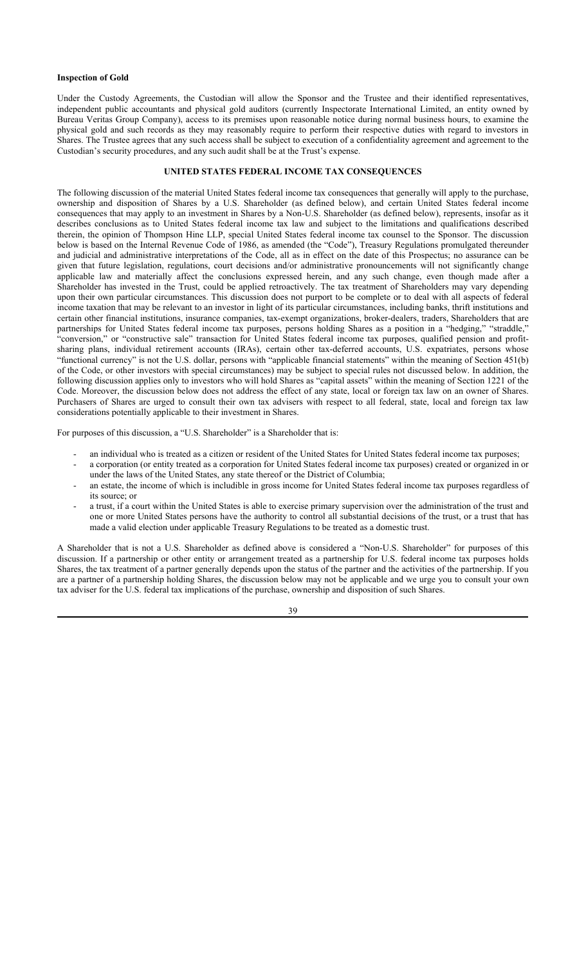### **Inspection of Gold**

Under the Custody Agreements, the Custodian will allow the Sponsor and the Trustee and their identified representatives, independent public accountants and physical gold auditors (currently Inspectorate International Limited, an entity owned by Bureau Veritas Group Company), access to its premises upon reasonable notice during normal business hours, to examine the physical gold and such records as they may reasonably require to perform their respective duties with regard to investors in Shares. The Trustee agrees that any such access shall be subject to execution of a confidentiality agreement and agreement to the Custodian's security procedures, and any such audit shall be at the Trust's expense.

## **UNITED STATES FEDERAL INCOME TAX CONSEQUENCES**

The following discussion of the material United States federal income tax consequences that generally will apply to the purchase, ownership and disposition of Shares by a U.S. Shareholder (as defined below), and certain United States federal income consequences that may apply to an investment in Shares by a Non-U.S. Shareholder (as defined below), represents, insofar as it describes conclusions as to United States federal income tax law and subject to the limitations and qualifications described therein, the opinion of Thompson Hine LLP, special United States federal income tax counsel to the Sponsor. The discussion below is based on the Internal Revenue Code of 1986, as amended (the "Code"), Treasury Regulations promulgated thereunder and judicial and administrative interpretations of the Code, all as in effect on the date of this Prospectus; no assurance can be given that future legislation, regulations, court decisions and/or administrative pronouncements will not significantly change applicable law and materially affect the conclusions expressed herein, and any such change, even though made after a Shareholder has invested in the Trust, could be applied retroactively. The tax treatment of Shareholders may vary depending upon their own particular circumstances. This discussion does not purport to be complete or to deal with all aspects of federal income taxation that may be relevant to an investor in light of its particular circumstances, including banks, thrift institutions and certain other financial institutions, insurance companies, tax-exempt organizations, broker-dealers, traders, Shareholders that are partnerships for United States federal income tax purposes, persons holding Shares as a position in a "hedging," "straddle," "conversion," or "constructive sale" transaction for United States federal income tax purposes, qualified pension and profitsharing plans, individual retirement accounts (IRAs), certain other tax-deferred accounts, U.S. expatriates, persons whose "functional currency" is not the U.S. dollar, persons with "applicable financial statements" within the meaning of Section 451(b) of the Code, or other investors with special circumstances) may be subject to special rules not discussed below. In addition, the following discussion applies only to investors who will hold Shares as "capital assets" within the meaning of Section 1221 of the Code. Moreover, the discussion below does not address the effect of any state, local or foreign tax law on an owner of Shares. Purchasers of Shares are urged to consult their own tax advisers with respect to all federal, state, local and foreign tax law considerations potentially applicable to their investment in Shares.

For purposes of this discussion, a "U.S. Shareholder" is a Shareholder that is:

- an individual who is treated as a citizen or resident of the United States for United States federal income tax purposes;
- a corporation (or entity treated as a corporation for United States federal income tax purposes) created or organized in or under the laws of the United States, any state thereof or the District of Columbia;
- an estate, the income of which is includible in gross income for United States federal income tax purposes regardless of its source; or
- a trust, if a court within the United States is able to exercise primary supervision over the administration of the trust and one or more United States persons have the authority to control all substantial decisions of the trust, or a trust that has made a valid election under applicable Treasury Regulations to be treated as a domestic trust.

A Shareholder that is not a U.S. Shareholder as defined above is considered a "Non-U.S. Shareholder" for purposes of this discussion. If a partnership or other entity or arrangement treated as a partnership for U.S. federal income tax purposes holds Shares, the tax treatment of a partner generally depends upon the status of the partner and the activities of the partnership. If you are a partner of a partnership holding Shares, the discussion below may not be applicable and we urge you to consult your own tax adviser for the U.S. federal tax implications of the purchase, ownership and disposition of such Shares.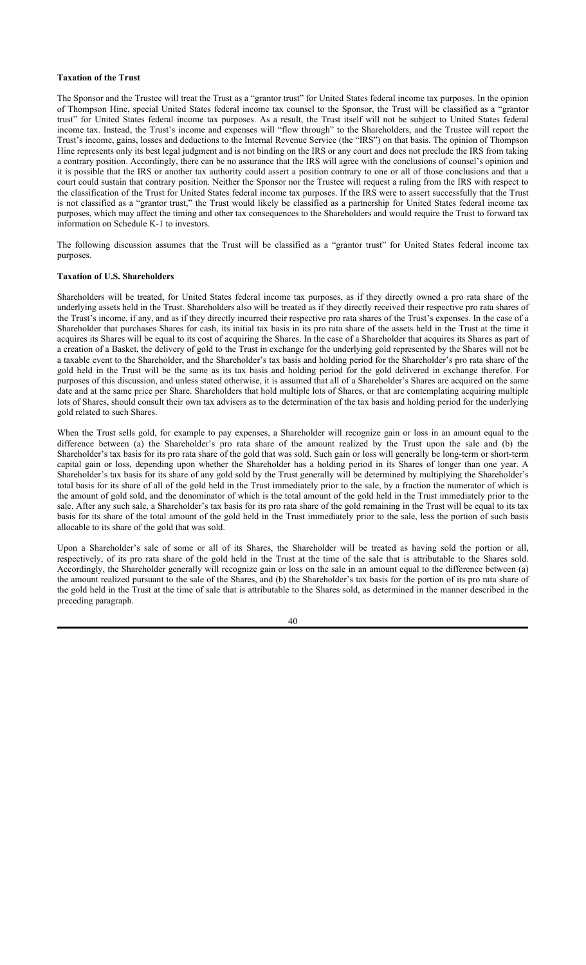#### **Taxation of the Trust**

The Sponsor and the Trustee will treat the Trust as a "grantor trust" for United States federal income tax purposes. In the opinion of Thompson Hine, special United States federal income tax counsel to the Sponsor, the Trust will be classified as a "grantor trust" for United States federal income tax purposes. As a result, the Trust itself will not be subject to United States federal income tax. Instead, the Trust's income and expenses will "flow through" to the Shareholders, and the Trustee will report the Trust's income, gains, losses and deductions to the Internal Revenue Service (the "IRS") on that basis. The opinion of Thompson Hine represents only its best legal judgment and is not binding on the IRS or any court and does not preclude the IRS from taking a contrary position. Accordingly, there can be no assurance that the IRS will agree with the conclusions of counsel's opinion and it is possible that the IRS or another tax authority could assert a position contrary to one or all of those conclusions and that a court could sustain that contrary position. Neither the Sponsor nor the Trustee will request a ruling from the IRS with respect to the classification of the Trust for United States federal income tax purposes. If the IRS were to assert successfully that the Trust is not classified as a "grantor trust," the Trust would likely be classified as a partnership for United States federal income tax purposes, which may affect the timing and other tax consequences to the Shareholders and would require the Trust to forward tax information on Schedule K-1 to investors.

The following discussion assumes that the Trust will be classified as a "grantor trust" for United States federal income tax purposes.

### **Taxation of U.S. Shareholders**

Shareholders will be treated, for United States federal income tax purposes, as if they directly owned a pro rata share of the underlying assets held in the Trust. Shareholders also will be treated as if they directly received their respective pro rata shares of the Trust's income, if any, and as if they directly incurred their respective pro rata shares of the Trust's expenses. In the case of a Shareholder that purchases Shares for cash, its initial tax basis in its pro rata share of the assets held in the Trust at the time it acquires its Shares will be equal to its cost of acquiring the Shares. In the case of a Shareholder that acquires its Shares as part of a creation of a Basket, the delivery of gold to the Trust in exchange for the underlying gold represented by the Shares will not be a taxable event to the Shareholder, and the Shareholder's tax basis and holding period for the Shareholder's pro rata share of the gold held in the Trust will be the same as its tax basis and holding period for the gold delivered in exchange therefor. For purposes of this discussion, and unless stated otherwise, it is assumed that all of a Shareholder's Shares are acquired on the same date and at the same price per Share. Shareholders that hold multiple lots of Shares, or that are contemplating acquiring multiple lots of Shares, should consult their own tax advisers as to the determination of the tax basis and holding period for the underlying gold related to such Shares.

When the Trust sells gold, for example to pay expenses, a Shareholder will recognize gain or loss in an amount equal to the difference between (a) the Shareholder's pro rata share of the amount realized by the Trust upon the sale and (b) the Shareholder's tax basis for its pro rata share of the gold that was sold. Such gain or loss will generally be long-term or short-term capital gain or loss, depending upon whether the Shareholder has a holding period in its Shares of longer than one year. A Shareholder's tax basis for its share of any gold sold by the Trust generally will be determined by multiplying the Shareholder's total basis for its share of all of the gold held in the Trust immediately prior to the sale, by a fraction the numerator of which is the amount of gold sold, and the denominator of which is the total amount of the gold held in the Trust immediately prior to the sale. After any such sale, a Shareholder's tax basis for its pro rata share of the gold remaining in the Trust will be equal to its tax basis for its share of the total amount of the gold held in the Trust immediately prior to the sale, less the portion of such basis allocable to its share of the gold that was sold.

Upon a Shareholder's sale of some or all of its Shares, the Shareholder will be treated as having sold the portion or all, respectively, of its pro rata share of the gold held in the Trust at the time of the sale that is attributable to the Shares sold. Accordingly, the Shareholder generally will recognize gain or loss on the sale in an amount equal to the difference between (a) the amount realized pursuant to the sale of the Shares, and (b) the Shareholder's tax basis for the portion of its pro rata share of the gold held in the Trust at the time of sale that is attributable to the Shares sold, as determined in the manner described in the preceding paragraph.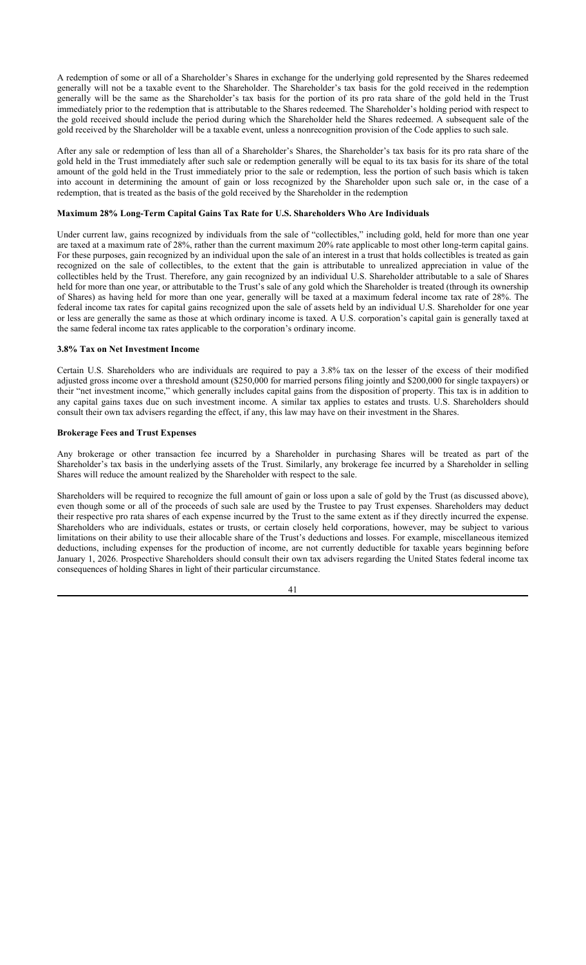A redemption of some or all of a Shareholder's Shares in exchange for the underlying gold represented by the Shares redeemed generally will not be a taxable event to the Shareholder. The Shareholder's tax basis for the gold received in the redemption generally will be the same as the Shareholder's tax basis for the portion of its pro rata share of the gold held in the Trust immediately prior to the redemption that is attributable to the Shares redeemed. The Shareholder's holding period with respect to the gold received should include the period during which the Shareholder held the Shares redeemed. A subsequent sale of the gold received by the Shareholder will be a taxable event, unless a nonrecognition provision of the Code applies to such sale.

After any sale or redemption of less than all of a Shareholder's Shares, the Shareholder's tax basis for its pro rata share of the gold held in the Trust immediately after such sale or redemption generally will be equal to its tax basis for its share of the total amount of the gold held in the Trust immediately prior to the sale or redemption, less the portion of such basis which is taken into account in determining the amount of gain or loss recognized by the Shareholder upon such sale or, in the case of a redemption, that is treated as the basis of the gold received by the Shareholder in the redemption

#### **Maximum 28% Long-Term Capital Gains Tax Rate for U.S. Shareholders Who Are Individuals**

Under current law, gains recognized by individuals from the sale of "collectibles," including gold, held for more than one year are taxed at a maximum rate of 28%, rather than the current maximum 20% rate applicable to most other long-term capital gains. For these purposes, gain recognized by an individual upon the sale of an interest in a trust that holds collectibles is treated as gain recognized on the sale of collectibles, to the extent that the gain is attributable to unrealized appreciation in value of the collectibles held by the Trust. Therefore, any gain recognized by an individual U.S. Shareholder attributable to a sale of Shares held for more than one year, or attributable to the Trust's sale of any gold which the Shareholder is treated (through its ownership of Shares) as having held for more than one year, generally will be taxed at a maximum federal income tax rate of 28%. The federal income tax rates for capital gains recognized upon the sale of assets held by an individual U.S. Shareholder for one year or less are generally the same as those at which ordinary income is taxed. A U.S. corporation's capital gain is generally taxed at the same federal income tax rates applicable to the corporation's ordinary income.

#### **3.8% Tax on Net Investment Income**

Certain U.S. Shareholders who are individuals are required to pay a 3.8% tax on the lesser of the excess of their modified adjusted gross income over a threshold amount (\$250,000 for married persons filing jointly and \$200,000 for single taxpayers) or their "net investment income," which generally includes capital gains from the disposition of property. This tax is in addition to any capital gains taxes due on such investment income. A similar tax applies to estates and trusts. U.S. Shareholders should consult their own tax advisers regarding the effect, if any, this law may have on their investment in the Shares.

## **Brokerage Fees and Trust Expenses**

Any brokerage or other transaction fee incurred by a Shareholder in purchasing Shares will be treated as part of the Shareholder's tax basis in the underlying assets of the Trust. Similarly, any brokerage fee incurred by a Shareholder in selling Shares will reduce the amount realized by the Shareholder with respect to the sale.

Shareholders will be required to recognize the full amount of gain or loss upon a sale of gold by the Trust (as discussed above), even though some or all of the proceeds of such sale are used by the Trustee to pay Trust expenses. Shareholders may deduct their respective pro rata shares of each expense incurred by the Trust to the same extent as if they directly incurred the expense. Shareholders who are individuals, estates or trusts, or certain closely held corporations, however, may be subject to various limitations on their ability to use their allocable share of the Trust's deductions and losses. For example, miscellaneous itemized deductions, including expenses for the production of income, are not currently deductible for taxable years beginning before January 1, 2026. Prospective Shareholders should consult their own tax advisers regarding the United States federal income tax consequences of holding Shares in light of their particular circumstance.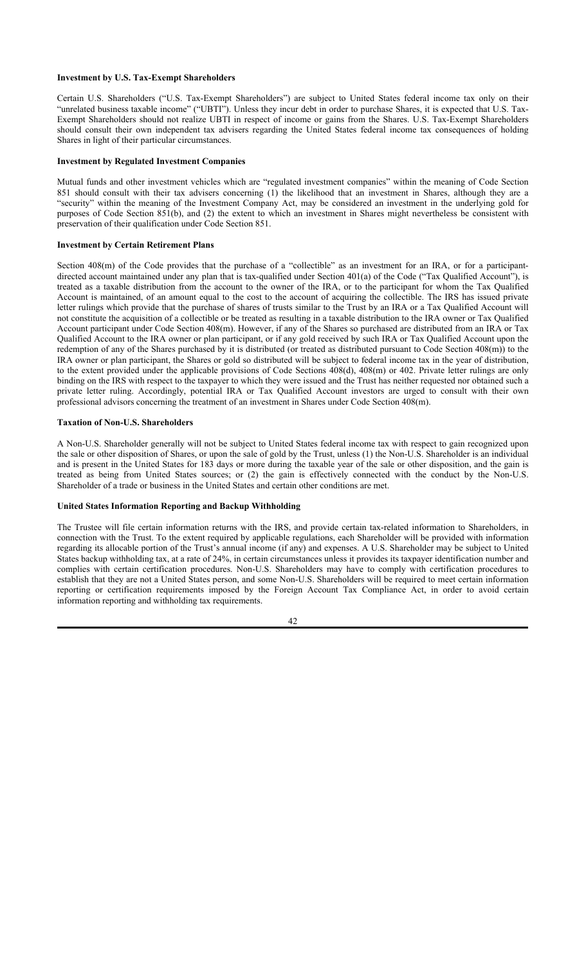### **Investment by U.S. Tax-Exempt Shareholders**

Certain U.S. Shareholders ("U.S. Tax-Exempt Shareholders") are subject to United States federal income tax only on their "unrelated business taxable income" ("UBTI"). Unless they incur debt in order to purchase Shares, it is expected that U.S. Tax-Exempt Shareholders should not realize UBTI in respect of income or gains from the Shares. U.S. Tax-Exempt Shareholders should consult their own independent tax advisers regarding the United States federal income tax consequences of holding Shares in light of their particular circumstances.

## **Investment by Regulated Investment Companies**

Mutual funds and other investment vehicles which are "regulated investment companies" within the meaning of Code Section 851 should consult with their tax advisers concerning (1) the likelihood that an investment in Shares, although they are a "security" within the meaning of the Investment Company Act, may be considered an investment in the underlying gold for purposes of Code Section 851(b), and (2) the extent to which an investment in Shares might nevertheless be consistent with preservation of their qualification under Code Section 851.

## **Investment by Certain Retirement Plans**

Section 408(m) of the Code provides that the purchase of a "collectible" as an investment for an IRA, or for a participantdirected account maintained under any plan that is tax-qualified under Section 401(a) of the Code ("Tax Qualified Account"), is treated as a taxable distribution from the account to the owner of the IRA, or to the participant for whom the Tax Qualified Account is maintained, of an amount equal to the cost to the account of acquiring the collectible. The IRS has issued private letter rulings which provide that the purchase of shares of trusts similar to the Trust by an IRA or a Tax Qualified Account will not constitute the acquisition of a collectible or be treated as resulting in a taxable distribution to the IRA owner or Tax Qualified Account participant under Code Section 408(m). However, if any of the Shares so purchased are distributed from an IRA or Tax Qualified Account to the IRA owner or plan participant, or if any gold received by such IRA or Tax Qualified Account upon the redemption of any of the Shares purchased by it is distributed (or treated as distributed pursuant to Code Section 408(m)) to the IRA owner or plan participant, the Shares or gold so distributed will be subject to federal income tax in the year of distribution, to the extent provided under the applicable provisions of Code Sections 408(d), 408(m) or 402. Private letter rulings are only binding on the IRS with respect to the taxpayer to which they were issued and the Trust has neither requested nor obtained such a private letter ruling. Accordingly, potential IRA or Tax Qualified Account investors are urged to consult with their own professional advisors concerning the treatment of an investment in Shares under Code Section 408(m).

## **Taxation of Non-U.S. Shareholders**

A Non-U.S. Shareholder generally will not be subject to United States federal income tax with respect to gain recognized upon the sale or other disposition of Shares, or upon the sale of gold by the Trust, unless (1) the Non-U.S. Shareholder is an individual and is present in the United States for 183 days or more during the taxable year of the sale or other disposition, and the gain is treated as being from United States sources; or (2) the gain is effectively connected with the conduct by the Non-U.S. Shareholder of a trade or business in the United States and certain other conditions are met.

### **United States Information Reporting and Backup Withholding**

The Trustee will file certain information returns with the IRS, and provide certain tax-related information to Shareholders, in connection with the Trust. To the extent required by applicable regulations, each Shareholder will be provided with information regarding its allocable portion of the Trust's annual income (if any) and expenses. A U.S. Shareholder may be subject to United States backup withholding tax, at a rate of 24%, in certain circumstances unless it provides its taxpayer identification number and complies with certain certification procedures. Non-U.S. Shareholders may have to comply with certification procedures to establish that they are not a United States person, and some Non-U.S. Shareholders will be required to meet certain information reporting or certification requirements imposed by the Foreign Account Tax Compliance Act, in order to avoid certain information reporting and withholding tax requirements.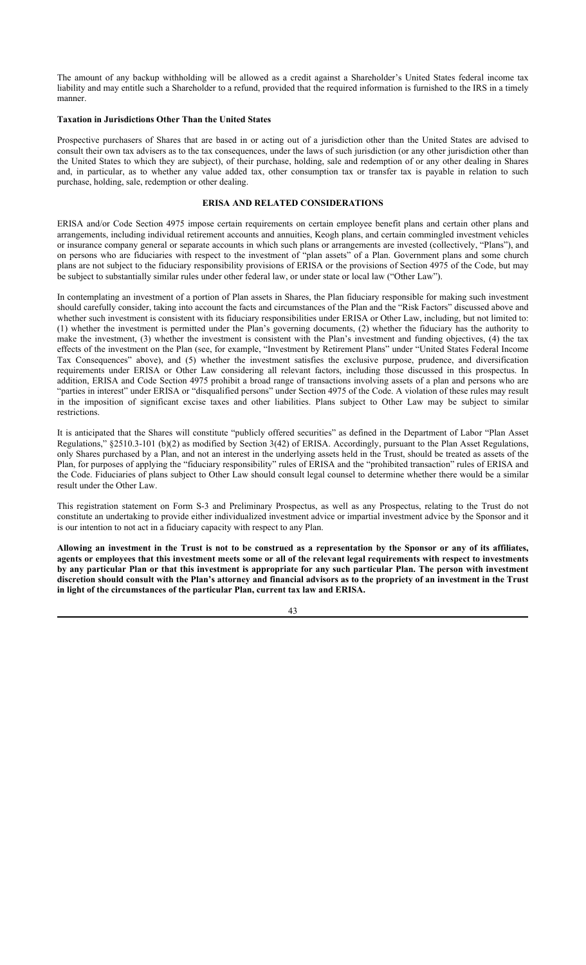The amount of any backup withholding will be allowed as a credit against a Shareholder's United States federal income tax liability and may entitle such a Shareholder to a refund, provided that the required information is furnished to the IRS in a timely manner.

### **Taxation in Jurisdictions Other Than the United States**

Prospective purchasers of Shares that are based in or acting out of a jurisdiction other than the United States are advised to consult their own tax advisers as to the tax consequences, under the laws of such jurisdiction (or any other jurisdiction other than the United States to which they are subject), of their purchase, holding, sale and redemption of or any other dealing in Shares and, in particular, as to whether any value added tax, other consumption tax or transfer tax is payable in relation to such purchase, holding, sale, redemption or other dealing.

## **ERISA AND RELATED CONSIDERATIONS**

ERISA and/or Code Section 4975 impose certain requirements on certain employee benefit plans and certain other plans and arrangements, including individual retirement accounts and annuities, Keogh plans, and certain commingled investment vehicles or insurance company general or separate accounts in which such plans or arrangements are invested (collectively, "Plans"), and on persons who are fiduciaries with respect to the investment of "plan assets" of a Plan. Government plans and some church plans are not subject to the fiduciary responsibility provisions of ERISA or the provisions of Section 4975 of the Code, but may be subject to substantially similar rules under other federal law, or under state or local law ("Other Law").

In contemplating an investment of a portion of Plan assets in Shares, the Plan fiduciary responsible for making such investment should carefully consider, taking into account the facts and circumstances of the Plan and the "Risk Factors" discussed above and whether such investment is consistent with its fiduciary responsibilities under ERISA or Other Law, including, but not limited to: (1) whether the investment is permitted under the Plan's governing documents, (2) whether the fiduciary has the authority to make the investment, (3) whether the investment is consistent with the Plan's investment and funding objectives, (4) the tax effects of the investment on the Plan (see, for example, "Investment by Retirement Plans" under "United States Federal Income Tax Consequences" above), and (5) whether the investment satisfies the exclusive purpose, prudence, and diversification requirements under ERISA or Other Law considering all relevant factors, including those discussed in this prospectus. In addition, ERISA and Code Section 4975 prohibit a broad range of transactions involving assets of a plan and persons who are "parties in interest" under ERISA or "disqualified persons" under Section 4975 of the Code. A violation of these rules may result in the imposition of significant excise taxes and other liabilities. Plans subject to Other Law may be subject to similar restrictions.

It is anticipated that the Shares will constitute "publicly offered securities" as defined in the Department of Labor "Plan Asset Regulations," §2510.3-101 (b)(2) as modified by Section 3(42) of ERISA. Accordingly, pursuant to the Plan Asset Regulations, only Shares purchased by a Plan, and not an interest in the underlying assets held in the Trust, should be treated as assets of the Plan, for purposes of applying the "fiduciary responsibility" rules of ERISA and the "prohibited transaction" rules of ERISA and the Code. Fiduciaries of plans subject to Other Law should consult legal counsel to determine whether there would be a similar result under the Other Law.

This registration statement on Form S-3 and Preliminary Prospectus, as well as any Prospectus, relating to the Trust do not constitute an undertaking to provide either individualized investment advice or impartial investment advice by the Sponsor and it is our intention to not act in a fiduciary capacity with respect to any Plan.

**Allowing an investment in the Trust is not to be construed as a representation by the Sponsor or any of its affiliates, agents or employees that this investment meets some or all of the relevant legal requirements with respect to investments by any particular Plan or that this investment is appropriate for any such particular Plan. The person with investment discretion should consult with the Plan's attorney and financial advisors as to the propriety of an investment in the Trust in light of the circumstances of the particular Plan, current tax law and ERISA.**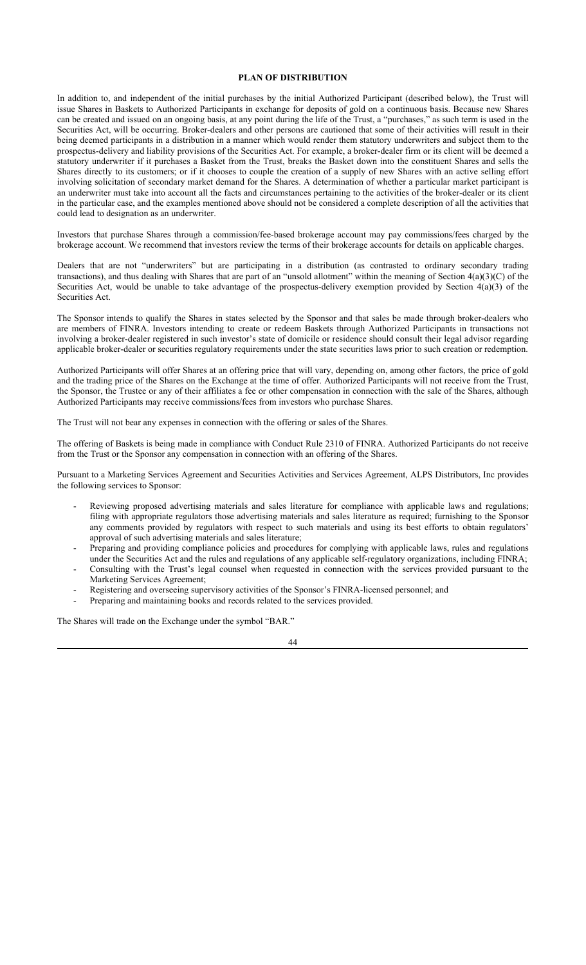## **PLAN OF DISTRIBUTION**

In addition to, and independent of the initial purchases by the initial Authorized Participant (described below), the Trust will issue Shares in Baskets to Authorized Participants in exchange for deposits of gold on a continuous basis. Because new Shares can be created and issued on an ongoing basis, at any point during the life of the Trust, a "purchases," as such term is used in the Securities Act, will be occurring. Broker-dealers and other persons are cautioned that some of their activities will result in their being deemed participants in a distribution in a manner which would render them statutory underwriters and subject them to the prospectus-delivery and liability provisions of the Securities Act. For example, a broker-dealer firm or its client will be deemed a statutory underwriter if it purchases a Basket from the Trust, breaks the Basket down into the constituent Shares and sells the Shares directly to its customers; or if it chooses to couple the creation of a supply of new Shares with an active selling effort involving solicitation of secondary market demand for the Shares. A determination of whether a particular market participant is an underwriter must take into account all the facts and circumstances pertaining to the activities of the broker-dealer or its client in the particular case, and the examples mentioned above should not be considered a complete description of all the activities that could lead to designation as an underwriter.

Investors that purchase Shares through a commission/fee-based brokerage account may pay commissions/fees charged by the brokerage account. We recommend that investors review the terms of their brokerage accounts for details on applicable charges.

Dealers that are not "underwriters" but are participating in a distribution (as contrasted to ordinary secondary trading transactions), and thus dealing with Shares that are part of an "unsold allotment" within the meaning of Section 4(a)(3)(C) of the Securities Act, would be unable to take advantage of the prospectus-delivery exemption provided by Section 4(a)(3) of the Securities Act.

The Sponsor intends to qualify the Shares in states selected by the Sponsor and that sales be made through broker-dealers who are members of FINRA. Investors intending to create or redeem Baskets through Authorized Participants in transactions not involving a broker-dealer registered in such investor's state of domicile or residence should consult their legal advisor regarding applicable broker-dealer or securities regulatory requirements under the state securities laws prior to such creation or redemption.

Authorized Participants will offer Shares at an offering price that will vary, depending on, among other factors, the price of gold and the trading price of the Shares on the Exchange at the time of offer. Authorized Participants will not receive from the Trust, the Sponsor, the Trustee or any of their affiliates a fee or other compensation in connection with the sale of the Shares, although Authorized Participants may receive commissions/fees from investors who purchase Shares.

The Trust will not bear any expenses in connection with the offering or sales of the Shares.

The offering of Baskets is being made in compliance with Conduct Rule 2310 of FINRA. Authorized Participants do not receive from the Trust or the Sponsor any compensation in connection with an offering of the Shares.

Pursuant to a Marketing Services Agreement and Securities Activities and Services Agreement, ALPS Distributors, Inc provides the following services to Sponsor:

- Reviewing proposed advertising materials and sales literature for compliance with applicable laws and regulations; filing with appropriate regulators those advertising materials and sales literature as required; furnishing to the Sponsor any comments provided by regulators with respect to such materials and using its best efforts to obtain regulators' approval of such advertising materials and sales literature;
- Preparing and providing compliance policies and procedures for complying with applicable laws, rules and regulations under the Securities Act and the rules and regulations of any applicable self-regulatory organizations, including FINRA;
- Consulting with the Trust's legal counsel when requested in connection with the services provided pursuant to the Marketing Services Agreement;
- Registering and overseeing supervisory activities of the Sponsor's FINRA-licensed personnel; and
- Preparing and maintaining books and records related to the services provided.

The Shares will trade on the Exchange under the symbol "BAR."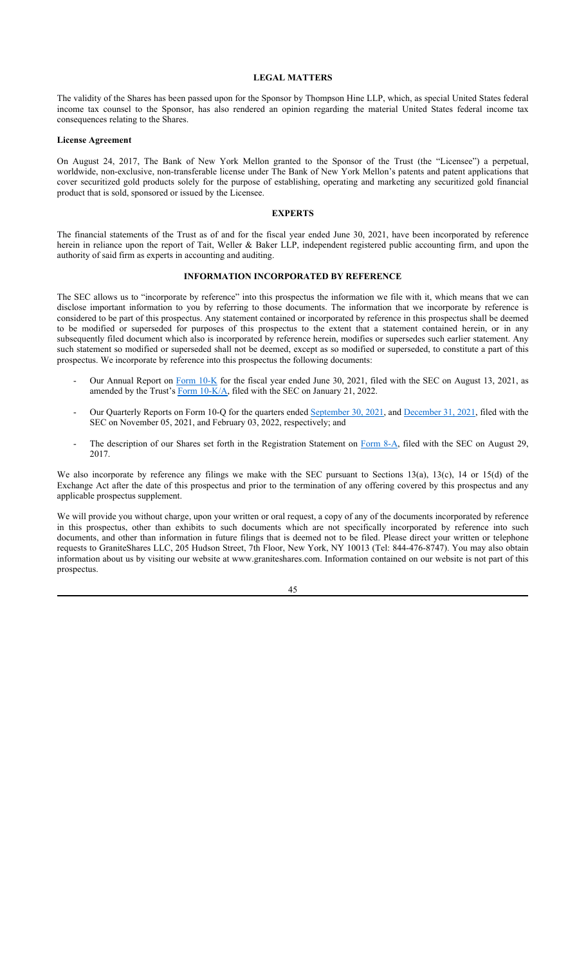#### **LEGAL MATTERS**

The validity of the Shares has been passed upon for the Sponsor by Thompson Hine LLP, which, as special United States federal income tax counsel to the Sponsor, has also rendered an opinion regarding the material United States federal income tax consequences relating to the Shares.

#### **License Agreement**

On August 24, 2017, The Bank of New York Mellon granted to the Sponsor of the Trust (the "Licensee") a perpetual, worldwide, non-exclusive, non-transferable license under The Bank of New York Mellon's patents and patent applications that cover securitized gold products solely for the purpose of establishing, operating and marketing any securitized gold financial product that is sold, sponsored or issued by the Licensee.

## **EXPERTS**

The financial statements of the Trust as of and for the fiscal year ended June 30, 2021, have been incorporated by reference herein in reliance upon the report of Tait, Weller & Baker LLP, independent registered public accounting firm, and upon the authority of said firm as experts in accounting and auditing.

### **INFORMATION INCORPORATED BY REFERENCE**

The SEC allows us to "incorporate by reference" into this prospectus the information we file with it, which means that we can disclose important information to you by referring to those documents. The information that we incorporate by reference is considered to be part of this prospectus. Any statement contained or incorporated by reference in this prospectus shall be deemed to be modified or superseded for purposes of this prospectus to the extent that a statement contained herein, or in any subsequently filed document which also is incorporated by reference herein, modifies or supersedes such earlier statement. Any such statement so modified or superseded shall not be deemed, except as so modified or superseded, to constitute a part of this prospectus. We incorporate by reference into this prospectus the following documents:

- Our Annual Report on Form 10-K for the fiscal year ended June 30, 2021, filed with the SEC on August 13, 2021, as amended by the Trust's Form 10-K/A, filed with the SEC on January 21, 2022.
- Our Quarterly Reports on Form 10-Q for the quarters ended September 30, 2021, and December 31, 2021, filed with the SEC on November 05, 2021, and February 03, 2022, respectively; and
- The description of our Shares set forth in the Registration Statement on Form 8-A, filed with the SEC on August 29, 2017.

We also incorporate by reference any filings we make with the SEC pursuant to Sections 13(a), 13(c), 14 or 15(d) of the Exchange Act after the date of this prospectus and prior to the termination of any offering covered by this prospectus and any applicable prospectus supplement.

We will provide you without charge, upon your written or oral request, a copy of any of the documents incorporated by reference in this prospectus, other than exhibits to such documents which are not specifically incorporated by reference into such documents, and other than information in future filings that is deemed not to be filed. Please direct your written or telephone requests to GraniteShares LLC, 205 Hudson Street, 7th Floor, New York, NY 10013 (Tel: 844-476-8747). You may also obtain information about us by visiting our website at www.graniteshares.com. Information contained on our website is not part of this prospectus.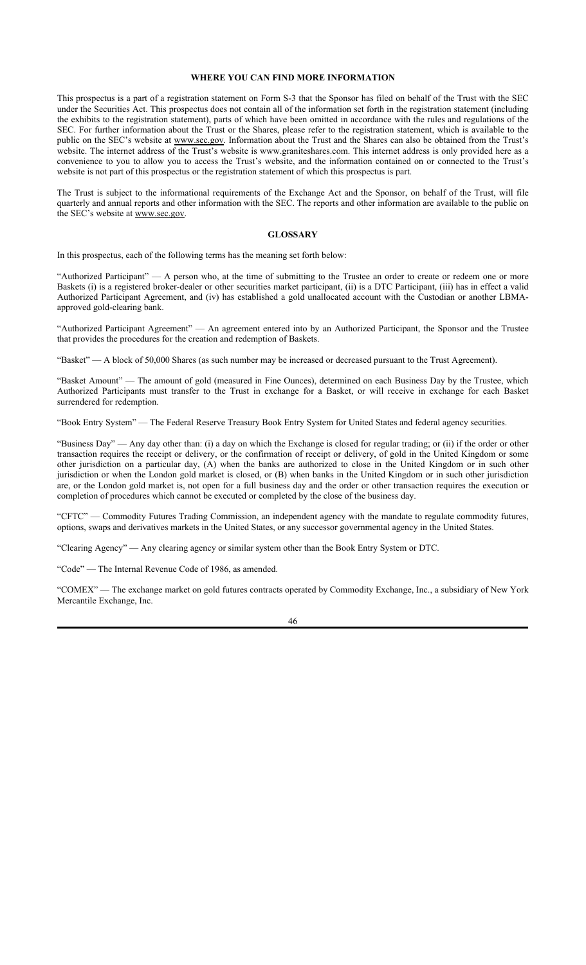## **WHERE YOU CAN FIND MORE INFORMATION**

This prospectus is a part of a registration statement on Form S-3 that the Sponsor has filed on behalf of the Trust with the SEC under the Securities Act. This prospectus does not contain all of the information set forth in the registration statement (including the exhibits to the registration statement), parts of which have been omitted in accordance with the rules and regulations of the SEC. For further information about the Trust or the Shares, please refer to the registration statement, which is available to the public on the SEC's website at www.sec.gov. Information about the Trust and the Shares can also be obtained from the Trust's website. The internet address of the Trust's website is www.graniteshares.com. This internet address is only provided here as a convenience to you to allow you to access the Trust's website, and the information contained on or connected to the Trust's website is not part of this prospectus or the registration statement of which this prospectus is part.

The Trust is subject to the informational requirements of the Exchange Act and the Sponsor, on behalf of the Trust, will file quarterly and annual reports and other information with the SEC. The reports and other information are available to the public on the SEC's website at www.sec.gov.

#### **GLOSSARY**

In this prospectus, each of the following terms has the meaning set forth below:

"Authorized Participant" — A person who, at the time of submitting to the Trustee an order to create or redeem one or more Baskets (i) is a registered broker-dealer or other securities market participant, (ii) is a DTC Participant, (iii) has in effect a valid Authorized Participant Agreement, and (iv) has established a gold unallocated account with the Custodian or another LBMAapproved gold-clearing bank.

"Authorized Participant Agreement" — An agreement entered into by an Authorized Participant, the Sponsor and the Trustee that provides the procedures for the creation and redemption of Baskets.

"Basket" — A block of 50,000 Shares (as such number may be increased or decreased pursuant to the Trust Agreement).

"Basket Amount" — The amount of gold (measured in Fine Ounces), determined on each Business Day by the Trustee, which Authorized Participants must transfer to the Trust in exchange for a Basket, or will receive in exchange for each Basket surrendered for redemption.

"Book Entry System" — The Federal Reserve Treasury Book Entry System for United States and federal agency securities.

"Business Day" — Any day other than: (i) a day on which the Exchange is closed for regular trading; or (ii) if the order or other transaction requires the receipt or delivery, or the confirmation of receipt or delivery, of gold in the United Kingdom or some other jurisdiction on a particular day, (A) when the banks are authorized to close in the United Kingdom or in such other jurisdiction or when the London gold market is closed, or (B) when banks in the United Kingdom or in such other jurisdiction are, or the London gold market is, not open for a full business day and the order or other transaction requires the execution or completion of procedures which cannot be executed or completed by the close of the business day.

"CFTC" — Commodity Futures Trading Commission, an independent agency with the mandate to regulate commodity futures, options, swaps and derivatives markets in the United States, or any successor governmental agency in the United States.

"Clearing Agency" — Any clearing agency or similar system other than the Book Entry System or DTC.

"Code" — The Internal Revenue Code of 1986, as amended.

"COMEX" — The exchange market on gold futures contracts operated by Commodity Exchange, Inc., a subsidiary of New York Mercantile Exchange, Inc.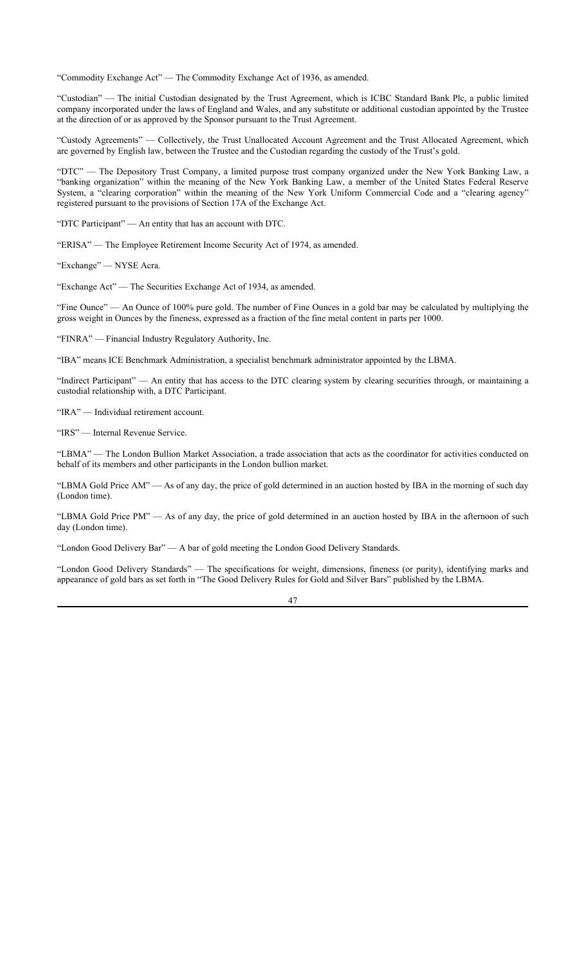"Commodity Exchange Act" — The Commodity Exchange Act of 1936, as amended.

"Custodian" — The initial Custodian designated by the Trust Agreement, which is ICBC Standard Bank Plc, a public limited company incorporated under the laws of England and Wales, and any substitute or additional custodian appointed by the Trustee at the direction of or as approved by the Sponsor pursuant to the Trust Agreement.

"Custody Agreements" — Collectively, the Trust Unallocated Account Agreement and the Trust Allocated Agreement, which are governed by English law, between the Trustee and the Custodian regarding the custody of the Trust's gold.

"DTC" — The Depository Trust Company, a limited purpose trust company organized under the New York Banking Law, a "banking organization" within the meaning of the New York Banking Law, a member of the United States Federal Reserve System, a "clearing corporation" within the meaning of the New York Uniform Commercial Code and a "clearing agency" registered pursuant to the provisions of Section 17A of the Exchange Act.

"DTC Participant" — An entity that has an account with DTC.

"ERISA" — The Employee Retirement Income Security Act of 1974, as amended.

"Exchange" — NYSE Acra.

"Exchange Act" — The Securities Exchange Act of 1934, as amended.

"Fine Ounce" — An Ounce of 100% pure gold. The number of Fine Ounces in a gold bar may be calculated by multiplying the gross weight in Ounces by the fineness, expressed as a fraction of the fine metal content in parts per 1000.

"FINRA" — Financial Industry Regulatory Authority, Inc.

"IBA" means ICE Benchmark Administration, a specialist benchmark administrator appointed by the LBMA.

"Indirect Participant" — An entity that has access to the DTC clearing system by clearing securities through, or maintaining a custodial relationship with, a DTC Participant.

"IRA" — Individual retirement account.

"IRS" — Internal Revenue Service.

"LBMA" — The London Bullion Market Association, a trade association that acts as the coordinator for activities conducted on behalf of its members and other participants in the London bullion market.

"LBMA Gold Price AM" — As of any day, the price of gold determined in an auction hosted by IBA in the morning of such day (London time).

"LBMA Gold Price PM" — As of any day, the price of gold determined in an auction hosted by IBA in the afternoon of such day (London time).

"London Good Delivery Bar" — A bar of gold meeting the London Good Delivery Standards.

"London Good Delivery Standards" — The specifications for weight, dimensions, fineness (or purity), identifying marks and appearance of gold bars as set forth in "The Good Delivery Rules for Gold and Silver Bars" published by the LBMA.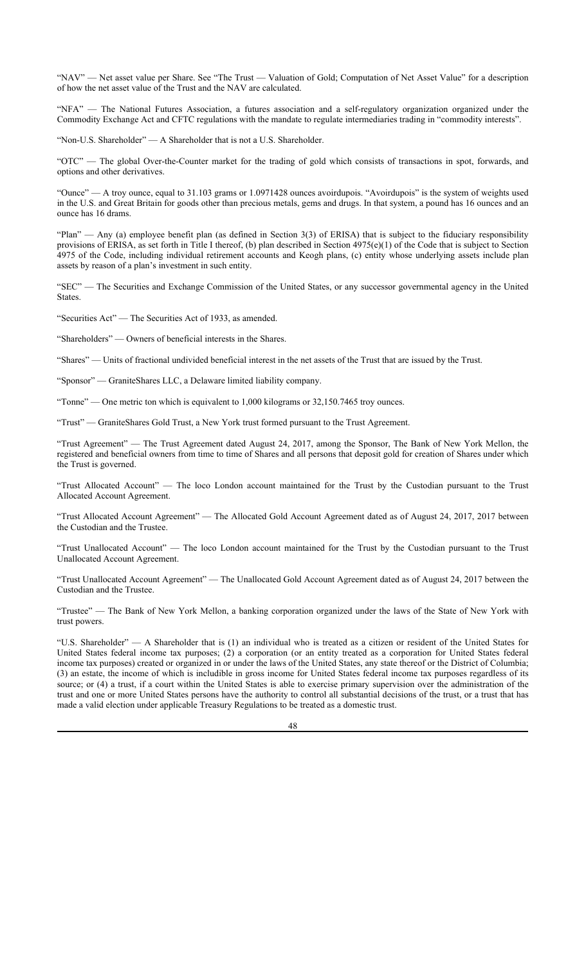"NAV" — Net asset value per Share. See "The Trust — Valuation of Gold; Computation of Net Asset Value" for a description of how the net asset value of the Trust and the NAV are calculated.

"NFA" — The National Futures Association, a futures association and a self-regulatory organization organized under the Commodity Exchange Act and CFTC regulations with the mandate to regulate intermediaries trading in "commodity interests".

"Non-U.S. Shareholder" — A Shareholder that is not a U.S. Shareholder.

"OTC" — The global Over-the-Counter market for the trading of gold which consists of transactions in spot, forwards, and options and other derivatives.

"Ounce" — A troy ounce, equal to 31.103 grams or 1.0971428 ounces avoirdupois. "Avoirdupois" is the system of weights used in the U.S. and Great Britain for goods other than precious metals, gems and drugs. In that system, a pound has 16 ounces and an ounce has 16 drams.

"Plan" — Any (a) employee benefit plan (as defined in Section 3(3) of ERISA) that is subject to the fiduciary responsibility provisions of ERISA, as set forth in Title I thereof, (b) plan described in Section  $4975(e)(1)$  of the Code that is subject to Section 4975 of the Code, including individual retirement accounts and Keogh plans, (c) entity whose underlying assets include plan assets by reason of a plan's investment in such entity.

"SEC" — The Securities and Exchange Commission of the United States, or any successor governmental agency in the United States.

"Securities Act" — The Securities Act of 1933, as amended.

"Shareholders" — Owners of beneficial interests in the Shares.

"Shares" — Units of fractional undivided beneficial interest in the net assets of the Trust that are issued by the Trust.

"Sponsor" — GraniteShares LLC, a Delaware limited liability company.

"Tonne" — One metric ton which is equivalent to 1,000 kilograms or 32,150.7465 troy ounces.

"Trust" — GraniteShares Gold Trust, a New York trust formed pursuant to the Trust Agreement.

"Trust Agreement" — The Trust Agreement dated August 24, 2017, among the Sponsor, The Bank of New York Mellon, the registered and beneficial owners from time to time of Shares and all persons that deposit gold for creation of Shares under which the Trust is governed.

"Trust Allocated Account" — The loco London account maintained for the Trust by the Custodian pursuant to the Trust Allocated Account Agreement.

"Trust Allocated Account Agreement" — The Allocated Gold Account Agreement dated as of August 24, 2017, 2017 between the Custodian and the Trustee.

"Trust Unallocated Account" — The loco London account maintained for the Trust by the Custodian pursuant to the Trust Unallocated Account Agreement.

"Trust Unallocated Account Agreement" — The Unallocated Gold Account Agreement dated as of August 24, 2017 between the Custodian and the Trustee.

"Trustee" — The Bank of New York Mellon, a banking corporation organized under the laws of the State of New York with trust powers.

"U.S. Shareholder" — A Shareholder that is (1) an individual who is treated as a citizen or resident of the United States for United States federal income tax purposes; (2) a corporation (or an entity treated as a corporation for United States federal income tax purposes) created or organized in or under the laws of the United States, any state thereof or the District of Columbia; (3) an estate, the income of which is includible in gross income for United States federal income tax purposes regardless of its source; or (4) a trust, if a court within the United States is able to exercise primary supervision over the administration of the trust and one or more United States persons have the authority to control all substantial decisions of the trust, or a trust that has made a valid election under applicable Treasury Regulations to be treated as a domestic trust.